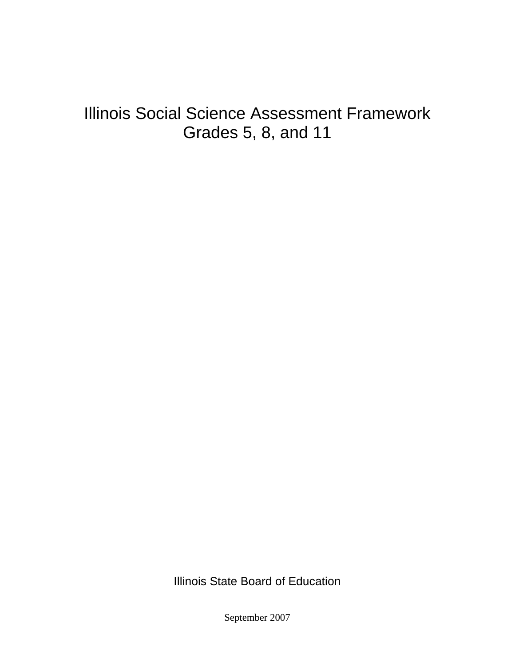# Illinois Social Science Assessment Framework Grades 5, 8, and 11

Illinois State Board of Education

September 2007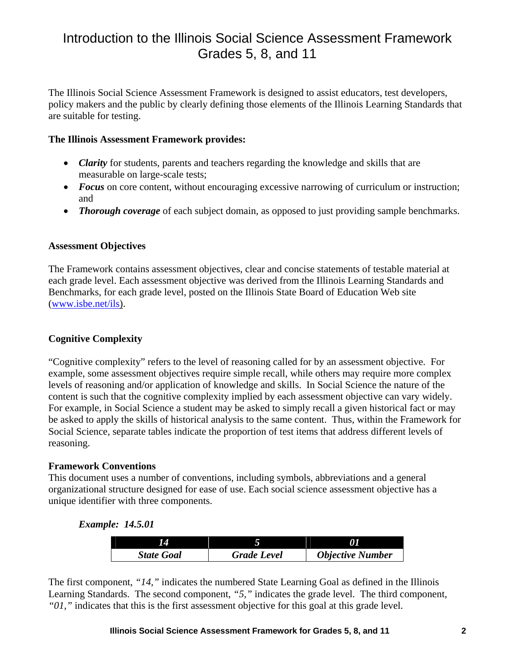## Introduction to the Illinois Social Science Assessment Framework Grades 5, 8, and 11

The Illinois Social Science Assessment Framework is designed to assist educators, test developers, policy makers and the public by clearly defining those elements of the Illinois Learning Standards that are suitable for testing.

#### **The Illinois Assessment Framework provides:**

- *Clarity* for students, parents and teachers regarding the knowledge and skills that are measurable on large-scale tests;
- *Focus* on core content, without encouraging excessive narrowing of curriculum or instruction; and
- *Thorough coverage* of each subject domain, as opposed to just providing sample benchmarks.

#### **Assessment Objectives**

The Framework contains assessment objectives, clear and concise statements of testable material at each grade level. Each assessment objective was derived from the Illinois Learning Standards and Benchmarks, for each grade level, posted on the Illinois State Board of Education Web site (www.isbe.net/ils).

#### **Cognitive Complexity**

"Cognitive complexity" refers to the level of reasoning called for by an assessment objective. For example, some assessment objectives require simple recall, while others may require more complex levels of reasoning and/or application of knowledge and skills. In Social Science the nature of the content is such that the cognitive complexity implied by each assessment objective can vary widely. For example, in Social Science a student may be asked to simply recall a given historical fact or may be asked to apply the skills of historical analysis to the same content. Thus, within the Framework for Social Science, separate tables indicate the proportion of test items that address different levels of reasoning.

#### **Framework Conventions**

This document uses a number of conventions, including symbols, abbreviations and a general organizational structure designed for ease of use. Each social science assessment objective has a unique identifier with three components.

#### *Example: 14.5.01*

| <b>State Goal</b> | <b>Grade Level</b> | <b>Objective Number</b> |
|-------------------|--------------------|-------------------------|

The first component, *"14,"* indicates the numbered State Learning Goal as defined in the Illinois Learning Standards. The second component, *"5,"* indicates the grade level. The third component, *"01,"* indicates that this is the first assessment objective for this goal at this grade level.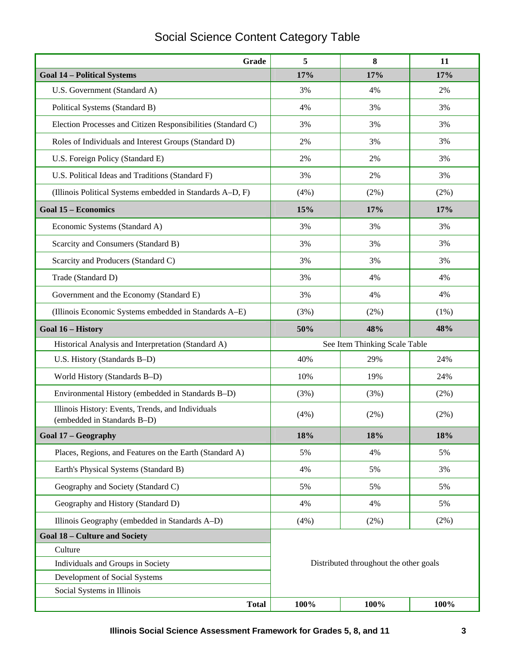## Social Science Content Category Table

| Grade                                                                            | 5                                      | 8       | 11      |
|----------------------------------------------------------------------------------|----------------------------------------|---------|---------|
| <b>Goal 14 - Political Systems</b>                                               | 17%                                    | 17%     | 17%     |
| U.S. Government (Standard A)                                                     | 3%                                     | 4%      | 2%      |
| Political Systems (Standard B)                                                   | 4%                                     | 3%      | 3%      |
| Election Processes and Citizen Responsibilities (Standard C)                     | 3%                                     | 3%      | 3%      |
| Roles of Individuals and Interest Groups (Standard D)                            | 2%                                     | 3%      | 3%      |
| U.S. Foreign Policy (Standard E)                                                 | 2%                                     | 2%      | 3%      |
| U.S. Political Ideas and Traditions (Standard F)                                 | 3%                                     | 2%      | 3%      |
| (Illinois Political Systems embedded in Standards A-D, F)                        | (4%)                                   | $(2\%)$ | (2%)    |
| <b>Goal 15 - Economics</b>                                                       | 15%                                    | 17%     | 17%     |
| Economic Systems (Standard A)                                                    | 3%                                     | 3%      | 3%      |
| Scarcity and Consumers (Standard B)                                              | 3%                                     | 3%      | 3%      |
| Scarcity and Producers (Standard C)                                              | 3%                                     | 3%      | 3%      |
| Trade (Standard D)                                                               | 3%                                     | 4%      | 4%      |
| Government and the Economy (Standard E)                                          | 3%                                     | 4%      | 4%      |
| (Illinois Economic Systems embedded in Standards A-E)                            | (3%)                                   | $(2\%)$ | $(1\%)$ |
| Goal 16 - History                                                                | 50%                                    | 48%     | 48%     |
| Historical Analysis and Interpretation (Standard A)                              | See Item Thinking Scale Table          |         |         |
| U.S. History (Standards B-D)                                                     | 40%                                    | 29%     | 24%     |
| World History (Standards B-D)                                                    | 10%                                    | 19%     | 24%     |
| Environmental History (embedded in Standards B-D)                                | (3%)                                   | (3%)    | $(2\%)$ |
| Illinois History: Events, Trends, and Individuals<br>(embedded in Standards B-D) | (4%)                                   | (2%)    | (2%)    |
| Goal 17 - Geography                                                              | 18%                                    | 18%     | 18%     |
| Places, Regions, and Features on the Earth (Standard A)                          | 5%                                     | 4%      | 5%      |
| Earth's Physical Systems (Standard B)                                            | 4%                                     | 5%      | 3%      |
| Geography and Society (Standard C)                                               | 5%                                     | 5%      | 5%      |
| Geography and History (Standard D)                                               | 4%                                     | 4%      | 5%      |
| Illinois Geography (embedded in Standards A-D)                                   | (4%)                                   | $(2\%)$ | (2%)    |
| <b>Goal 18 - Culture and Society</b>                                             |                                        |         |         |
| Culture                                                                          |                                        |         |         |
| Individuals and Groups in Society                                                | Distributed throughout the other goals |         |         |
| Development of Social Systems                                                    |                                        |         |         |
| Social Systems in Illinois                                                       |                                        |         |         |
| <b>Total</b>                                                                     | 100%                                   | 100%    | 100%    |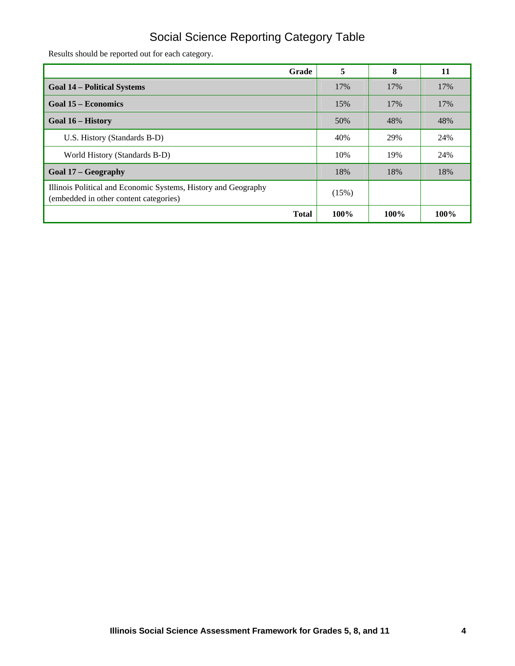## Social Science Reporting Category Table

Results should be reported out for each category.

| Grade                                                                                                    | 5     | 8       | 11   |
|----------------------------------------------------------------------------------------------------------|-------|---------|------|
| <b>Goal 14 – Political Systems</b>                                                                       | 17%   | 17%     | 17%  |
| Goal 15 – Economics                                                                                      | 15%   | 17%     | 17%  |
| Goal 16 – History                                                                                        | 50%   | 48%     | 48%  |
| U.S. History (Standards B-D)                                                                             | 40%   | 29%     | 24%  |
| World History (Standards B-D)                                                                            | 10%   | 19%     | 24%  |
| Goal 17 – Geography                                                                                      | 18%   | 18%     | 18%  |
| Illinois Political and Economic Systems, History and Geography<br>(embedded in other content categories) | (15%) |         |      |
| <b>Total</b>                                                                                             | 100%  | $100\%$ | 100% |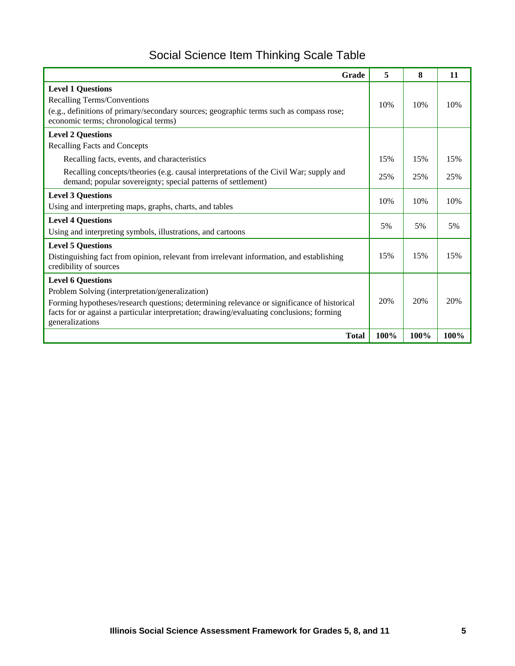## Social Science Item Thinking Scale Table

| Grade                                                                                                                                                 | 5    | 8    | 11   |
|-------------------------------------------------------------------------------------------------------------------------------------------------------|------|------|------|
| <b>Level 1 Questions</b>                                                                                                                              |      |      |      |
| Recalling Terms/Conventions                                                                                                                           | 10%  | 10%  | 10%  |
| (e.g., definitions of primary/secondary sources; geographic terms such as compass rose;<br>economic terms; chronological terms)                       |      |      |      |
| <b>Level 2 Questions</b>                                                                                                                              |      |      |      |
| <b>Recalling Facts and Concepts</b>                                                                                                                   |      |      |      |
| Recalling facts, events, and characteristics                                                                                                          | 15%  | 15%  | 15%  |
| Recalling concepts/theories (e.g. causal interpretations of the Civil War; supply and<br>demand; popular sovereignty; special patterns of settlement) | 25%  | 25%  | 25%  |
| <b>Level 3 Questions</b>                                                                                                                              | 10%  | 10%  | 10%  |
| Using and interpreting maps, graphs, charts, and tables                                                                                               |      |      |      |
| <b>Level 4 Questions</b>                                                                                                                              | 5%   | 5%   | 5%   |
| Using and interpreting symbols, illustrations, and cartoons                                                                                           |      |      |      |
| <b>Level 5 Questions</b>                                                                                                                              |      |      |      |
| Distinguishing fact from opinion, relevant from irrelevant information, and establishing<br>credibility of sources                                    | 15%  | 15%  | 15%  |
| <b>Level 6 Questions</b>                                                                                                                              |      |      |      |
| Problem Solving (interpretation/generalization)                                                                                                       |      |      |      |
| Forming hypotheses/research questions; determining relevance or significance of historical                                                            | 20%  | 20%  | 20%  |
| facts for or against a particular interpretation; drawing/evaluating conclusions; forming<br>generalizations                                          |      |      |      |
| <b>Total</b>                                                                                                                                          | 100% | 100% | 100% |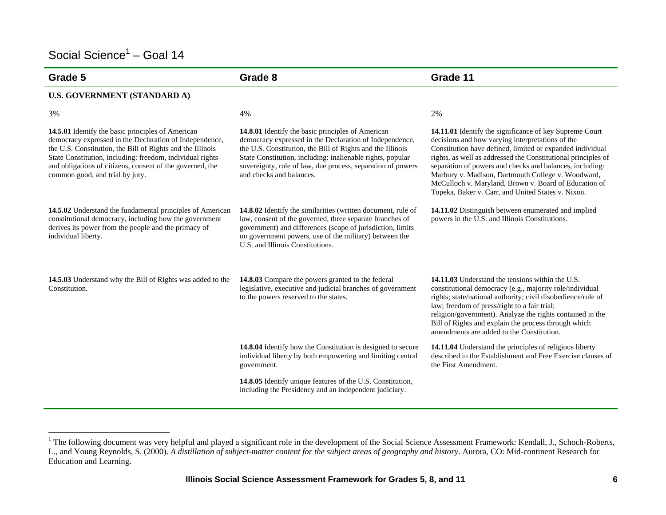## Social Science<sup> $1$ </sup> – Goal 14

| Grade 5                                                                                                                                                                                                                                                                                                                                 | Grade 8                                                                                                                                                                                                                                                                                                                             | Grade 11                                                                                                                                                                                                                                                                                                                                                                                                                                                                   |
|-----------------------------------------------------------------------------------------------------------------------------------------------------------------------------------------------------------------------------------------------------------------------------------------------------------------------------------------|-------------------------------------------------------------------------------------------------------------------------------------------------------------------------------------------------------------------------------------------------------------------------------------------------------------------------------------|----------------------------------------------------------------------------------------------------------------------------------------------------------------------------------------------------------------------------------------------------------------------------------------------------------------------------------------------------------------------------------------------------------------------------------------------------------------------------|
| <b>U.S. GOVERNMENT (STANDARD A)</b>                                                                                                                                                                                                                                                                                                     |                                                                                                                                                                                                                                                                                                                                     |                                                                                                                                                                                                                                                                                                                                                                                                                                                                            |
| 3%                                                                                                                                                                                                                                                                                                                                      | 4%                                                                                                                                                                                                                                                                                                                                  | 2%                                                                                                                                                                                                                                                                                                                                                                                                                                                                         |
| 14.5.01 Identify the basic principles of American<br>democracy expressed in the Declaration of Independence,<br>the U.S. Constitution, the Bill of Rights and the Illinois<br>State Constitution, including: freedom, individual rights<br>and obligations of citizens, consent of the governed, the<br>common good, and trial by jury. | 14.8.01 Identify the basic principles of American<br>democracy expressed in the Declaration of Independence,<br>the U.S. Constitution, the Bill of Rights and the Illinois<br>State Constitution, including: inalienable rights, popular<br>sovereignty, rule of law, due process, separation of powers<br>and checks and balances. | 14.11.01 Identify the significance of key Supreme Court<br>decisions and how varying interpretations of the<br>Constitution have defined, limited or expanded individual<br>rights, as well as addressed the Constitutional principles of<br>separation of powers and checks and balances, including:<br>Marbury v. Madison, Dartmouth College v. Woodward,<br>McCulloch v. Maryland, Brown v. Board of Education of<br>Topeka, Baker v. Carr, and United States v. Nixon. |
| 14.5.02 Understand the fundamental principles of American<br>constitutional democracy, including how the government<br>derives its power from the people and the primacy of<br>individual liberty.                                                                                                                                      | 14.8.02 Identify the similarities (written document, rule of<br>law, consent of the governed, three separate branches of<br>government) and differences (scope of jurisdiction, limits<br>on government powers, use of the military) between the<br>U.S. and Illinois Constitutions.                                                | 14.11.02 Distinguish between enumerated and implied<br>powers in the U.S. and Illinois Constitutions.                                                                                                                                                                                                                                                                                                                                                                      |
| 14.5.03 Understand why the Bill of Rights was added to the<br>Constitution.                                                                                                                                                                                                                                                             | 14.8.03 Compare the powers granted to the federal<br>legislative, executive and judicial branches of government<br>to the powers reserved to the states.                                                                                                                                                                            | 14.11.03 Understand the tensions within the U.S.<br>constitutional democracy (e.g., majority role/individual<br>rights; state/national authority; civil disobedience/rule of<br>law; freedom of press/right to a fair trial;<br>religion/government). Analyze the rights contained in the<br>Bill of Rights and explain the process through which<br>amendments are added to the Constitution.                                                                             |
|                                                                                                                                                                                                                                                                                                                                         | 14.8.04 Identify how the Constitution is designed to secure<br>individual liberty by both empowering and limiting central<br>government.                                                                                                                                                                                            | 14.11.04 Understand the principles of religious liberty<br>described in the Establishment and Free Exercise clauses of<br>the First Amendment.                                                                                                                                                                                                                                                                                                                             |
|                                                                                                                                                                                                                                                                                                                                         | 14.8.05 Identify unique features of the U.S. Constitution,<br>including the Presidency and an independent judiciary.                                                                                                                                                                                                                |                                                                                                                                                                                                                                                                                                                                                                                                                                                                            |

<sup>&</sup>lt;sup>1</sup> The following document was very helpful and played a significant role in the development of the Social Science Assessment Framework: Kendall, J., Schoch-Roberts, L., and Young Reynolds, S. (2000). *A distillation of subject-matter content for the subject areas of geography and history*. Aurora, CO: Mid-continent Research for Education and Learning.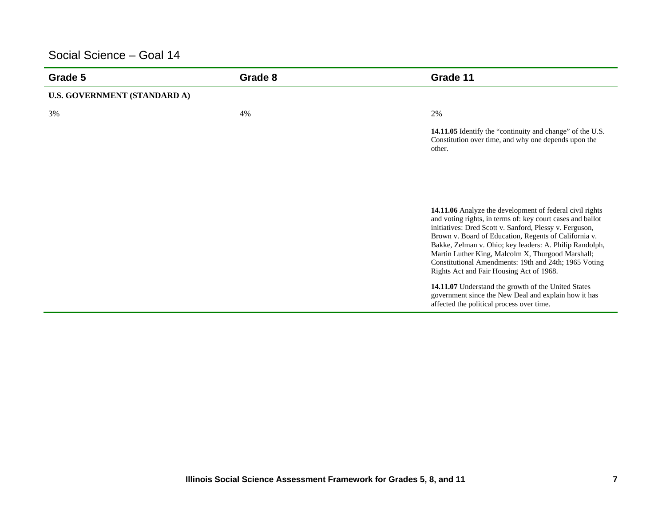| Grade 5                             | Grade 8 | Grade 11                                                                                                                                                                                                                                                                                                                                                                                                                                                        |
|-------------------------------------|---------|-----------------------------------------------------------------------------------------------------------------------------------------------------------------------------------------------------------------------------------------------------------------------------------------------------------------------------------------------------------------------------------------------------------------------------------------------------------------|
| <b>U.S. GOVERNMENT (STANDARD A)</b> |         |                                                                                                                                                                                                                                                                                                                                                                                                                                                                 |
| 3%                                  | 4%      | 2%                                                                                                                                                                                                                                                                                                                                                                                                                                                              |
|                                     |         | 14.11.05 Identify the "continuity and change" of the U.S.<br>Constitution over time, and why one depends upon the<br>other.                                                                                                                                                                                                                                                                                                                                     |
|                                     |         |                                                                                                                                                                                                                                                                                                                                                                                                                                                                 |
|                                     |         | 14.11.06 Analyze the development of federal civil rights<br>and voting rights, in terms of: key court cases and ballot<br>initiatives: Dred Scott v. Sanford, Plessy v. Ferguson,<br>Brown v. Board of Education, Regents of California v.<br>Bakke, Zelman v. Ohio; key leaders: A. Philip Randolph,<br>Martin Luther King, Malcolm X, Thurgood Marshall;<br>Constitutional Amendments: 19th and 24th; 1965 Voting<br>Rights Act and Fair Housing Act of 1968. |
|                                     |         | 14.11.07 Understand the growth of the United States<br>government since the New Deal and explain how it has<br>affected the political process over time.                                                                                                                                                                                                                                                                                                        |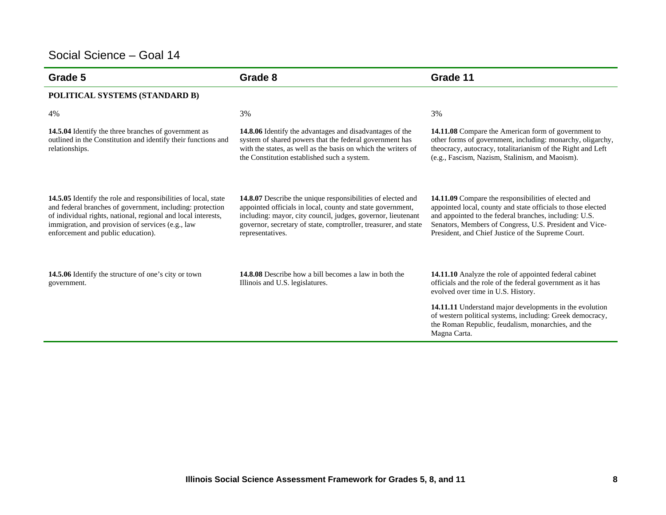| Grade 5                                                                                                                                                                                                                                                                                 | Grade 8                                                                                                                                                                                                                                                                          | Grade 11                                                                                                                                                                                                                                                                                                                                                 |
|-----------------------------------------------------------------------------------------------------------------------------------------------------------------------------------------------------------------------------------------------------------------------------------------|----------------------------------------------------------------------------------------------------------------------------------------------------------------------------------------------------------------------------------------------------------------------------------|----------------------------------------------------------------------------------------------------------------------------------------------------------------------------------------------------------------------------------------------------------------------------------------------------------------------------------------------------------|
| POLITICAL SYSTEMS (STANDARD B)                                                                                                                                                                                                                                                          |                                                                                                                                                                                                                                                                                  |                                                                                                                                                                                                                                                                                                                                                          |
| 4%                                                                                                                                                                                                                                                                                      | 3%                                                                                                                                                                                                                                                                               | 3%                                                                                                                                                                                                                                                                                                                                                       |
| 14.5.04 Identify the three branches of government as<br>outlined in the Constitution and identify their functions and<br>relationships.                                                                                                                                                 | 14.8.06 Identify the advantages and disadvantages of the<br>system of shared powers that the federal government has<br>with the states, as well as the basis on which the writers of<br>the Constitution established such a system.                                              | 14.11.08 Compare the American form of government to<br>other forms of government, including: monarchy, oligarchy,<br>theocracy, autocracy, totalitarianism of the Right and Left<br>(e.g., Fascism, Nazism, Stalinism, and Maoism).                                                                                                                      |
| 14.5.05 Identify the role and responsibilities of local, state<br>and federal branches of government, including: protection<br>of individual rights, national, regional and local interests,<br>immigration, and provision of services (e.g., law<br>enforcement and public education). | 14.8.07 Describe the unique responsibilities of elected and<br>appointed officials in local, county and state government,<br>including: mayor, city council, judges, governor, lieutenant<br>governor, secretary of state, comptroller, treasurer, and state<br>representatives. | 14.11.09 Compare the responsibilities of elected and<br>appointed local, county and state officials to those elected<br>and appointed to the federal branches, including: U.S.<br>Senators, Members of Congress, U.S. President and Vice-<br>President, and Chief Justice of the Supreme Court.                                                          |
| <b>14.5.06</b> Identify the structure of one's city or town<br>government.                                                                                                                                                                                                              | <b>14.8.08</b> Describe how a bill becomes a law in both the<br>Illinois and U.S. legislatures.                                                                                                                                                                                  | 14.11.10 Analyze the role of appointed federal cabinet<br>officials and the role of the federal government as it has<br>evolved over time in U.S. History.<br>14.11.11 Understand major developments in the evolution<br>of western political systems, including: Greek democracy,<br>the Roman Republic, feudalism, monarchies, and the<br>Magna Carta. |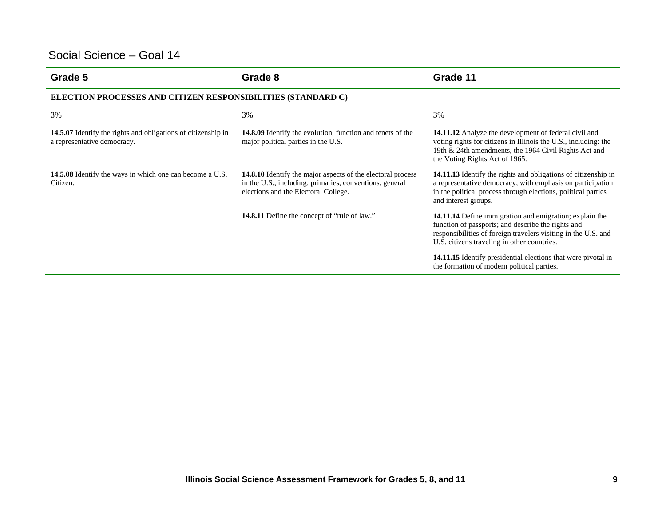| Grade 5                                                                                      | Grade 8                                                                                                                                                               | Grade 11                                                                                                                                                                                                                       |  |  |
|----------------------------------------------------------------------------------------------|-----------------------------------------------------------------------------------------------------------------------------------------------------------------------|--------------------------------------------------------------------------------------------------------------------------------------------------------------------------------------------------------------------------------|--|--|
|                                                                                              | ELECTION PROCESSES AND CITIZEN RESPONSIBILITIES (STANDARD C)                                                                                                          |                                                                                                                                                                                                                                |  |  |
| 3%                                                                                           | 3%                                                                                                                                                                    | 3%                                                                                                                                                                                                                             |  |  |
| 14.5.07 Identify the rights and obligations of citizenship in<br>a representative democracy. | <b>14.8.09</b> Identify the evolution, function and tenets of the<br>major political parties in the U.S.                                                              | <b>14.11.12</b> Analyze the development of federal civil and<br>voting rights for citizens in Illinois the U.S., including: the<br>19th & 24th amendments, the 1964 Civil Rights Act and<br>the Voting Rights Act of 1965.     |  |  |
| <b>14.5.08</b> Identify the ways in which one can become a U.S.<br>Citizen.                  | <b>14.8.10</b> Identify the major aspects of the electoral process<br>in the U.S., including: primaries, conventions, general<br>elections and the Electoral College. | 14.11.13 Identify the rights and obligations of citizenship in<br>a representative democracy, with emphasis on participation<br>in the political process through elections, political parties<br>and interest groups.          |  |  |
|                                                                                              | <b>14.8.11</b> Define the concept of "rule of law."                                                                                                                   | 14.11.14 Define immigration and emigration; explain the<br>function of passports; and describe the rights and<br>responsibilities of foreign travelers visiting in the U.S. and<br>U.S. citizens traveling in other countries. |  |  |
|                                                                                              |                                                                                                                                                                       | 14.11.15 Identify presidential elections that were pivotal in<br>the formation of modern political parties.                                                                                                                    |  |  |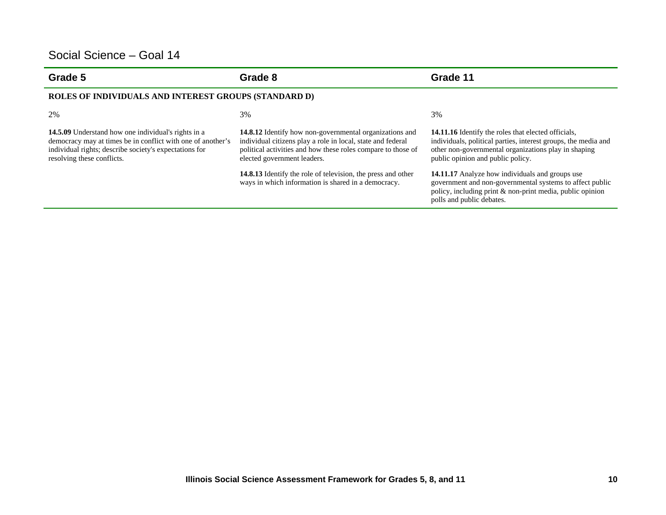| Grade 5                                                                                                                                                                                                           | Grade 8                                                                                                                                                                                                                                                                                                                                                    | Grade 11                                                                                                                                                                                                                                                                                                                                                                                                                           |
|-------------------------------------------------------------------------------------------------------------------------------------------------------------------------------------------------------------------|------------------------------------------------------------------------------------------------------------------------------------------------------------------------------------------------------------------------------------------------------------------------------------------------------------------------------------------------------------|------------------------------------------------------------------------------------------------------------------------------------------------------------------------------------------------------------------------------------------------------------------------------------------------------------------------------------------------------------------------------------------------------------------------------------|
| ROLES OF INDIVIDUALS AND INTEREST GROUPS (STANDARD D)                                                                                                                                                             |                                                                                                                                                                                                                                                                                                                                                            |                                                                                                                                                                                                                                                                                                                                                                                                                                    |
| 2%                                                                                                                                                                                                                | 3%                                                                                                                                                                                                                                                                                                                                                         | 3%                                                                                                                                                                                                                                                                                                                                                                                                                                 |
| <b>14.5.09</b> Understand how one individual's rights in a<br>democracy may at times be in conflict with one of another's<br>individual rights; describe society's expectations for<br>resolving these conflicts. | <b>14.8.12</b> Identify how non-governmental organizations and<br>individual citizens play a role in local, state and federal<br>political activities and how these roles compare to those of<br>elected government leaders.<br><b>14.8.13</b> Identify the role of television, the press and other<br>ways in which information is shared in a democracy. | 14.11.16 Identify the roles that elected officials,<br>individuals, political parties, interest groups, the media and<br>other non-governmental organizations play in shaping<br>public opinion and public policy.<br><b>14.11.17</b> Analyze how individuals and groups use<br>government and non-governmental systems to affect public<br>policy, including print & non-print media, public opinion<br>polls and public debates. |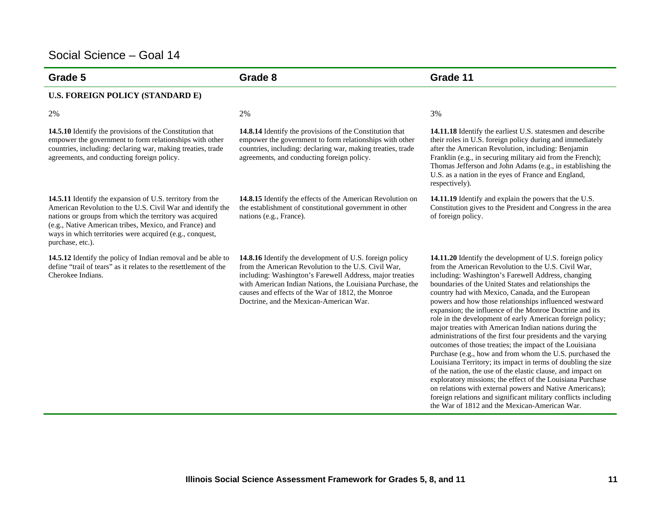| Grade 5                                                                                                                                                                                                                                                                                                                             | Grade 8                                                                                                                                                                                                                                                                                                                                        | Grade 11                                                                                                                                                                                                                                                                                                                                                                                                                                                                                                                                                                                                                                                                                                                                                                                                                                                                                                                                                                                                                                                                                            |
|-------------------------------------------------------------------------------------------------------------------------------------------------------------------------------------------------------------------------------------------------------------------------------------------------------------------------------------|------------------------------------------------------------------------------------------------------------------------------------------------------------------------------------------------------------------------------------------------------------------------------------------------------------------------------------------------|-----------------------------------------------------------------------------------------------------------------------------------------------------------------------------------------------------------------------------------------------------------------------------------------------------------------------------------------------------------------------------------------------------------------------------------------------------------------------------------------------------------------------------------------------------------------------------------------------------------------------------------------------------------------------------------------------------------------------------------------------------------------------------------------------------------------------------------------------------------------------------------------------------------------------------------------------------------------------------------------------------------------------------------------------------------------------------------------------------|
| U.S. FOREIGN POLICY (STANDARD E)                                                                                                                                                                                                                                                                                                    |                                                                                                                                                                                                                                                                                                                                                |                                                                                                                                                                                                                                                                                                                                                                                                                                                                                                                                                                                                                                                                                                                                                                                                                                                                                                                                                                                                                                                                                                     |
| 2%                                                                                                                                                                                                                                                                                                                                  | 2%                                                                                                                                                                                                                                                                                                                                             | 3%                                                                                                                                                                                                                                                                                                                                                                                                                                                                                                                                                                                                                                                                                                                                                                                                                                                                                                                                                                                                                                                                                                  |
| 14.5.10 Identify the provisions of the Constitution that<br>empower the government to form relationships with other<br>countries, including: declaring war, making treaties, trade<br>agreements, and conducting foreign policy.                                                                                                    | 14.8.14 Identify the provisions of the Constitution that<br>empower the government to form relationships with other<br>countries, including: declaring war, making treaties, trade<br>agreements, and conducting foreign policy.                                                                                                               | 14.11.18 Identify the earliest U.S. statesmen and describe<br>their roles in U.S. foreign policy during and immediately<br>after the American Revolution, including: Benjamin<br>Franklin (e.g., in securing military aid from the French);<br>Thomas Jefferson and John Adams (e.g., in establishing the<br>U.S. as a nation in the eyes of France and England,<br>respectively).                                                                                                                                                                                                                                                                                                                                                                                                                                                                                                                                                                                                                                                                                                                  |
| <b>14.5.11</b> Identify the expansion of U.S. territory from the<br>American Revolution to the U.S. Civil War and identify the<br>nations or groups from which the territory was acquired<br>(e.g., Native American tribes, Mexico, and France) and<br>ways in which territories were acquired (e.g., conquest,<br>purchase, etc.). | 14.8.15 Identify the effects of the American Revolution on<br>the establishment of constitutional government in other<br>nations (e.g., France).                                                                                                                                                                                               | 14.11.19 Identify and explain the powers that the U.S.<br>Constitution gives to the President and Congress in the area<br>of foreign policy.                                                                                                                                                                                                                                                                                                                                                                                                                                                                                                                                                                                                                                                                                                                                                                                                                                                                                                                                                        |
| 14.5.12 Identify the policy of Indian removal and be able to<br>define "trail of tears" as it relates to the resettlement of the<br>Cherokee Indians.                                                                                                                                                                               | <b>14.8.16</b> Identify the development of U.S. foreign policy<br>from the American Revolution to the U.S. Civil War,<br>including: Washington's Farewell Address, major treaties<br>with American Indian Nations, the Louisiana Purchase, the<br>causes and effects of the War of 1812, the Monroe<br>Doctrine, and the Mexican-American War. | 14.11.20 Identify the development of U.S. foreign policy<br>from the American Revolution to the U.S. Civil War,<br>including: Washington's Farewell Address, changing<br>boundaries of the United States and relationships the<br>country had with Mexico, Canada, and the European<br>powers and how those relationships influenced westward<br>expansion; the influence of the Monroe Doctrine and its<br>role in the development of early American foreign policy;<br>major treaties with American Indian nations during the<br>administrations of the first four presidents and the varying<br>outcomes of those treaties; the impact of the Louisiana<br>Purchase (e.g., how and from whom the U.S. purchased the<br>Louisiana Territory; its impact in terms of doubling the size<br>of the nation, the use of the elastic clause, and impact on<br>exploratory missions; the effect of the Louisiana Purchase<br>on relations with external powers and Native Americans);<br>foreign relations and significant military conflicts including<br>the War of 1812 and the Mexican-American War. |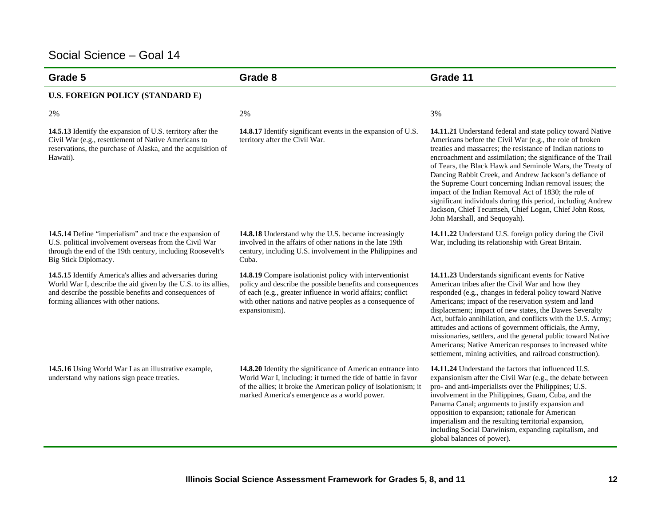| Grade 5                                                                                                                                                                                                                       | Grade 8                                                                                                                                                                                                                                                              | Grade 11                                                                                                                                                                                                                                                                                                                                                                                                                                                                                                                                                                                                                                                    |
|-------------------------------------------------------------------------------------------------------------------------------------------------------------------------------------------------------------------------------|----------------------------------------------------------------------------------------------------------------------------------------------------------------------------------------------------------------------------------------------------------------------|-------------------------------------------------------------------------------------------------------------------------------------------------------------------------------------------------------------------------------------------------------------------------------------------------------------------------------------------------------------------------------------------------------------------------------------------------------------------------------------------------------------------------------------------------------------------------------------------------------------------------------------------------------------|
| U.S. FOREIGN POLICY (STANDARD E)                                                                                                                                                                                              |                                                                                                                                                                                                                                                                      |                                                                                                                                                                                                                                                                                                                                                                                                                                                                                                                                                                                                                                                             |
| 2%                                                                                                                                                                                                                            | 2%                                                                                                                                                                                                                                                                   | 3%                                                                                                                                                                                                                                                                                                                                                                                                                                                                                                                                                                                                                                                          |
| 14.5.13 Identify the expansion of U.S. territory after the<br>Civil War (e.g., resettlement of Native Americans to<br>reservations, the purchase of Alaska, and the acquisition of<br>Hawaii).                                | 14.8.17 Identify significant events in the expansion of U.S.<br>territory after the Civil War.                                                                                                                                                                       | 14.11.21 Understand federal and state policy toward Native<br>Americans before the Civil War (e.g., the role of broken<br>treaties and massacres; the resistance of Indian nations to<br>encroachment and assimilation; the significance of the Trail<br>of Tears, the Black Hawk and Seminole Wars, the Treaty of<br>Dancing Rabbit Creek, and Andrew Jackson's defiance of<br>the Supreme Court concerning Indian removal issues; the<br>impact of the Indian Removal Act of 1830; the role of<br>significant individuals during this period, including Andrew<br>Jackson, Chief Tecumseh, Chief Logan, Chief John Ross,<br>John Marshall, and Sequoyah). |
| 14.5.14 Define "imperialism" and trace the expansion of<br>U.S. political involvement overseas from the Civil War<br>through the end of the 19th century, including Roosevelt's<br>Big Stick Diplomacy.                       | <b>14.8.18</b> Understand why the U.S. became increasingly<br>involved in the affairs of other nations in the late 19th<br>century, including U.S. involvement in the Philippines and<br>Cuba.                                                                       | 14.11.22 Understand U.S. foreign policy during the Civil<br>War, including its relationship with Great Britain.                                                                                                                                                                                                                                                                                                                                                                                                                                                                                                                                             |
| 14.5.15 Identify America's allies and adversaries during<br>World War I, describe the aid given by the U.S. to its allies,<br>and describe the possible benefits and consequences of<br>forming alliances with other nations. | 14.8.19 Compare isolationist policy with interventionist<br>policy and describe the possible benefits and consequences<br>of each (e.g., greater influence in world affairs; conflict<br>with other nations and native peoples as a consequence of<br>expansionism). | 14.11.23 Understands significant events for Native<br>American tribes after the Civil War and how they<br>responded (e.g., changes in federal policy toward Native<br>Americans; impact of the reservation system and land<br>displacement; impact of new states, the Dawes Severalty<br>Act, buffalo annihilation, and conflicts with the U.S. Army;<br>attitudes and actions of government officials, the Army,<br>missionaries, settlers, and the general public toward Native<br>Americans; Native American responses to increased white<br>settlement, mining activities, and railroad construction).                                                  |
| 14.5.16 Using World War I as an illustrative example,<br>understand why nations sign peace treaties.                                                                                                                          | 14.8.20 Identify the significance of American entrance into<br>World War I, including: it turned the tide of battle in favor<br>of the allies; it broke the American policy of isolationism; it<br>marked America's emergence as a world power.                      | 14.11.24 Understand the factors that influenced U.S.<br>expansionism after the Civil War (e.g., the debate between<br>pro- and anti-imperialists over the Philippines; U.S.<br>involvement in the Philippines, Guam, Cuba, and the<br>Panama Canal; arguments to justify expansion and<br>opposition to expansion; rationale for American<br>imperialism and the resulting territorial expansion,<br>including Social Darwinism, expanding capitalism, and<br>global balances of power).                                                                                                                                                                    |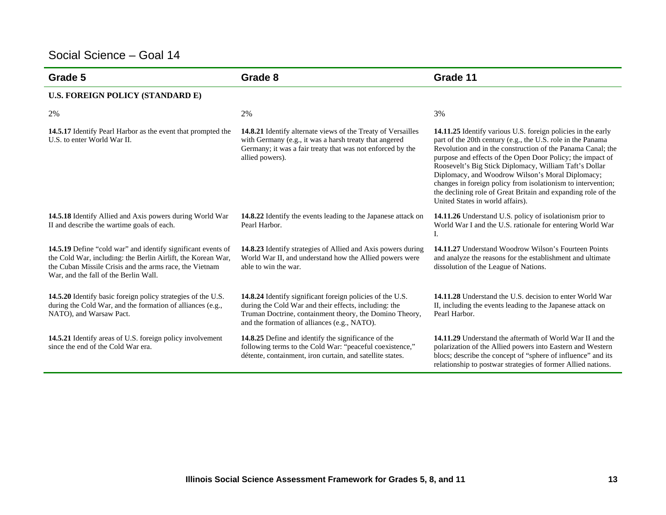| Grade 5                                                                                                                                                                                                                                 | Grade 8                                                                                                                                                                                                                       | Grade 11                                                                                                                                                                                                                                                                                                                                                                                                                                                                                                                                    |
|-----------------------------------------------------------------------------------------------------------------------------------------------------------------------------------------------------------------------------------------|-------------------------------------------------------------------------------------------------------------------------------------------------------------------------------------------------------------------------------|---------------------------------------------------------------------------------------------------------------------------------------------------------------------------------------------------------------------------------------------------------------------------------------------------------------------------------------------------------------------------------------------------------------------------------------------------------------------------------------------------------------------------------------------|
| U.S. FOREIGN POLICY (STANDARD E)                                                                                                                                                                                                        |                                                                                                                                                                                                                               |                                                                                                                                                                                                                                                                                                                                                                                                                                                                                                                                             |
| 2%                                                                                                                                                                                                                                      | 2%                                                                                                                                                                                                                            | 3%                                                                                                                                                                                                                                                                                                                                                                                                                                                                                                                                          |
| 14.5.17 Identify Pearl Harbor as the event that prompted the<br>U.S. to enter World War II.                                                                                                                                             | <b>14.8.21</b> Identify alternate views of the Treaty of Versailles<br>with Germany (e.g., it was a harsh treaty that angered<br>Germany; it was a fair treaty that was not enforced by the<br>allied powers).                | 14.11.25 Identify various U.S. foreign policies in the early<br>part of the 20th century (e.g., the U.S. role in the Panama<br>Revolution and in the construction of the Panama Canal; the<br>purpose and effects of the Open Door Policy; the impact of<br>Roosevelt's Big Stick Diplomacy, William Taft's Dollar<br>Diplomacy, and Woodrow Wilson's Moral Diplomacy;<br>changes in foreign policy from isolationism to intervention;<br>the declining role of Great Britain and expanding role of the<br>United States in world affairs). |
| 14.5.18 Identify Allied and Axis powers during World War<br>II and describe the wartime goals of each.                                                                                                                                  | 14.8.22 Identify the events leading to the Japanese attack on<br>Pearl Harbor.                                                                                                                                                | <b>14.11.26</b> Understand U.S. policy of isolationism prior to<br>World War I and the U.S. rationale for entering World War<br>I.                                                                                                                                                                                                                                                                                                                                                                                                          |
| <b>14.5.19</b> Define "cold war" and identify significant events of<br>the Cold War, including: the Berlin Airlift, the Korean War,<br>the Cuban Missile Crisis and the arms race, the Vietnam<br>War, and the fall of the Berlin Wall. | 14.8.23 Identify strategies of Allied and Axis powers during<br>World War II, and understand how the Allied powers were<br>able to win the war.                                                                               | <b>14.11.27</b> Understand Woodrow Wilson's Fourteen Points<br>and analyze the reasons for the establishment and ultimate<br>dissolution of the League of Nations.                                                                                                                                                                                                                                                                                                                                                                          |
| 14.5.20 Identify basic foreign policy strategies of the U.S.<br>during the Cold War, and the formation of alliances (e.g.,<br>NATO), and Warsaw Pact.                                                                                   | 14.8.24 Identify significant foreign policies of the U.S.<br>during the Cold War and their effects, including: the<br>Truman Doctrine, containment theory, the Domino Theory,<br>and the formation of alliances (e.g., NATO). | 14.11.28 Understand the U.S. decision to enter World War<br>II, including the events leading to the Japanese attack on<br>Pearl Harbor.                                                                                                                                                                                                                                                                                                                                                                                                     |
| 14.5.21 Identify areas of U.S. foreign policy involvement<br>since the end of the Cold War era.                                                                                                                                         | 14.8.25 Define and identify the significance of the<br>following terms to the Cold War: "peaceful coexistence,"<br>détente, containment, iron curtain, and satellite states.                                                  | <b>14.11.29</b> Understand the aftermath of World War II and the<br>polarization of the Allied powers into Eastern and Western<br>blocs; describe the concept of "sphere of influence" and its<br>relationship to postwar strategies of former Allied nations.                                                                                                                                                                                                                                                                              |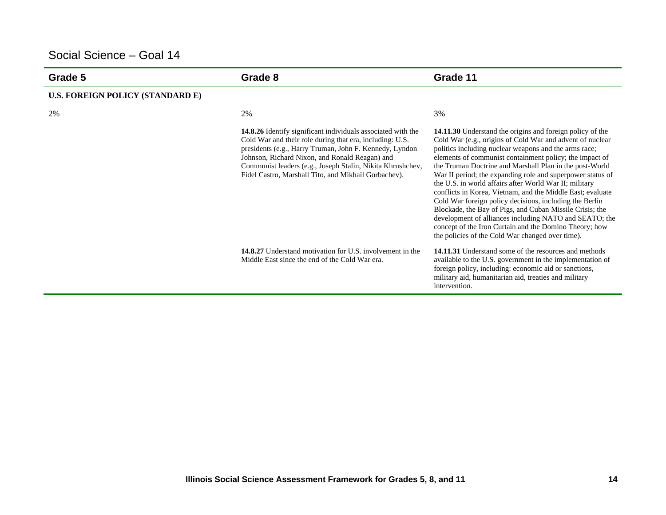| Grade 5                                 | Grade 8                                                                                                                                                                                                                                                                                                                                                     | Grade 11                                                                                                                                                                                                                                                                                                                                                                                                                                                                                                                                                                                                                                                                                                                                                                                   |
|-----------------------------------------|-------------------------------------------------------------------------------------------------------------------------------------------------------------------------------------------------------------------------------------------------------------------------------------------------------------------------------------------------------------|--------------------------------------------------------------------------------------------------------------------------------------------------------------------------------------------------------------------------------------------------------------------------------------------------------------------------------------------------------------------------------------------------------------------------------------------------------------------------------------------------------------------------------------------------------------------------------------------------------------------------------------------------------------------------------------------------------------------------------------------------------------------------------------------|
| <b>U.S. FOREIGN POLICY (STANDARD E)</b> |                                                                                                                                                                                                                                                                                                                                                             |                                                                                                                                                                                                                                                                                                                                                                                                                                                                                                                                                                                                                                                                                                                                                                                            |
| 2%                                      | 2%                                                                                                                                                                                                                                                                                                                                                          | 3%                                                                                                                                                                                                                                                                                                                                                                                                                                                                                                                                                                                                                                                                                                                                                                                         |
|                                         | 14.8.26 Identify significant individuals associated with the<br>Cold War and their role during that era, including: U.S.<br>presidents (e.g., Harry Truman, John F. Kennedy, Lyndon<br>Johnson, Richard Nixon, and Ronald Reagan) and<br>Communist leaders (e.g., Joseph Stalin, Nikita Khrushchev,<br>Fidel Castro, Marshall Tito, and Mikhail Gorbachev). | 14.11.30 Understand the origins and foreign policy of the<br>Cold War (e.g., origins of Cold War and advent of nuclear<br>politics including nuclear weapons and the arms race;<br>elements of communist containment policy; the impact of<br>the Truman Doctrine and Marshall Plan in the post-World<br>War II period; the expanding role and superpower status of<br>the U.S. in world affairs after World War II; military<br>conflicts in Korea, Vietnam, and the Middle East; evaluate<br>Cold War foreign policy decisions, including the Berlin<br>Blockade, the Bay of Pigs, and Cuban Missile Crisis; the<br>development of alliances including NATO and SEATO; the<br>concept of the Iron Curtain and the Domino Theory; how<br>the policies of the Cold War changed over time). |
|                                         | <b>14.8.27</b> Understand motivation for U.S. involvement in the<br>Middle East since the end of the Cold War era.                                                                                                                                                                                                                                          | <b>14.11.31</b> Understand some of the resources and methods<br>available to the U.S. government in the implementation of<br>foreign policy, including: economic aid or sanctions,<br>military aid, humanitarian aid, treaties and military<br>intervention.                                                                                                                                                                                                                                                                                                                                                                                                                                                                                                                               |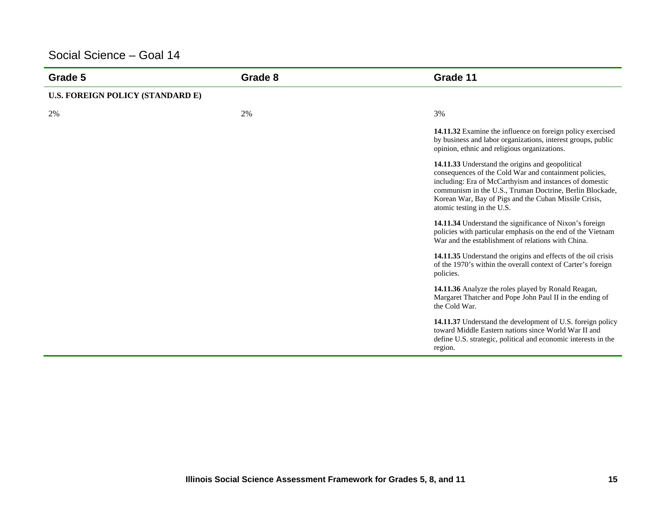| Grade 5                          | Grade 8 | Grade 11                                                                                                                                                                                                                                                                                                                 |
|----------------------------------|---------|--------------------------------------------------------------------------------------------------------------------------------------------------------------------------------------------------------------------------------------------------------------------------------------------------------------------------|
| U.S. FOREIGN POLICY (STANDARD E) |         |                                                                                                                                                                                                                                                                                                                          |
| 2%                               | 2%      | 3%                                                                                                                                                                                                                                                                                                                       |
|                                  |         | 14.11.32 Examine the influence on foreign policy exercised<br>by business and labor organizations, interest groups, public<br>opinion, ethnic and religious organizations.                                                                                                                                               |
|                                  |         | 14.11.33 Understand the origins and geopolitical<br>consequences of the Cold War and containment policies,<br>including: Era of McCarthyism and instances of domestic<br>communism in the U.S., Truman Doctrine, Berlin Blockade,<br>Korean War, Bay of Pigs and the Cuban Missile Crisis,<br>atomic testing in the U.S. |
|                                  |         | 14.11.34 Understand the significance of Nixon's foreign<br>policies with particular emphasis on the end of the Vietnam<br>War and the establishment of relations with China.                                                                                                                                             |
|                                  |         | 14.11.35 Understand the origins and effects of the oil crisis<br>of the 1970's within the overall context of Carter's foreign<br>policies.                                                                                                                                                                               |
|                                  |         | 14.11.36 Analyze the roles played by Ronald Reagan,<br>Margaret Thatcher and Pope John Paul II in the ending of<br>the Cold War.                                                                                                                                                                                         |
|                                  |         | 14.11.37 Understand the development of U.S. foreign policy<br>toward Middle Eastern nations since World War II and<br>define U.S. strategic, political and economic interests in the<br>region.                                                                                                                          |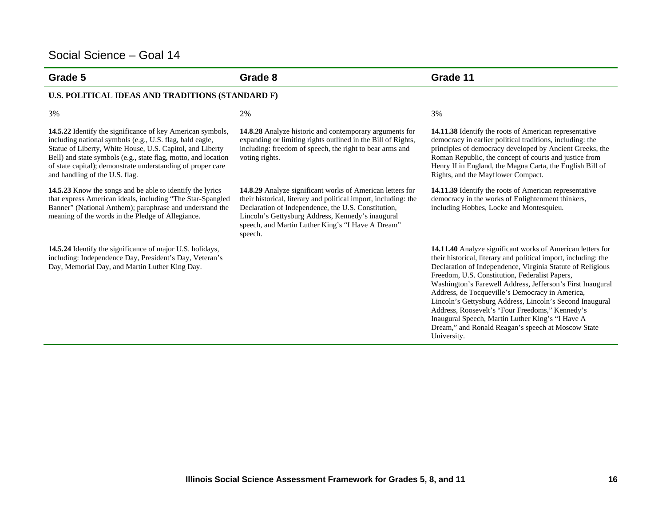| Grade 5                                                                                                                                                                                                                                                                                                                                                | Grade 8                                                                                                                                                                                                                                                                                                  | Grade 11                                                                                                                                                                                                                                                                                                                                                                                                                                                                                                                                                                                               |
|--------------------------------------------------------------------------------------------------------------------------------------------------------------------------------------------------------------------------------------------------------------------------------------------------------------------------------------------------------|----------------------------------------------------------------------------------------------------------------------------------------------------------------------------------------------------------------------------------------------------------------------------------------------------------|--------------------------------------------------------------------------------------------------------------------------------------------------------------------------------------------------------------------------------------------------------------------------------------------------------------------------------------------------------------------------------------------------------------------------------------------------------------------------------------------------------------------------------------------------------------------------------------------------------|
| U.S. POLITICAL IDEAS AND TRADITIONS (STANDARD F)                                                                                                                                                                                                                                                                                                       |                                                                                                                                                                                                                                                                                                          |                                                                                                                                                                                                                                                                                                                                                                                                                                                                                                                                                                                                        |
| 3%                                                                                                                                                                                                                                                                                                                                                     | 2%                                                                                                                                                                                                                                                                                                       | 3%                                                                                                                                                                                                                                                                                                                                                                                                                                                                                                                                                                                                     |
| 14.5.22 Identify the significance of key American symbols,<br>including national symbols (e.g., U.S. flag, bald eagle,<br>Statue of Liberty, White House, U.S. Capitol, and Liberty<br>Bell) and state symbols (e.g., state flag, motto, and location<br>of state capital); demonstrate understanding of proper care<br>and handling of the U.S. flag. | 14.8.28 Analyze historic and contemporary arguments for<br>expanding or limiting rights outlined in the Bill of Rights,<br>including: freedom of speech, the right to bear arms and<br>voting rights.                                                                                                    | 14.11.38 Identify the roots of American representative<br>democracy in earlier political traditions, including: the<br>principles of democracy developed by Ancient Greeks, the<br>Roman Republic, the concept of courts and justice from<br>Henry II in England, the Magna Carta, the English Bill of<br>Rights, and the Mayflower Compact.                                                                                                                                                                                                                                                           |
| 14.5.23 Know the songs and be able to identify the lyrics<br>that express American ideals, including "The Star-Spangled<br>Banner" (National Anthem); paraphrase and understand the<br>meaning of the words in the Pledge of Allegiance.                                                                                                               | 14.8.29 Analyze significant works of American letters for<br>their historical, literary and political import, including: the<br>Declaration of Independence, the U.S. Constitution,<br>Lincoln's Gettysburg Address, Kennedy's inaugural<br>speech, and Martin Luther King's "I Have A Dream"<br>speech. | 14.11.39 Identify the roots of American representative<br>democracy in the works of Enlightenment thinkers,<br>including Hobbes, Locke and Montesquieu.                                                                                                                                                                                                                                                                                                                                                                                                                                                |
| 14.5.24 Identify the significance of major U.S. holidays,<br>including: Independence Day, President's Day, Veteran's<br>Day, Memorial Day, and Martin Luther King Day.                                                                                                                                                                                 |                                                                                                                                                                                                                                                                                                          | 14.11.40 Analyze significant works of American letters for<br>their historical, literary and political import, including: the<br>Declaration of Independence, Virginia Statute of Religious<br>Freedom, U.S. Constitution, Federalist Papers,<br>Washington's Farewell Address, Jefferson's First Inaugural<br>Address, de Tocqueville's Democracy in America,<br>Lincoln's Gettysburg Address, Lincoln's Second Inaugural<br>Address, Roosevelt's "Four Freedoms," Kennedy's<br>Inaugural Speech, Martin Luther King's "I Have A<br>Dream," and Ronald Reagan's speech at Moscow State<br>University. |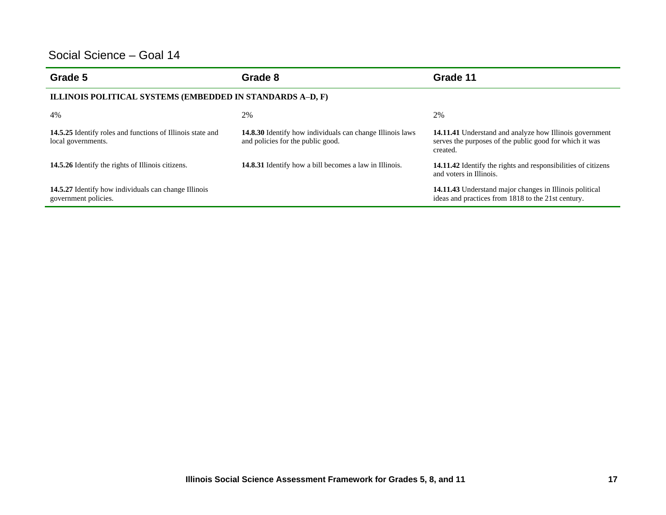| Grade 5                                                                          | Grade 8                                                                                               | Grade 11                                                                                                                       |  |
|----------------------------------------------------------------------------------|-------------------------------------------------------------------------------------------------------|--------------------------------------------------------------------------------------------------------------------------------|--|
| ILLINOIS POLITICAL SYSTEMS (EMBEDDED IN STANDARDS A-D, F)                        |                                                                                                       |                                                                                                                                |  |
| 4%                                                                               | 2%                                                                                                    | 2%                                                                                                                             |  |
| 14.5.25 Identify roles and functions of Illinois state and<br>local governments. | <b>14.8.30</b> Identify how individuals can change Illinois laws<br>and policies for the public good. | 14.11.41 Understand and analyze how Illinois government<br>serves the purposes of the public good for which it was<br>created. |  |
| 14.5.26 Identify the rights of Illinois citizens.                                | 14.8.31 Identify how a bill becomes a law in Illinois.                                                | 14.11.42 Identify the rights and responsibilities of citizens<br>and voters in Illinois.                                       |  |
| 14.5.27 Identify how individuals can change Illinois<br>government policies.     |                                                                                                       | 14.11.43 Understand major changes in Illinois political<br>ideas and practices from 1818 to the 21st century.                  |  |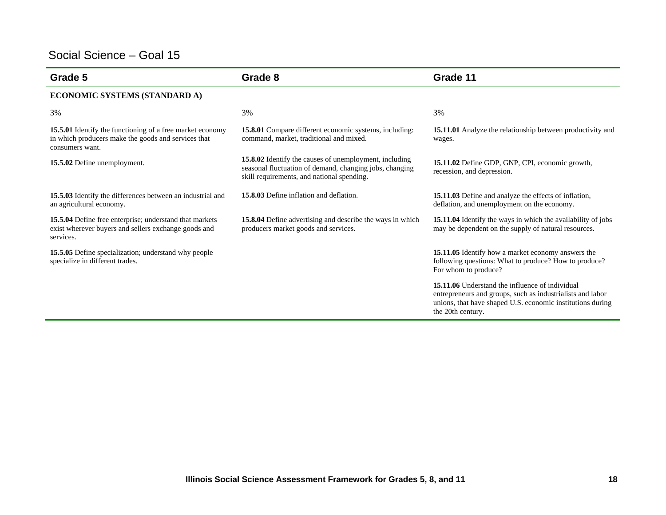| Grade 5                                                                                                                             | Grade 8                                                                                                                                                         | Grade 11                                                                                                                                                                                         |
|-------------------------------------------------------------------------------------------------------------------------------------|-----------------------------------------------------------------------------------------------------------------------------------------------------------------|--------------------------------------------------------------------------------------------------------------------------------------------------------------------------------------------------|
| ECONOMIC SYSTEMS (STANDARD A)                                                                                                       |                                                                                                                                                                 |                                                                                                                                                                                                  |
| 3%                                                                                                                                  | 3%                                                                                                                                                              | 3%                                                                                                                                                                                               |
| 15.5.01 Identify the functioning of a free market economy<br>in which producers make the goods and services that<br>consumers want. | <b>15.8.01</b> Compare different economic systems, including:<br>command, market, traditional and mixed.                                                        | 15.11.01 Analyze the relationship between productivity and<br>wages.                                                                                                                             |
| 15.5.02 Define unemployment.                                                                                                        | 15.8.02 Identify the causes of unemployment, including<br>seasonal fluctuation of demand, changing jobs, changing<br>skill requirements, and national spending. | 15.11.02 Define GDP, GNP, CPI, economic growth,<br>recession, and depression.                                                                                                                    |
| 15.5.03 Identify the differences between an industrial and<br>an agricultural economy.                                              | 15.8.03 Define inflation and deflation.                                                                                                                         | 15.11.03 Define and analyze the effects of inflation,<br>deflation, and unemployment on the economy.                                                                                             |
| 15.5.04 Define free enterprise; understand that markets<br>exist wherever buyers and sellers exchange goods and<br>services.        | 15.8.04 Define advertising and describe the ways in which<br>producers market goods and services.                                                               | 15.11.04 Identify the ways in which the availability of jobs<br>may be dependent on the supply of natural resources.                                                                             |
| 15.5.05 Define specialization; understand why people<br>specialize in different trades.                                             |                                                                                                                                                                 | 15.11.05 Identify how a market economy answers the<br>following questions: What to produce? How to produce?<br>For whom to produce?                                                              |
|                                                                                                                                     |                                                                                                                                                                 | 15.11.06 Understand the influence of individual<br>entrepreneurs and groups, such as industrialists and labor<br>unions, that have shaped U.S. economic institutions during<br>the 20th century. |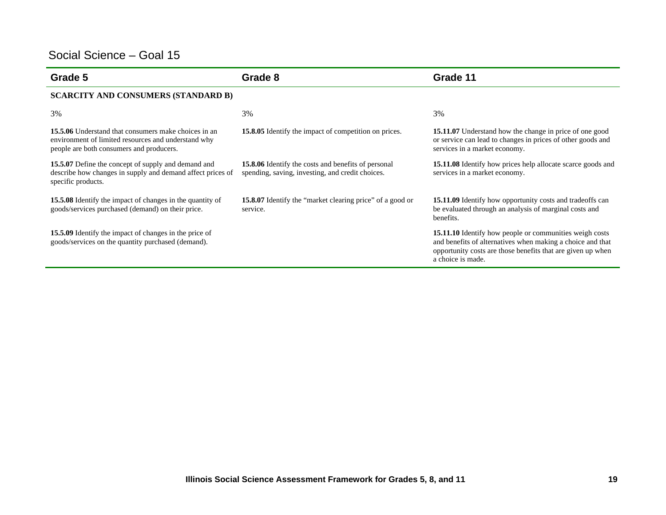| Grade 5                                                                                                                                                        | Grade 8                                                                                                        | Grade 11                                                                                                                                                                                                  |
|----------------------------------------------------------------------------------------------------------------------------------------------------------------|----------------------------------------------------------------------------------------------------------------|-----------------------------------------------------------------------------------------------------------------------------------------------------------------------------------------------------------|
| <b>SCARCITY AND CONSUMERS (STANDARD B)</b>                                                                                                                     |                                                                                                                |                                                                                                                                                                                                           |
| 3%                                                                                                                                                             | 3%                                                                                                             | 3%                                                                                                                                                                                                        |
| <b>15.5.06</b> Understand that consumers make choices in an<br>environment of limited resources and understand why<br>people are both consumers and producers. | 15.8.05 Identify the impact of competition on prices.                                                          | 15.11.07 Understand how the change in price of one good<br>or service can lead to changes in prices of other goods and<br>services in a market economy.                                                   |
| 15.5.07 Define the concept of supply and demand and<br>describe how changes in supply and demand affect prices of<br>specific products.                        | <b>15.8.06</b> Identify the costs and benefits of personal<br>spending, saving, investing, and credit choices. | <b>15.11.08</b> Identify how prices help allocate scarce goods and<br>services in a market economy.                                                                                                       |
| 15.5.08 Identify the impact of changes in the quantity of<br>goods/services purchased (demand) on their price.                                                 | 15.8.07 Identify the "market clearing price" of a good or<br>service.                                          | <b>15.11.09</b> Identify how opportunity costs and tradeoffs can<br>be evaluated through an analysis of marginal costs and<br>benefits.                                                                   |
| 15.5.09 Identify the impact of changes in the price of<br>goods/services on the quantity purchased (demand).                                                   |                                                                                                                | 15.11.10 Identify how people or communities weigh costs<br>and benefits of alternatives when making a choice and that<br>opportunity costs are those benefits that are given up when<br>a choice is made. |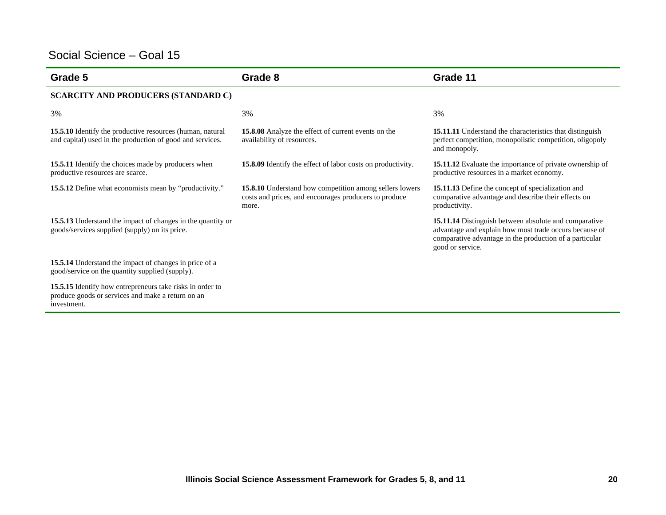| Grade 5                                                                                                                       | Grade 8                                                                                                                   | Grade 11                                                                                                                                                                                       |
|-------------------------------------------------------------------------------------------------------------------------------|---------------------------------------------------------------------------------------------------------------------------|------------------------------------------------------------------------------------------------------------------------------------------------------------------------------------------------|
| <b>SCARCITY AND PRODUCERS (STANDARD C)</b>                                                                                    |                                                                                                                           |                                                                                                                                                                                                |
| 3%                                                                                                                            | 3%                                                                                                                        | 3%                                                                                                                                                                                             |
| 15.5.10 Identify the productive resources (human, natural<br>and capital) used in the production of good and services.        | <b>15.8.08</b> Analyze the effect of current events on the<br>availability of resources.                                  | 15.11.11 Understand the characteristics that distinguish<br>perfect competition, monopolistic competition, oligopoly<br>and monopoly.                                                          |
| 15.5.11 Identify the choices made by producers when<br>productive resources are scarce.                                       | 15.8.09 Identify the effect of labor costs on productivity.                                                               | 15.11.12 Evaluate the importance of private ownership of<br>productive resources in a market economy.                                                                                          |
| 15.5.12 Define what economists mean by "productivity."                                                                        | 15.8.10 Understand how competition among sellers lowers<br>costs and prices, and encourages producers to produce<br>more. | 15.11.13 Define the concept of specialization and<br>comparative advantage and describe their effects on<br>productivity.                                                                      |
| 15.5.13 Understand the impact of changes in the quantity or<br>goods/services supplied (supply) on its price.                 |                                                                                                                           | 15.11.14 Distinguish between absolute and comparative<br>advantage and explain how most trade occurs because of<br>comparative advantage in the production of a particular<br>good or service. |
| 15.5.14 Understand the impact of changes in price of a<br>good/service on the quantity supplied (supply).                     |                                                                                                                           |                                                                                                                                                                                                |
| 15.5.15 Identify how entrepreneurs take risks in order to<br>produce goods or services and make a return on an<br>investment. |                                                                                                                           |                                                                                                                                                                                                |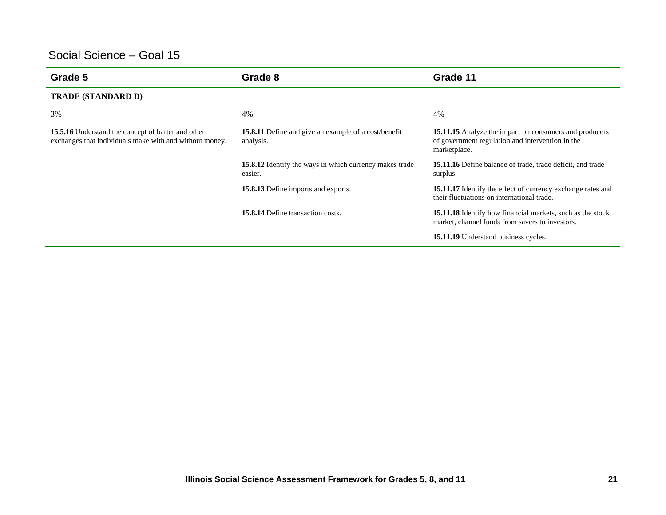| Grade 5                                                                                                              | Grade 8                                                                  | Grade 11                                                                                                                          |
|----------------------------------------------------------------------------------------------------------------------|--------------------------------------------------------------------------|-----------------------------------------------------------------------------------------------------------------------------------|
| <b>TRADE (STANDARD D)</b>                                                                                            |                                                                          |                                                                                                                                   |
| 3%                                                                                                                   | 4%                                                                       | 4%                                                                                                                                |
| <b>15.5.16</b> Understand the concept of barter and other<br>exchanges that individuals make with and without money. | <b>15.8.11</b> Define and give an example of a cost/benefit<br>analysis. | <b>15.11.15</b> Analyze the impact on consumers and producers<br>of government regulation and intervention in the<br>marketplace. |
|                                                                                                                      | 15.8.12 Identify the ways in which currency makes trade<br>easier.       | <b>15.11.16</b> Define balance of trade, trade deficit, and trade<br>surplus.                                                     |
|                                                                                                                      | 15.8.13 Define imports and exports.                                      | 15.11.17 Identify the effect of currency exchange rates and<br>their fluctuations on international trade.                         |
|                                                                                                                      | <b>15.8.14 Define transaction costs.</b>                                 | <b>15.11.18</b> Identify how financial markets, such as the stock<br>market, channel funds from savers to investors.              |
|                                                                                                                      |                                                                          | 15.11.19 Understand business cycles.                                                                                              |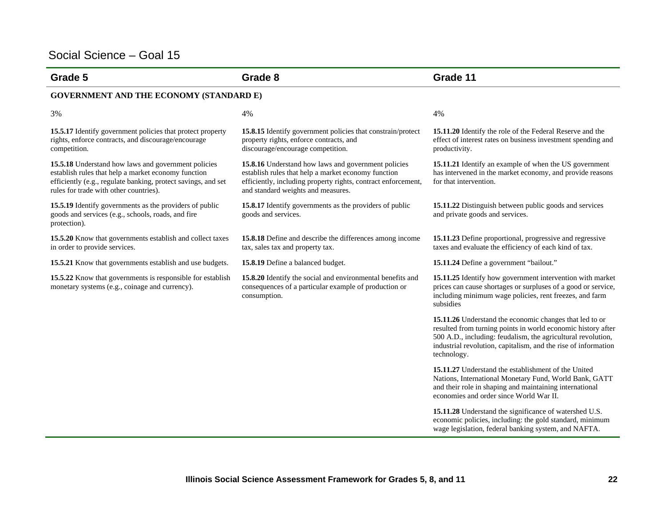| Grade 5                                                                                                                                                                                                               | Grade 8                                                                                                                                                                                                           | Grade 11                                                                                                                                                                                                                                                                 |  |
|-----------------------------------------------------------------------------------------------------------------------------------------------------------------------------------------------------------------------|-------------------------------------------------------------------------------------------------------------------------------------------------------------------------------------------------------------------|--------------------------------------------------------------------------------------------------------------------------------------------------------------------------------------------------------------------------------------------------------------------------|--|
| <b>GOVERNMENT AND THE ECONOMY (STANDARD E)</b>                                                                                                                                                                        |                                                                                                                                                                                                                   |                                                                                                                                                                                                                                                                          |  |
| 3%                                                                                                                                                                                                                    | 4%                                                                                                                                                                                                                | 4%                                                                                                                                                                                                                                                                       |  |
| 15.5.17 Identify government policies that protect property<br>rights, enforce contracts, and discourage/encourage<br>competition.                                                                                     | 15.8.15 Identify government policies that constrain/protect<br>property rights, enforce contracts, and<br>discourage/encourage competition.                                                                       | 15.11.20 Identify the role of the Federal Reserve and the<br>effect of interest rates on business investment spending and<br>productivity.                                                                                                                               |  |
| 15.5.18 Understand how laws and government policies<br>establish rules that help a market economy function<br>efficiently (e.g., regulate banking, protect savings, and set<br>rules for trade with other countries). | 15.8.16 Understand how laws and government policies<br>establish rules that help a market economy function<br>efficiently, including property rights, contract enforcement,<br>and standard weights and measures. | 15.11.21 Identify an example of when the US government<br>has intervened in the market economy, and provide reasons<br>for that intervention.                                                                                                                            |  |
| 15.5.19 Identify governments as the providers of public<br>goods and services (e.g., schools, roads, and fire<br>protection).                                                                                         | 15.8.17 Identify governments as the providers of public<br>goods and services.                                                                                                                                    | 15.11.22 Distinguish between public goods and services<br>and private goods and services.                                                                                                                                                                                |  |
| 15.5.20 Know that governments establish and collect taxes<br>in order to provide services.                                                                                                                            | 15.8.18 Define and describe the differences among income<br>tax, sales tax and property tax.                                                                                                                      | 15.11.23 Define proportional, progressive and regressive<br>taxes and evaluate the efficiency of each kind of tax.                                                                                                                                                       |  |
| 15.5.21 Know that governments establish and use budgets.                                                                                                                                                              | 15.8.19 Define a balanced budget.                                                                                                                                                                                 | 15.11.24 Define a government "bailout."                                                                                                                                                                                                                                  |  |
| 15.5.22 Know that governments is responsible for establish<br>monetary systems (e.g., coinage and currency).                                                                                                          | 15.8.20 Identify the social and environmental benefits and<br>consequences of a particular example of production or<br>consumption.                                                                               | 15.11.25 Identify how government intervention with market<br>prices can cause shortages or surpluses of a good or service,<br>including minimum wage policies, rent freezes, and farm<br>subsidies                                                                       |  |
|                                                                                                                                                                                                                       |                                                                                                                                                                                                                   | 15.11.26 Understand the economic changes that led to or<br>resulted from turning points in world economic history after<br>500 A.D., including: feudalism, the agricultural revolution,<br>industrial revolution, capitalism, and the rise of information<br>technology. |  |
|                                                                                                                                                                                                                       |                                                                                                                                                                                                                   | 15.11.27 Understand the establishment of the United<br>Nations, International Monetary Fund, World Bank, GATT<br>and their role in shaping and maintaining international<br>economies and order since World War II.                                                      |  |
|                                                                                                                                                                                                                       |                                                                                                                                                                                                                   | 15.11.28 Understand the significance of watershed U.S.<br>economic policies, including: the gold standard, minimum<br>wage legislation, federal banking system, and NAFTA.                                                                                               |  |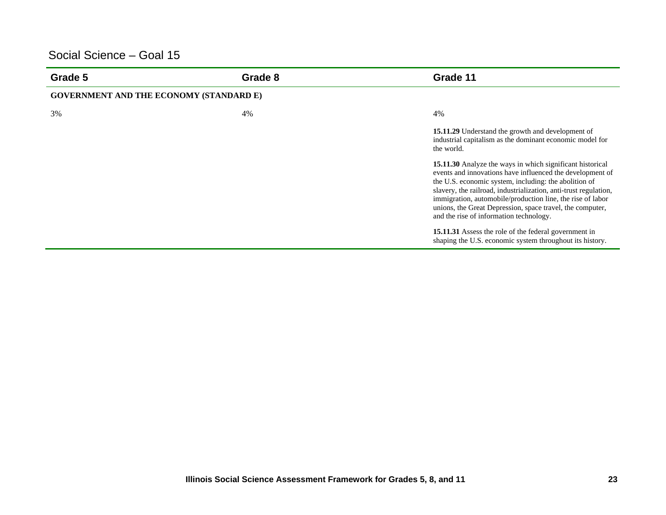| Grade 5                                        | Grade 8 | Grade 11                                                                                                                                                                                                                                                                                                                                                                                                                  |
|------------------------------------------------|---------|---------------------------------------------------------------------------------------------------------------------------------------------------------------------------------------------------------------------------------------------------------------------------------------------------------------------------------------------------------------------------------------------------------------------------|
| <b>GOVERNMENT AND THE ECONOMY (STANDARD E)</b> |         |                                                                                                                                                                                                                                                                                                                                                                                                                           |
| 3%                                             | 4%      | 4%                                                                                                                                                                                                                                                                                                                                                                                                                        |
|                                                |         | <b>15.11.29</b> Understand the growth and development of<br>industrial capitalism as the dominant economic model for<br>the world.                                                                                                                                                                                                                                                                                        |
|                                                |         | 15.11.30 Analyze the ways in which significant historical<br>events and innovations have influenced the development of<br>the U.S. economic system, including: the abolition of<br>slavery, the railroad, industrialization, anti-trust regulation,<br>immigration, automobile/production line, the rise of labor<br>unions, the Great Depression, space travel, the computer,<br>and the rise of information technology. |
|                                                |         | 15.11.31 Assess the role of the federal government in<br>shaping the U.S. economic system throughout its history.                                                                                                                                                                                                                                                                                                         |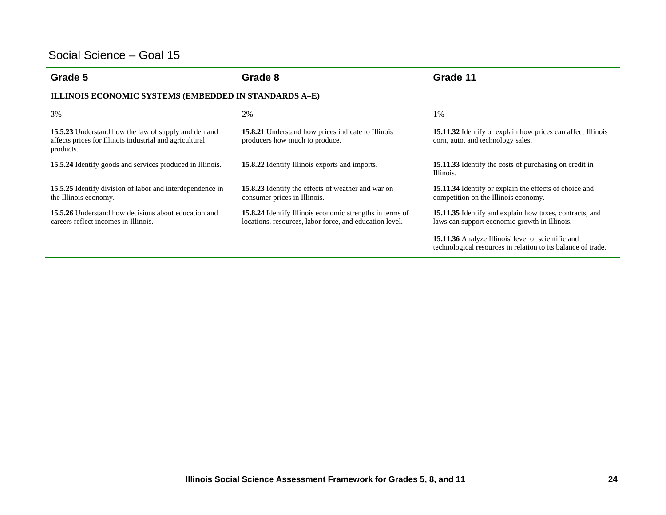| Grade 5                                                                                                                     | Grade 8                                                                                                                    | Grade 11                                                                                                           |
|-----------------------------------------------------------------------------------------------------------------------------|----------------------------------------------------------------------------------------------------------------------------|--------------------------------------------------------------------------------------------------------------------|
| ILLINOIS ECONOMIC SYSTEMS (EMBEDDED IN STANDARDS A-E)                                                                       |                                                                                                                            |                                                                                                                    |
| 3%                                                                                                                          | 2%                                                                                                                         | 1%                                                                                                                 |
| 15.5.23 Understand how the law of supply and demand<br>affects prices for Illinois industrial and agricultural<br>products. | 15.8.21 Understand how prices indicate to Illinois<br>producers how much to produce.                                       | 15.11.32 Identify or explain how prices can affect Illinois<br>corn, auto, and technology sales.                   |
| <b>15.5.24</b> Identify goods and services produced in Illinois.                                                            | <b>15.8.22</b> Identify Illinois exports and imports.                                                                      | <b>15.11.33</b> Identify the costs of purchasing on credit in<br>Illinois.                                         |
| 15.5.25 Identify division of labor and interdependence in<br>the Illinois economy.                                          | <b>15.8.23</b> Identify the effects of weather and war on<br>consumer prices in Illinois.                                  | 15.11.34 Identify or explain the effects of choice and<br>competition on the Illinois economy.                     |
| <b>15.5.26</b> Understand how decisions about education and<br>careers reflect incomes in Illinois.                         | <b>15.8.24</b> Identify Illinois economic strengths in terms of<br>locations, resources, labor force, and education level. | 15.11.35 Identify and explain how taxes, contracts, and<br>laws can support economic growth in Illinois.           |
|                                                                                                                             |                                                                                                                            | 15.11.36 Analyze Illinois' level of scientific and<br>technological resources in relation to its balance of trade. |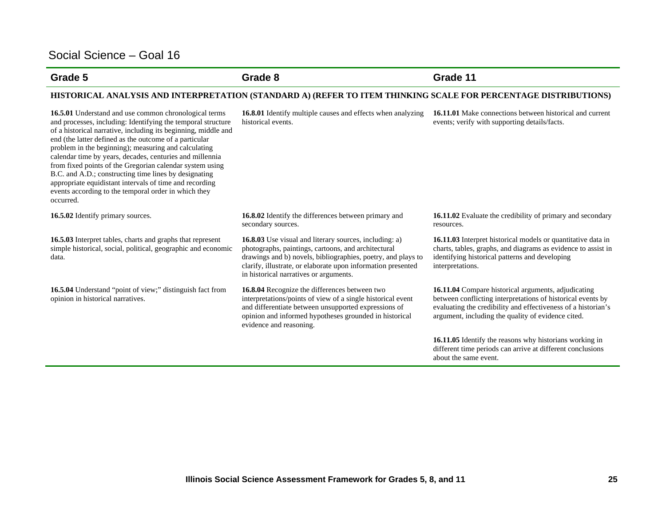#### **Grade 5 Grade 8 Grade 11**

#### **HISTORICAL ANALYSIS AND INTERPRETATION (STANDARD A) (REFER TO ITEM THINKING SCALE FOR PERCENTAGE DISTRIBUTIONS)**

**16.5.01** Understand and use common chronological terms and processes, including: Identifying the temporal structure of a historical narrative, including its beginning, middle and end (the latter defined as the outcome of a particular problem in the beginning); measuring and calculating calendar time by years, decades, centuries and millennia from fixed points of the Gregorian calendar system using B.C. and A.D.; constructing time lines by designating appropriate equidistant intervals of time and recording events according to the temporal order in which they occurred.

**16.5.03** Interpret tables, charts and graphs that represent simple historical, social, political, geographic and economic data.

**16.5.04** Understand "point of view;" distinguish fact from opinion in historical narratives.

**16.8.01** Identify multiple causes and effects when analyzing historical events.

**16.11.01** Make connections between historical and current events; verify with supporting details/facts.

**16.5.02** Identify primary sources. **16.8.02** Identify the differences between primary and secondary sources.

> **16.8.03** Use visual and literary sources, including: a) photographs, paintings, cartoons, and architectural drawings and b) novels, bibliographies, poetry, and plays to clarify, illustrate, or elaborate upon information presented in historical narratives or arguments.

**16.8.04** Recognize the differences between two interpretations/points of view of a single historical event and differentiate between unsupported expressions of opinion and informed hypotheses grounded in historical evidence and reasoning.

**16.11.02** Evaluate the credibility of primary and secondary resources.

**16.11.03** Interpret historical models or quantitative data in charts, tables, graphs, and diagrams as evidence to assist in identifying historical patterns and developing interpretations.

**16.11.04** Compare historical arguments, adjudicating between conflicting interpretations of historical events by evaluating the credibility and effectiveness of a historian's argument, including the quality of evidence cited.

**16.11.05** Identify the reasons why historians working in different time periods can arrive at different conclusions about the same event.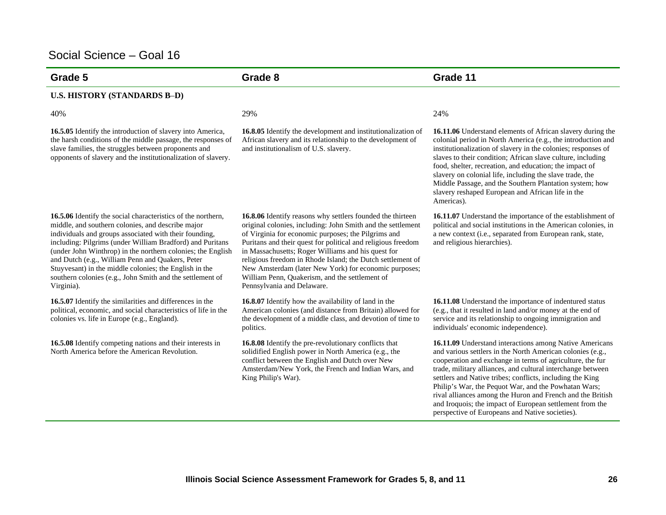| Grade 5                                                                                                                                                                                                                                                                                                                                                                                                                                                                                          | Grade 8                                                                                                                                                                                                                                                                                                                                                                                                                                                                                                       | Grade 11                                                                                                                                                                                                                                                                                                                                                                                                                                                                                                                                            |
|--------------------------------------------------------------------------------------------------------------------------------------------------------------------------------------------------------------------------------------------------------------------------------------------------------------------------------------------------------------------------------------------------------------------------------------------------------------------------------------------------|---------------------------------------------------------------------------------------------------------------------------------------------------------------------------------------------------------------------------------------------------------------------------------------------------------------------------------------------------------------------------------------------------------------------------------------------------------------------------------------------------------------|-----------------------------------------------------------------------------------------------------------------------------------------------------------------------------------------------------------------------------------------------------------------------------------------------------------------------------------------------------------------------------------------------------------------------------------------------------------------------------------------------------------------------------------------------------|
| <b>U.S. HISTORY (STANDARDS B-D)</b>                                                                                                                                                                                                                                                                                                                                                                                                                                                              |                                                                                                                                                                                                                                                                                                                                                                                                                                                                                                               |                                                                                                                                                                                                                                                                                                                                                                                                                                                                                                                                                     |
| 40%                                                                                                                                                                                                                                                                                                                                                                                                                                                                                              | 29%                                                                                                                                                                                                                                                                                                                                                                                                                                                                                                           | 24%                                                                                                                                                                                                                                                                                                                                                                                                                                                                                                                                                 |
| 16.5.05 Identify the introduction of slavery into America,<br>the harsh conditions of the middle passage, the responses of<br>slave families, the struggles between proponents and<br>opponents of slavery and the institutionalization of slavery.                                                                                                                                                                                                                                              | 16.8.05 Identify the development and institutionalization of<br>African slavery and its relationship to the development of<br>and institutionalism of U.S. slavery.                                                                                                                                                                                                                                                                                                                                           | 16.11.06 Understand elements of African slavery during the<br>colonial period in North America (e.g., the introduction and<br>institutionalization of slavery in the colonies; responses of<br>slaves to their condition; African slave culture, including<br>food, shelter, recreation, and education; the impact of<br>slavery on colonial life, including the slave trade, the<br>Middle Passage, and the Southern Plantation system; how<br>slavery reshaped European and African life in the<br>Americas).                                     |
| 16.5.06 Identify the social characteristics of the northern,<br>middle, and southern colonies, and describe major<br>individuals and groups associated with their founding,<br>including: Pilgrims (under William Bradford) and Puritans<br>(under John Winthrop) in the northern colonies; the English<br>and Dutch (e.g., William Penn and Quakers, Peter<br>Stuyvesant) in the middle colonies; the English in the<br>southern colonies (e.g., John Smith and the settlement of<br>Virginia). | 16.8.06 Identify reasons why settlers founded the thirteen<br>original colonies, including: John Smith and the settlement<br>of Virginia for economic purposes; the Pilgrims and<br>Puritans and their quest for political and religious freedom<br>in Massachusetts; Roger Williams and his quest for<br>religious freedom in Rhode Island; the Dutch settlement of<br>New Amsterdam (later New York) for economic purposes;<br>William Penn, Quakerism, and the settlement of<br>Pennsylvania and Delaware. | 16.11.07 Understand the importance of the establishment of<br>political and social institutions in the American colonies, in<br>a new context (i.e., separated from European rank, state,<br>and religious hierarchies).                                                                                                                                                                                                                                                                                                                            |
| 16.5.07 Identify the similarities and differences in the<br>political, economic, and social characteristics of life in the<br>colonies vs. life in Europe (e.g., England).                                                                                                                                                                                                                                                                                                                       | 16.8.07 Identify how the availability of land in the<br>American colonies (and distance from Britain) allowed for<br>the development of a middle class, and devotion of time to<br>politics.                                                                                                                                                                                                                                                                                                                  | 16.11.08 Understand the importance of indentured status<br>(e.g., that it resulted in land and/or money at the end of<br>service and its relationship to ongoing immigration and<br>individuals' economic independence).                                                                                                                                                                                                                                                                                                                            |
| 16.5.08 Identify competing nations and their interests in<br>North America before the American Revolution.                                                                                                                                                                                                                                                                                                                                                                                       | 16.8.08 Identify the pre-revolutionary conflicts that<br>solidified English power in North America (e.g., the<br>conflict between the English and Dutch over New<br>Amsterdam/New York, the French and Indian Wars, and<br>King Philip's War).                                                                                                                                                                                                                                                                | 16.11.09 Understand interactions among Native Americans<br>and various settlers in the North American colonies (e.g.,<br>cooperation and exchange in terms of agriculture, the fur<br>trade, military alliances, and cultural interchange between<br>settlers and Native tribes; conflicts, including the King<br>Philip's War, the Pequot War, and the Powhatan Wars;<br>rival alliances among the Huron and French and the British<br>and Iroquois; the impact of European settlement from the<br>perspective of Europeans and Native societies). |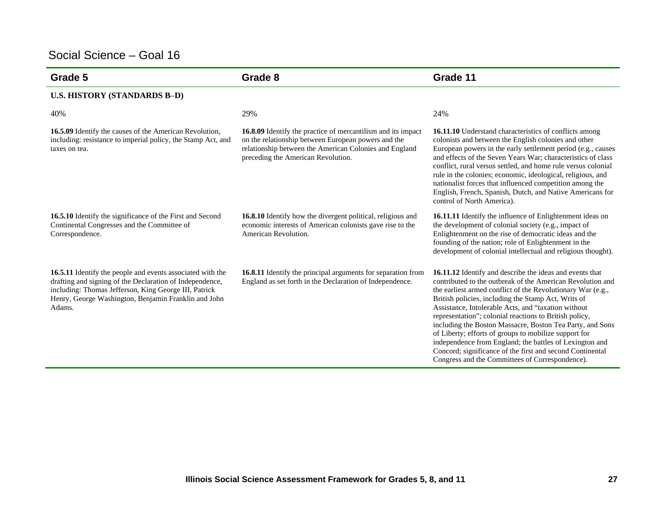| Grade 5                                                                                                                                                                                                                                           | Grade 8                                                                                                                                                                                                             | Grade 11                                                                                                                                                                                                                                                                                                                                                                                                                                                                                                                                                                                                                                                       |
|---------------------------------------------------------------------------------------------------------------------------------------------------------------------------------------------------------------------------------------------------|---------------------------------------------------------------------------------------------------------------------------------------------------------------------------------------------------------------------|----------------------------------------------------------------------------------------------------------------------------------------------------------------------------------------------------------------------------------------------------------------------------------------------------------------------------------------------------------------------------------------------------------------------------------------------------------------------------------------------------------------------------------------------------------------------------------------------------------------------------------------------------------------|
| <b>U.S. HISTORY (STANDARDS B-D)</b>                                                                                                                                                                                                               |                                                                                                                                                                                                                     |                                                                                                                                                                                                                                                                                                                                                                                                                                                                                                                                                                                                                                                                |
| 40%                                                                                                                                                                                                                                               | 29%                                                                                                                                                                                                                 | 24%                                                                                                                                                                                                                                                                                                                                                                                                                                                                                                                                                                                                                                                            |
| 16.5.09 Identify the causes of the American Revolution,<br>including: resistance to imperial policy, the Stamp Act, and<br>taxes on tea.                                                                                                          | 16.8.09 Identify the practice of mercantilism and its impact<br>on the relationship between European powers and the<br>relationship between the American Colonies and England<br>preceding the American Revolution. | 16.11.10 Understand characteristics of conflicts among<br>colonists and between the English colonies and other<br>European powers in the early settlement period (e.g., causes<br>and effects of the Seven Years War; characteristics of class<br>conflict, rural versus settled, and home rule versus colonial<br>rule in the colonies; economic, ideological, religious, and<br>nationalist forces that influenced competition among the<br>English, French, Spanish, Dutch, and Native Americans for<br>control of North America).                                                                                                                          |
| 16.5.10 Identify the significance of the First and Second<br>Continental Congresses and the Committee of<br>Correspondence.                                                                                                                       | 16.8.10 Identify how the divergent political, religious and<br>economic interests of American colonists gave rise to the<br>American Revolution.                                                                    | 16.11.11 Identify the influence of Enlightenment ideas on<br>the development of colonial society (e.g., impact of<br>Enlightenment on the rise of democratic ideas and the<br>founding of the nation; role of Enlightenment in the<br>development of colonial intellectual and religious thought).                                                                                                                                                                                                                                                                                                                                                             |
| 16.5.11 Identify the people and events associated with the<br>drafting and signing of the Declaration of Independence,<br>including: Thomas Jefferson, King George III, Patrick<br>Henry, George Washington, Benjamin Franklin and John<br>Adams. | 16.8.11 Identify the principal arguments for separation from<br>England as set forth in the Declaration of Independence.                                                                                            | 16.11.12 Identify and describe the ideas and events that<br>contributed to the outbreak of the American Revolution and<br>the earliest armed conflict of the Revolutionary War (e.g.,<br>British policies, including the Stamp Act, Writs of<br>Assistance, Intolerable Acts, and "taxation without<br>representation"; colonial reactions to British policy,<br>including the Boston Massacre, Boston Tea Party, and Sons<br>of Liberty; efforts of groups to mobilize support for<br>independence from England; the battles of Lexington and<br>Concord; significance of the first and second Continental<br>Congress and the Committees of Correspondence). |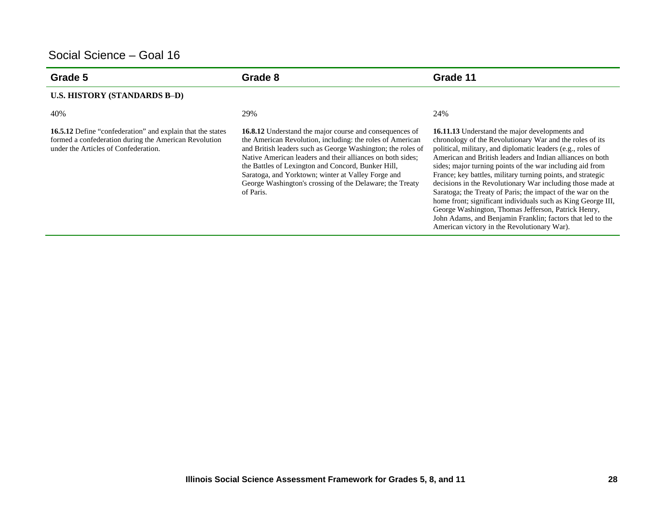| Grade 5                                                                                                                                                            | Grade 8                                                                                                                                                                                                                                                                                                                                                                                                                                       | Grade 11                                                                                                                                                                                                                                                                                                                                                                                                                                                                                                                                                                                                                                                                                                                            |
|--------------------------------------------------------------------------------------------------------------------------------------------------------------------|-----------------------------------------------------------------------------------------------------------------------------------------------------------------------------------------------------------------------------------------------------------------------------------------------------------------------------------------------------------------------------------------------------------------------------------------------|-------------------------------------------------------------------------------------------------------------------------------------------------------------------------------------------------------------------------------------------------------------------------------------------------------------------------------------------------------------------------------------------------------------------------------------------------------------------------------------------------------------------------------------------------------------------------------------------------------------------------------------------------------------------------------------------------------------------------------------|
| <b>U.S. HISTORY (STANDARDS B-D)</b>                                                                                                                                |                                                                                                                                                                                                                                                                                                                                                                                                                                               |                                                                                                                                                                                                                                                                                                                                                                                                                                                                                                                                                                                                                                                                                                                                     |
| 40%                                                                                                                                                                | 29%                                                                                                                                                                                                                                                                                                                                                                                                                                           | 24%                                                                                                                                                                                                                                                                                                                                                                                                                                                                                                                                                                                                                                                                                                                                 |
| <b>16.5.12</b> Define "confederation" and explain that the states<br>formed a confederation during the American Revolution<br>under the Articles of Confederation. | <b>16.8.12</b> Understand the major course and consequences of<br>the American Revolution, including: the roles of American<br>and British leaders such as George Washington; the roles of<br>Native American leaders and their alliances on both sides:<br>the Battles of Lexington and Concord, Bunker Hill,<br>Saratoga, and Yorktown; winter at Valley Forge and<br>George Washington's crossing of the Delaware; the Treaty<br>of Paris. | 16.11.13 Understand the major developments and<br>chronology of the Revolutionary War and the roles of its<br>political, military, and diplomatic leaders (e.g., roles of<br>American and British leaders and Indian alliances on both<br>sides; major turning points of the war including aid from<br>France; key battles, military turning points, and strategic<br>decisions in the Revolutionary War including those made at<br>Saratoga; the Treaty of Paris; the impact of the war on the<br>home front; significant individuals such as King George III,<br>George Washington, Thomas Jefferson, Patrick Henry,<br>John Adams, and Benjamin Franklin; factors that led to the<br>American victory in the Revolutionary War). |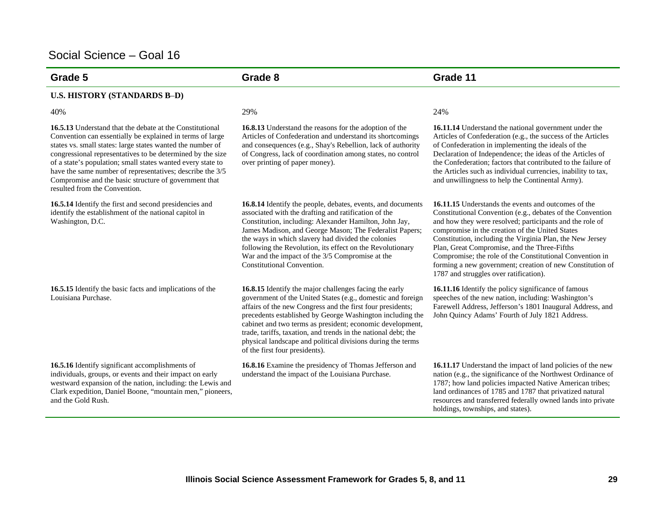| Grade 5                                                                                                                                                                                                                                                                                                                                                                                                                                                                        | Grade 8                                                                                                                                                                                                                                                                                                                                                                                                                                                                          | Grade 11                                                                                                                                                                                                                                                                                                                                                                                                                                                                                                                |
|--------------------------------------------------------------------------------------------------------------------------------------------------------------------------------------------------------------------------------------------------------------------------------------------------------------------------------------------------------------------------------------------------------------------------------------------------------------------------------|----------------------------------------------------------------------------------------------------------------------------------------------------------------------------------------------------------------------------------------------------------------------------------------------------------------------------------------------------------------------------------------------------------------------------------------------------------------------------------|-------------------------------------------------------------------------------------------------------------------------------------------------------------------------------------------------------------------------------------------------------------------------------------------------------------------------------------------------------------------------------------------------------------------------------------------------------------------------------------------------------------------------|
| <b>U.S. HISTORY (STANDARDS B-D)</b>                                                                                                                                                                                                                                                                                                                                                                                                                                            |                                                                                                                                                                                                                                                                                                                                                                                                                                                                                  |                                                                                                                                                                                                                                                                                                                                                                                                                                                                                                                         |
| 40%                                                                                                                                                                                                                                                                                                                                                                                                                                                                            | 29%                                                                                                                                                                                                                                                                                                                                                                                                                                                                              | 24%                                                                                                                                                                                                                                                                                                                                                                                                                                                                                                                     |
| <b>16.5.13</b> Understand that the debate at the Constitutional<br>Convention can essentially be explained in terms of large<br>states vs. small states: large states wanted the number of<br>congressional representatives to be determined by the size<br>of a state's population; small states wanted every state to<br>have the same number of representatives; describe the 3/5<br>Compromise and the basic structure of government that<br>resulted from the Convention. | <b>16.8.13</b> Understand the reasons for the adoption of the<br>Articles of Confederation and understand its shortcomings<br>and consequences (e.g., Shay's Rebellion, lack of authority<br>of Congress, lack of coordination among states, no control<br>over printing of paper money).                                                                                                                                                                                        | 16.11.14 Understand the national government under the<br>Articles of Confederation (e.g., the success of the Articles<br>of Confederation in implementing the ideals of the<br>Declaration of Independence; the ideas of the Articles of<br>the Confederation; factors that contributed to the failure of<br>the Articles such as individual currencies, inability to tax,<br>and unwillingness to help the Continental Army).                                                                                          |
| 16.5.14 Identify the first and second presidencies and<br>identify the establishment of the national capitol in<br>Washington, D.C.                                                                                                                                                                                                                                                                                                                                            | 16.8.14 Identify the people, debates, events, and documents<br>associated with the drafting and ratification of the<br>Constitution, including: Alexander Hamilton, John Jay,<br>James Madison, and George Mason; The Federalist Papers;<br>the ways in which slavery had divided the colonies<br>following the Revolution, its effect on the Revolutionary<br>War and the impact of the 3/5 Compromise at the<br>Constitutional Convention.                                     | <b>16.11.15</b> Understands the events and outcomes of the<br>Constitutional Convention (e.g., debates of the Convention<br>and how they were resolved; participants and the role of<br>compromise in the creation of the United States<br>Constitution, including the Virginia Plan, the New Jersey<br>Plan, Great Compromise, and the Three-Fifths<br>Compromise; the role of the Constitutional Convention in<br>forming a new government; creation of new Constitution of<br>1787 and struggles over ratification). |
| 16.5.15 Identify the basic facts and implications of the<br>Louisiana Purchase.                                                                                                                                                                                                                                                                                                                                                                                                | 16.8.15 Identify the major challenges facing the early<br>government of the United States (e.g., domestic and foreign<br>affairs of the new Congress and the first four presidents;<br>precedents established by George Washington including the<br>cabinet and two terms as president; economic development,<br>trade, tariffs, taxation, and trends in the national debt; the<br>physical landscape and political divisions during the terms<br>of the first four presidents). | 16.11.16 Identify the policy significance of famous<br>speeches of the new nation, including: Washington's<br>Farewell Address, Jefferson's 1801 Inaugural Address, and<br>John Quincy Adams' Fourth of July 1821 Address.                                                                                                                                                                                                                                                                                              |
| 16.5.16 Identify significant accomplishments of<br>individuals, groups, or events and their impact on early<br>westward expansion of the nation, including: the Lewis and<br>Clark expedition, Daniel Boone, "mountain men," pioneers,<br>and the Gold Rush.                                                                                                                                                                                                                   | 16.8.16 Examine the presidency of Thomas Jefferson and<br>understand the impact of the Louisiana Purchase.                                                                                                                                                                                                                                                                                                                                                                       | 16.11.17 Understand the impact of land policies of the new<br>nation (e.g., the significance of the Northwest Ordinance of<br>1787; how land policies impacted Native American tribes;<br>land ordinances of 1785 and 1787 that privatized natural<br>resources and transferred federally owned lands into private<br>holdings, townships, and states).                                                                                                                                                                 |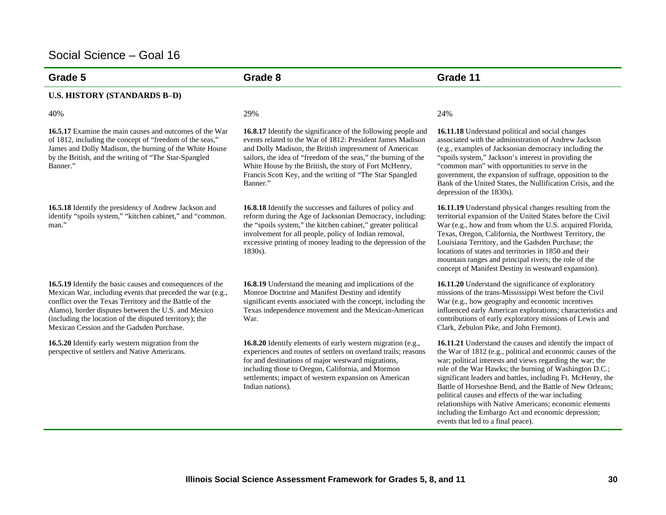| Grade 5                                                                                                                                                                                                                                                                                                                                           | Grade 8                                                                                                                                                                                                                                                                                                                                                                                          | Grade 11                                                                                                                                                                                                                                                                                                                                                                                                                                                                                                                                                                              |
|---------------------------------------------------------------------------------------------------------------------------------------------------------------------------------------------------------------------------------------------------------------------------------------------------------------------------------------------------|--------------------------------------------------------------------------------------------------------------------------------------------------------------------------------------------------------------------------------------------------------------------------------------------------------------------------------------------------------------------------------------------------|---------------------------------------------------------------------------------------------------------------------------------------------------------------------------------------------------------------------------------------------------------------------------------------------------------------------------------------------------------------------------------------------------------------------------------------------------------------------------------------------------------------------------------------------------------------------------------------|
| <b>U.S. HISTORY (STANDARDS B-D)</b>                                                                                                                                                                                                                                                                                                               |                                                                                                                                                                                                                                                                                                                                                                                                  |                                                                                                                                                                                                                                                                                                                                                                                                                                                                                                                                                                                       |
| 40%                                                                                                                                                                                                                                                                                                                                               | 29%                                                                                                                                                                                                                                                                                                                                                                                              | 24%                                                                                                                                                                                                                                                                                                                                                                                                                                                                                                                                                                                   |
| <b>16.5.17</b> Examine the main causes and outcomes of the War<br>of 1812, including the concept of "freedom of the seas,"<br>James and Dolly Madison, the burning of the White House<br>by the British, and the writing of "The Star-Spangled<br>Banner."                                                                                        | <b>16.8.17</b> Identify the significance of the following people and<br>events related to the War of 1812: President James Madison<br>and Dolly Madison, the British impressment of American<br>sailors, the idea of "freedom of the seas," the burning of the<br>White House by the British, the story of Fort McHenry,<br>Francis Scott Key, and the writing of "The Star Spangled<br>Banner." | 16.11.18 Understand political and social changes<br>associated with the administration of Andrew Jackson<br>(e.g., examples of Jacksonian democracy including the<br>"spoils system," Jackson's interest in providing the<br>"common man" with opportunities to serve in the<br>government, the expansion of suffrage, opposition to the<br>Bank of the United States, the Nullification Crisis, and the<br>depression of the 1830s).                                                                                                                                                 |
| 16.5.18 Identify the presidency of Andrew Jackson and<br>identify "spoils system," "kitchen cabinet," and "common.<br>man."                                                                                                                                                                                                                       | <b>16.8.18</b> Identify the successes and failures of policy and<br>reform during the Age of Jacksonian Democracy, including:<br>the "spoils system," the kitchen cabinet," greater political<br>involvement for all people, policy of Indian removal,<br>excessive printing of money leading to the depression of the<br>1830s).                                                                | 16.11.19 Understand physical changes resulting from the<br>territorial expansion of the United States before the Civil<br>War (e.g., how and from whom the U.S. acquired Florida,<br>Texas, Oregon, California, the Northwest Territory, the<br>Louisiana Territory, and the Gadsden Purchase; the<br>locations of states and territories in 1850 and their<br>mountain ranges and principal rivers; the role of the<br>concept of Manifest Destiny in westward expansion).                                                                                                           |
| 16.5.19 Identify the basic causes and consequences of the<br>Mexican War, including events that preceded the war (e.g.,<br>conflict over the Texas Territory and the Battle of the<br>Alamo), border disputes between the U.S. and Mexico<br>(including the location of the disputed territory); the<br>Mexican Cession and the Gadsden Purchase. | 16.8.19 Understand the meaning and implications of the<br>Monroe Doctrine and Manifest Destiny and identify<br>significant events associated with the concept, including the<br>Texas independence movement and the Mexican-American<br>War.                                                                                                                                                     | 16.11.20 Understand the significance of exploratory<br>missions of the trans-Mississippi West before the Civil<br>War (e.g., how geography and economic incentives<br>influenced early American explorations; characteristics and<br>contributions of early exploratory missions of Lewis and<br>Clark, Zebulon Pike, and John Fremont).                                                                                                                                                                                                                                              |
| 16.5.20 Identify early western migration from the<br>perspective of settlers and Native Americans.                                                                                                                                                                                                                                                | <b>16.8.20</b> Identify elements of early western migration (e.g.,<br>experiences and routes of settlers on overland trails; reasons<br>for and destinations of major westward migrations,<br>including those to Oregon, California, and Mormon<br>settlements; impact of western expansion on American<br>Indian nations).                                                                      | 16.11.21 Understand the causes and identify the impact of<br>the War of 1812 (e.g., political and economic causes of the<br>war; political interests and views regarding the war; the<br>role of the War Hawks; the burning of Washington D.C.;<br>significant leaders and battles, including Ft. McHenry, the<br>Battle of Horseshoe Bend, and the Battle of New Orleans;<br>political causes and effects of the war including<br>relationships with Native Americans; economic elements<br>including the Embargo Act and economic depression;<br>events that led to a final peace). |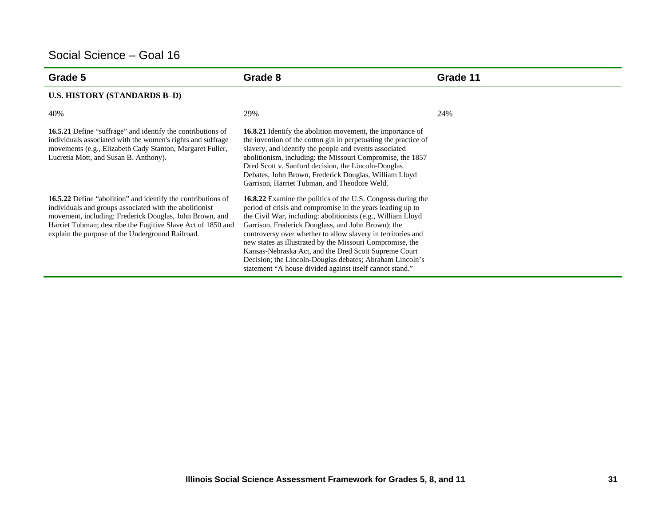| Grade 5                                                                                                                                                                                                                                                                                                      | Grade 8                                                                                                                                                                                                                                                                                                                                                                                                                                                                                                                                                        | Grade 11 |
|--------------------------------------------------------------------------------------------------------------------------------------------------------------------------------------------------------------------------------------------------------------------------------------------------------------|----------------------------------------------------------------------------------------------------------------------------------------------------------------------------------------------------------------------------------------------------------------------------------------------------------------------------------------------------------------------------------------------------------------------------------------------------------------------------------------------------------------------------------------------------------------|----------|
| <b>U.S. HISTORY (STANDARDS B-D)</b>                                                                                                                                                                                                                                                                          |                                                                                                                                                                                                                                                                                                                                                                                                                                                                                                                                                                |          |
| 40%                                                                                                                                                                                                                                                                                                          | 29%                                                                                                                                                                                                                                                                                                                                                                                                                                                                                                                                                            | 24%      |
| <b>16.5.21</b> Define "suffrage" and identify the contributions of<br>individuals associated with the women's rights and suffrage<br>movements (e.g., Elizabeth Cady Stanton, Margaret Fuller,<br>Lucretia Mott, and Susan B. Anthony).                                                                      | <b>16.8.21</b> Identify the abolition movement, the importance of<br>the invention of the cotton gin in perpetuating the practice of<br>slavery, and identify the people and events associated<br>abolitionism, including: the Missouri Compromise, the 1857<br>Dred Scott v. Sanford decision, the Lincoln-Douglas<br>Debates, John Brown, Frederick Douglas, William Lloyd<br>Garrison, Harriet Tubman, and Theodore Weld.                                                                                                                                   |          |
| <b>16.5.22</b> Define "abolition" and identify the contributions of<br>individuals and groups associated with the abolitionist<br>movement, including: Frederick Douglas, John Brown, and<br>Harriet Tubman; describe the Fugitive Slave Act of 1850 and<br>explain the purpose of the Underground Railroad. | 16.8.22 Examine the politics of the U.S. Congress during the<br>period of crisis and compromise in the years leading up to<br>the Civil War, including: abolitionists (e.g., William Lloyd<br>Garrison, Frederick Douglass, and John Brown); the<br>controversy over whether to allow slavery in territories and<br>new states as illustrated by the Missouri Compromise, the<br>Kansas-Nebraska Act, and the Dred Scott Supreme Court<br>Decision; the Lincoln-Douglas debates; Abraham Lincoln's<br>statement "A house divided against itself cannot stand." |          |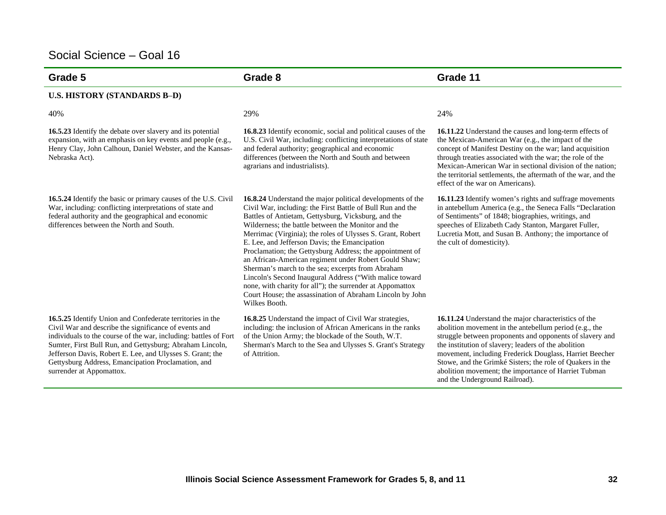| Grade 5                                                                                                                                                                                                                                                                                                                                                                                           | Grade 8                                                                                                                                                                                                                                                                                                                                                                                                                                                                                                                                                                                                                                                                                                                              | Grade 11                                                                                                                                                                                                                                                                                                                                                                                                                                             |
|---------------------------------------------------------------------------------------------------------------------------------------------------------------------------------------------------------------------------------------------------------------------------------------------------------------------------------------------------------------------------------------------------|--------------------------------------------------------------------------------------------------------------------------------------------------------------------------------------------------------------------------------------------------------------------------------------------------------------------------------------------------------------------------------------------------------------------------------------------------------------------------------------------------------------------------------------------------------------------------------------------------------------------------------------------------------------------------------------------------------------------------------------|------------------------------------------------------------------------------------------------------------------------------------------------------------------------------------------------------------------------------------------------------------------------------------------------------------------------------------------------------------------------------------------------------------------------------------------------------|
| <b>U.S. HISTORY (STANDARDS B-D)</b>                                                                                                                                                                                                                                                                                                                                                               |                                                                                                                                                                                                                                                                                                                                                                                                                                                                                                                                                                                                                                                                                                                                      |                                                                                                                                                                                                                                                                                                                                                                                                                                                      |
| 40%                                                                                                                                                                                                                                                                                                                                                                                               | 29%                                                                                                                                                                                                                                                                                                                                                                                                                                                                                                                                                                                                                                                                                                                                  | 24%                                                                                                                                                                                                                                                                                                                                                                                                                                                  |
| <b>16.5.23</b> Identify the debate over slavery and its potential<br>expansion, with an emphasis on key events and people (e.g.,<br>Henry Clay, John Calhoun, Daniel Webster, and the Kansas-<br>Nebraska Act).                                                                                                                                                                                   | 16.8.23 Identify economic, social and political causes of the<br>U.S. Civil War, including: conflicting interpretations of state<br>and federal authority; geographical and economic<br>differences (between the North and South and between<br>agrarians and industrialists).                                                                                                                                                                                                                                                                                                                                                                                                                                                       | 16.11.22 Understand the causes and long-term effects of<br>the Mexican-American War (e.g., the impact of the<br>concept of Manifest Destiny on the war; land acquisition<br>through treaties associated with the war; the role of the<br>Mexican-American War in sectional division of the nation;<br>the territorial settlements, the aftermath of the war, and the<br>effect of the war on Americans).                                             |
| 16.5.24 Identify the basic or primary causes of the U.S. Civil<br>War, including: conflicting interpretations of state and<br>federal authority and the geographical and economic<br>differences between the North and South.                                                                                                                                                                     | 16.8.24 Understand the major political developments of the<br>Civil War, including: the First Battle of Bull Run and the<br>Battles of Antietam, Gettysburg, Vicksburg, and the<br>Wilderness: the battle between the Monitor and the<br>Merrimac (Virginia); the roles of Ulysses S. Grant, Robert<br>E. Lee, and Jefferson Davis; the Emancipation<br>Proclamation; the Gettysburg Address; the appointment of<br>an African-American regiment under Robert Gould Shaw;<br>Sherman's march to the sea; excerpts from Abraham<br>Lincoln's Second Inaugural Address ("With malice toward<br>none, with charity for all"); the surrender at Appomattox<br>Court House; the assassination of Abraham Lincoln by John<br>Wilkes Booth. | 16.11.23 Identify women's rights and suffrage movements<br>in antebellum America (e.g., the Seneca Falls "Declaration<br>of Sentiments" of 1848; biographies, writings, and<br>speeches of Elizabeth Cady Stanton, Margaret Fuller,<br>Lucretia Mott, and Susan B. Anthony; the importance of<br>the cult of domesticity).                                                                                                                           |
| 16.5.25 Identify Union and Confederate territories in the<br>Civil War and describe the significance of events and<br>individuals to the course of the war, including: battles of Fort<br>Sumter, First Bull Run, and Gettysburg; Abraham Lincoln,<br>Jefferson Davis, Robert E. Lee, and Ulysses S. Grant; the<br>Gettysburg Address, Emancipation Proclamation, and<br>surrender at Appomattox. | 16.8.25 Understand the impact of Civil War strategies,<br>including: the inclusion of African Americans in the ranks<br>of the Union Army; the blockade of the South, W.T.<br>Sherman's March to the Sea and Ulysses S. Grant's Strategy<br>of Attrition.                                                                                                                                                                                                                                                                                                                                                                                                                                                                            | 16.11.24 Understand the major characteristics of the<br>abolition movement in the antebellum period (e.g., the<br>struggle between proponents and opponents of slavery and<br>the institution of slavery; leaders of the abolition<br>movement, including Frederick Douglass, Harriet Beecher<br>Stowe, and the Grimké Sisters; the role of Quakers in the<br>abolition movement; the importance of Harriet Tubman<br>and the Underground Railroad). |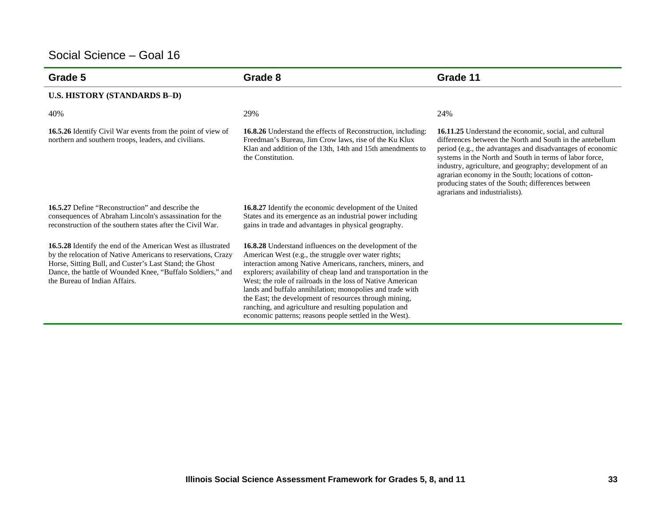| Grade 5                                                                                                                                                                                                                                                                                       | Grade 8                                                                                                                                                                                                                                                                                                                                                                                                                                                                                                                                                          | Grade 11                                                                                                                                                                                                                                                                                                                                                                                                                                               |
|-----------------------------------------------------------------------------------------------------------------------------------------------------------------------------------------------------------------------------------------------------------------------------------------------|------------------------------------------------------------------------------------------------------------------------------------------------------------------------------------------------------------------------------------------------------------------------------------------------------------------------------------------------------------------------------------------------------------------------------------------------------------------------------------------------------------------------------------------------------------------|--------------------------------------------------------------------------------------------------------------------------------------------------------------------------------------------------------------------------------------------------------------------------------------------------------------------------------------------------------------------------------------------------------------------------------------------------------|
| <b>U.S. HISTORY (STANDARDS B-D)</b>                                                                                                                                                                                                                                                           |                                                                                                                                                                                                                                                                                                                                                                                                                                                                                                                                                                  |                                                                                                                                                                                                                                                                                                                                                                                                                                                        |
| 40%                                                                                                                                                                                                                                                                                           | 29%                                                                                                                                                                                                                                                                                                                                                                                                                                                                                                                                                              | 24%                                                                                                                                                                                                                                                                                                                                                                                                                                                    |
| 16.5.26 Identify Civil War events from the point of view of<br>northern and southern troops, leaders, and civilians.                                                                                                                                                                          | <b>16.8.26</b> Understand the effects of Reconstruction, including:<br>Freedman's Bureau, Jim Crow laws, rise of the Ku Klux<br>Klan and addition of the 13th, 14th and 15th amendments to<br>the Constitution.                                                                                                                                                                                                                                                                                                                                                  | 16.11.25 Understand the economic, social, and cultural<br>differences between the North and South in the antebellum<br>period (e.g., the advantages and disadvantages of economic<br>systems in the North and South in terms of labor force,<br>industry, agriculture, and geography; development of an<br>agrarian economy in the South; locations of cotton-<br>producing states of the South; differences between<br>agrarians and industrialists). |
| <b>16.5.27</b> Define "Reconstruction" and describe the<br>consequences of Abraham Lincoln's assassination for the<br>reconstruction of the southern states after the Civil War.                                                                                                              | 16.8.27 Identify the economic development of the United<br>States and its emergence as an industrial power including<br>gains in trade and advantages in physical geography.                                                                                                                                                                                                                                                                                                                                                                                     |                                                                                                                                                                                                                                                                                                                                                                                                                                                        |
| <b>16.5.28</b> Identify the end of the American West as illustrated<br>by the relocation of Native Americans to reservations, Crazy<br>Horse, Sitting Bull, and Custer's Last Stand; the Ghost<br>Dance, the battle of Wounded Knee, "Buffalo Soldiers," and<br>the Bureau of Indian Affairs. | <b>16.8.28</b> Understand influences on the development of the<br>American West (e.g., the struggle over water rights;<br>interaction among Native Americans, ranchers, miners, and<br>explorers; availability of cheap land and transportation in the<br>West; the role of railroads in the loss of Native American<br>lands and buffalo annihilation; monopolies and trade with<br>the East; the development of resources through mining,<br>ranching, and agriculture and resulting population and<br>economic patterns; reasons people settled in the West). |                                                                                                                                                                                                                                                                                                                                                                                                                                                        |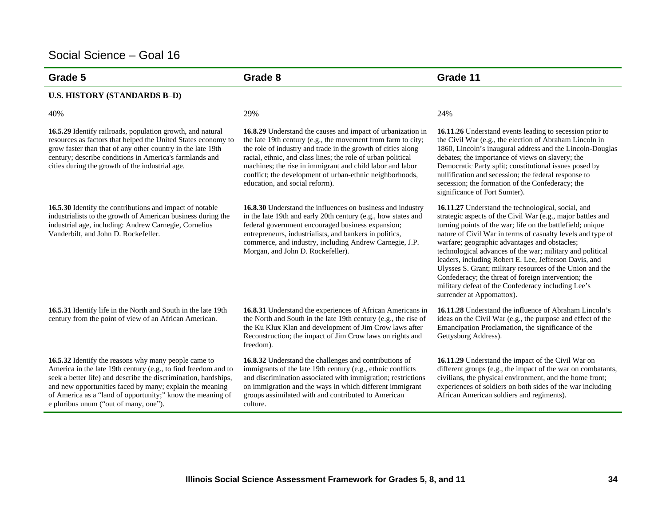| Grade 5                                                                                                                                                                                                                                                                                                                                                      | Grade 8                                                                                                                                                                                                                                                                                                                                                                                                                | Grade 11                                                                                                                                                                                                                                                                                                                                                                                                                                                                                                                                                                                                                       |
|--------------------------------------------------------------------------------------------------------------------------------------------------------------------------------------------------------------------------------------------------------------------------------------------------------------------------------------------------------------|------------------------------------------------------------------------------------------------------------------------------------------------------------------------------------------------------------------------------------------------------------------------------------------------------------------------------------------------------------------------------------------------------------------------|--------------------------------------------------------------------------------------------------------------------------------------------------------------------------------------------------------------------------------------------------------------------------------------------------------------------------------------------------------------------------------------------------------------------------------------------------------------------------------------------------------------------------------------------------------------------------------------------------------------------------------|
| <b>U.S. HISTORY (STANDARDS B-D)</b>                                                                                                                                                                                                                                                                                                                          |                                                                                                                                                                                                                                                                                                                                                                                                                        |                                                                                                                                                                                                                                                                                                                                                                                                                                                                                                                                                                                                                                |
| 40%                                                                                                                                                                                                                                                                                                                                                          | 29%                                                                                                                                                                                                                                                                                                                                                                                                                    | 24%                                                                                                                                                                                                                                                                                                                                                                                                                                                                                                                                                                                                                            |
| 16.5.29 Identify railroads, population growth, and natural<br>resources as factors that helped the United States economy to<br>grow faster than that of any other country in the late 19th<br>century; describe conditions in America's farmlands and<br>cities during the growth of the industrial age.                                                     | 16.8.29 Understand the causes and impact of urbanization in<br>the late 19th century (e.g., the movement from farm to city;<br>the role of industry and trade in the growth of cities along<br>racial, ethnic, and class lines; the role of urban political<br>machines; the rise in immigrant and child labor and labor<br>conflict; the development of urban-ethnic neighborhoods,<br>education, and social reform). | 16.11.26 Understand events leading to secession prior to<br>the Civil War (e.g., the election of Abraham Lincoln in<br>1860, Lincoln's inaugural address and the Lincoln-Douglas<br>debates; the importance of views on slavery; the<br>Democratic Party split; constitutional issues posed by<br>nullification and secession; the federal response to<br>secession; the formation of the Confederacy; the<br>significance of Fort Sumter).                                                                                                                                                                                    |
| 16.5.30 Identify the contributions and impact of notable<br>industrialists to the growth of American business during the<br>industrial age, including: Andrew Carnegie, Cornelius<br>Vanderbilt, and John D. Rockefeller.                                                                                                                                    | 16.8.30 Understand the influences on business and industry<br>in the late 19th and early 20th century (e.g., how states and<br>federal government encouraged business expansion;<br>entrepreneurs, industrialists, and bankers in politics,<br>commerce, and industry, including Andrew Carnegie, J.P.<br>Morgan, and John D. Rockefeller).                                                                            | 16.11.27 Understand the technological, social, and<br>strategic aspects of the Civil War (e.g., major battles and<br>turning points of the war; life on the battlefield; unique<br>nature of Civil War in terms of casualty levels and type of<br>warfare; geographic advantages and obstacles;<br>technological advances of the war; military and political<br>leaders, including Robert E. Lee, Jefferson Davis, and<br>Ulysses S. Grant; military resources of the Union and the<br>Confederacy; the threat of foreign intervention; the<br>military defeat of the Confederacy including Lee's<br>surrender at Appomattox). |
| 16.5.31 Identify life in the North and South in the late 19th<br>century from the point of view of an African American.                                                                                                                                                                                                                                      | 16.8.31 Understand the experiences of African Americans in<br>the North and South in the late 19th century (e.g., the rise of<br>the Ku Klux Klan and development of Jim Crow laws after<br>Reconstruction; the impact of Jim Crow laws on rights and<br>freedom).                                                                                                                                                     | 16.11.28 Understand the influence of Abraham Lincoln's<br>ideas on the Civil War (e.g., the purpose and effect of the<br>Emancipation Proclamation, the significance of the<br>Gettysburg Address).                                                                                                                                                                                                                                                                                                                                                                                                                            |
| 16.5.32 Identify the reasons why many people came to<br>America in the late 19th century (e.g., to find freedom and to<br>seek a better life) and describe the discrimination, hardships,<br>and new opportunities faced by many; explain the meaning<br>of America as a "land of opportunity;" know the meaning of<br>e pluribus unum ("out of many, one"). | 16.8.32 Understand the challenges and contributions of<br>immigrants of the late 19th century (e.g., ethnic conflicts<br>and discrimination associated with immigration; restrictions<br>on immigration and the ways in which different immigrant<br>groups assimilated with and contributed to American<br>culture.                                                                                                   | 16.11.29 Understand the impact of the Civil War on<br>different groups (e.g., the impact of the war on combatants,<br>civilians, the physical environment, and the home front;<br>experiences of soldiers on both sides of the war including<br>African American soldiers and regiments).                                                                                                                                                                                                                                                                                                                                      |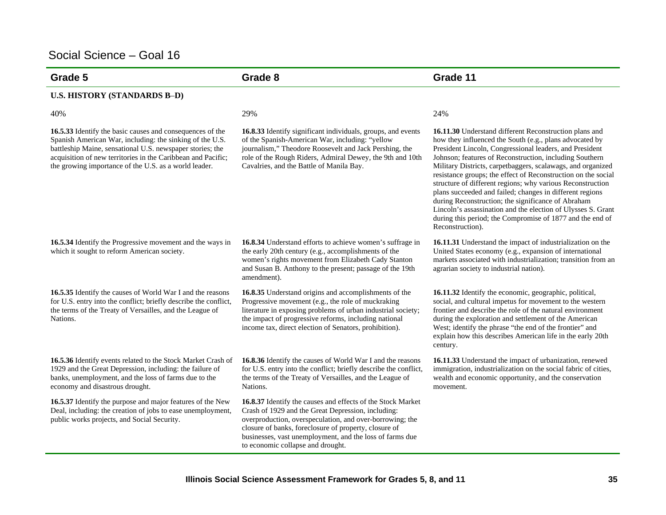| Grade 5                                                                                                                                                                                                                                                                                                     | Grade 8                                                                                                                                                                                                                                                                                                                                 | Grade 11                                                                                                                                                                                                                                                                                                                                                                                                                                                                                                                                                                                                                                                                                                 |
|-------------------------------------------------------------------------------------------------------------------------------------------------------------------------------------------------------------------------------------------------------------------------------------------------------------|-----------------------------------------------------------------------------------------------------------------------------------------------------------------------------------------------------------------------------------------------------------------------------------------------------------------------------------------|----------------------------------------------------------------------------------------------------------------------------------------------------------------------------------------------------------------------------------------------------------------------------------------------------------------------------------------------------------------------------------------------------------------------------------------------------------------------------------------------------------------------------------------------------------------------------------------------------------------------------------------------------------------------------------------------------------|
| <b>U.S. HISTORY (STANDARDS B-D)</b>                                                                                                                                                                                                                                                                         |                                                                                                                                                                                                                                                                                                                                         |                                                                                                                                                                                                                                                                                                                                                                                                                                                                                                                                                                                                                                                                                                          |
| 40%                                                                                                                                                                                                                                                                                                         | 29%                                                                                                                                                                                                                                                                                                                                     | 24%                                                                                                                                                                                                                                                                                                                                                                                                                                                                                                                                                                                                                                                                                                      |
| 16.5.33 Identify the basic causes and consequences of the<br>Spanish American War, including: the sinking of the U.S.<br>battleship Maine, sensational U.S. newspaper stories; the<br>acquisition of new territories in the Caribbean and Pacific;<br>the growing importance of the U.S. as a world leader. | 16.8.33 Identify significant individuals, groups, and events<br>of the Spanish-American War, including: "yellow<br>journalism," Theodore Roosevelt and Jack Pershing, the<br>role of the Rough Riders, Admiral Dewey, the 9th and 10th<br>Cavalries, and the Battle of Manila Bay.                                                      | 16.11.30 Understand different Reconstruction plans and<br>how they influenced the South (e.g., plans advocated by<br>President Lincoln, Congressional leaders, and President<br>Johnson; features of Reconstruction, including Southern<br>Military Districts, carpetbaggers, scalawags, and organized<br>resistance groups; the effect of Reconstruction on the social<br>structure of different regions; why various Reconstruction<br>plans succeeded and failed; changes in different regions<br>during Reconstruction; the significance of Abraham<br>Lincoln's assassination and the election of Ulysses S. Grant<br>during this period; the Compromise of 1877 and the end of<br>Reconstruction). |
| 16.5.34 Identify the Progressive movement and the ways in<br>which it sought to reform American society.                                                                                                                                                                                                    | 16.8.34 Understand efforts to achieve women's suffrage in<br>the early 20th century (e.g., accomplishments of the<br>women's rights movement from Elizabeth Cady Stanton<br>and Susan B. Anthony to the present; passage of the 19th<br>amendment).                                                                                     | 16.11.31 Understand the impact of industrialization on the<br>United States economy (e.g., expansion of international<br>markets associated with industrialization; transition from an<br>agrarian society to industrial nation).                                                                                                                                                                                                                                                                                                                                                                                                                                                                        |
| 16.5.35 Identify the causes of World War I and the reasons<br>for U.S. entry into the conflict; briefly describe the conflict,<br>the terms of the Treaty of Versailles, and the League of<br>Nations.                                                                                                      | 16.8.35 Understand origins and accomplishments of the<br>Progressive movement (e.g., the role of muckraking<br>literature in exposing problems of urban industrial society;<br>the impact of progressive reforms, including national<br>income tax, direct election of Senators, prohibition).                                          | 16.11.32 Identify the economic, geographic, political,<br>social, and cultural impetus for movement to the western<br>frontier and describe the role of the natural environment<br>during the exploration and settlement of the American<br>West; identify the phrase "the end of the frontier" and<br>explain how this describes American life in the early 20th<br>century.                                                                                                                                                                                                                                                                                                                            |
| 16.5.36 Identify events related to the Stock Market Crash of<br>1929 and the Great Depression, including: the failure of<br>banks, unemployment, and the loss of farms due to the<br>economy and disastrous drought.                                                                                        | 16.8.36 Identify the causes of World War I and the reasons<br>for U.S. entry into the conflict; briefly describe the conflict,<br>the terms of the Treaty of Versailles, and the League of<br>Nations.                                                                                                                                  | 16.11.33 Understand the impact of urbanization, renewed<br>immigration, industrialization on the social fabric of cities,<br>wealth and economic opportunity, and the conservation<br>movement.                                                                                                                                                                                                                                                                                                                                                                                                                                                                                                          |
| 16.5.37 Identify the purpose and major features of the New<br>Deal, including: the creation of jobs to ease unemployment,<br>public works projects, and Social Security.                                                                                                                                    | 16.8.37 Identify the causes and effects of the Stock Market<br>Crash of 1929 and the Great Depression, including:<br>overproduction, overspeculation, and over-borrowing; the<br>closure of banks, foreclosure of property, closure of<br>businesses, vast unemployment, and the loss of farms due<br>to economic collapse and drought. |                                                                                                                                                                                                                                                                                                                                                                                                                                                                                                                                                                                                                                                                                                          |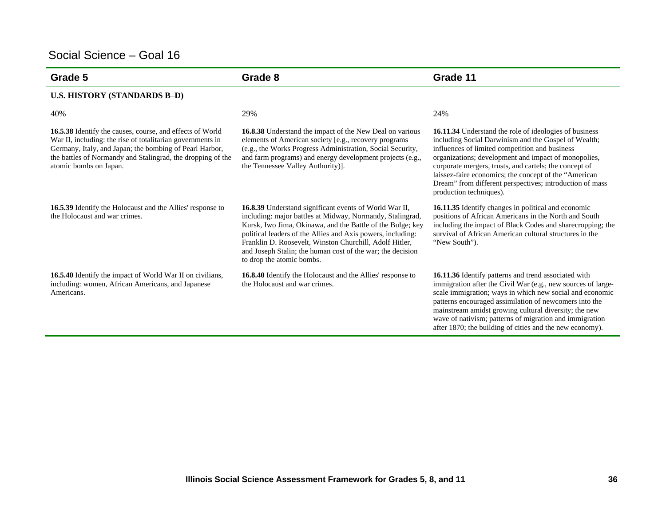| Grade 5                                                                                                                                                                                                                                                                     | Grade 8                                                                                                                                                                                                                                                                                                                                                                                                       | Grade 11                                                                                                                                                                                                                                                                                                                                                                                                                           |
|-----------------------------------------------------------------------------------------------------------------------------------------------------------------------------------------------------------------------------------------------------------------------------|---------------------------------------------------------------------------------------------------------------------------------------------------------------------------------------------------------------------------------------------------------------------------------------------------------------------------------------------------------------------------------------------------------------|------------------------------------------------------------------------------------------------------------------------------------------------------------------------------------------------------------------------------------------------------------------------------------------------------------------------------------------------------------------------------------------------------------------------------------|
| <b>U.S. HISTORY (STANDARDS B-D)</b>                                                                                                                                                                                                                                         |                                                                                                                                                                                                                                                                                                                                                                                                               |                                                                                                                                                                                                                                                                                                                                                                                                                                    |
| 40%                                                                                                                                                                                                                                                                         | 29%                                                                                                                                                                                                                                                                                                                                                                                                           | 24%                                                                                                                                                                                                                                                                                                                                                                                                                                |
| 16.5.38 Identify the causes, course, and effects of World<br>War II, including: the rise of totalitarian governments in<br>Germany, Italy, and Japan; the bombing of Pearl Harbor,<br>the battles of Normandy and Stalingrad, the dropping of the<br>atomic bombs on Japan. | <b>16.8.38</b> Understand the impact of the New Deal on various<br>elements of American society [e.g., recovery programs<br>(e.g., the Works Progress Administration, Social Security,<br>and farm programs) and energy development projects (e.g.,<br>the Tennessee Valley Authority)].                                                                                                                      | 16.11.34 Understand the role of ideologies of business<br>including Social Darwinism and the Gospel of Wealth;<br>influences of limited competition and business<br>organizations; development and impact of monopolies,<br>corporate mergers, trusts, and cartels; the concept of<br>laissez-faire economics; the concept of the "American<br>Dream" from different perspectives; introduction of mass<br>production techniques). |
| <b>16.5.39</b> Identify the Holocaust and the Allies' response to<br>the Holocaust and war crimes.                                                                                                                                                                          | <b>16.8.39</b> Understand significant events of World War II,<br>including: major battles at Midway, Normandy, Stalingrad,<br>Kursk, Iwo Jima, Okinawa, and the Battle of the Bulge; key<br>political leaders of the Allies and Axis powers, including:<br>Franklin D. Roosevelt, Winston Churchill, Adolf Hitler,<br>and Joseph Stalin; the human cost of the war; the decision<br>to drop the atomic bombs. | 16.11.35 Identify changes in political and economic<br>positions of African Americans in the North and South<br>including the impact of Black Codes and sharecropping; the<br>survival of African American cultural structures in the<br>"New South").                                                                                                                                                                             |
| <b>16.5.40</b> Identify the impact of World War II on civilians,<br>including: women, African Americans, and Japanese<br>Americans.                                                                                                                                         | <b>16.8.40</b> Identify the Holocaust and the Allies' response to<br>the Holocaust and war crimes.                                                                                                                                                                                                                                                                                                            | 16.11.36 Identify patterns and trend associated with<br>immigration after the Civil War (e.g., new sources of large-<br>scale immigration; ways in which new social and economic<br>patterns encouraged assimilation of newcomers into the<br>mainstream amidst growing cultural diversity; the new<br>wave of nativism; patterns of migration and immigration<br>after 1870; the building of cities and the new economy).         |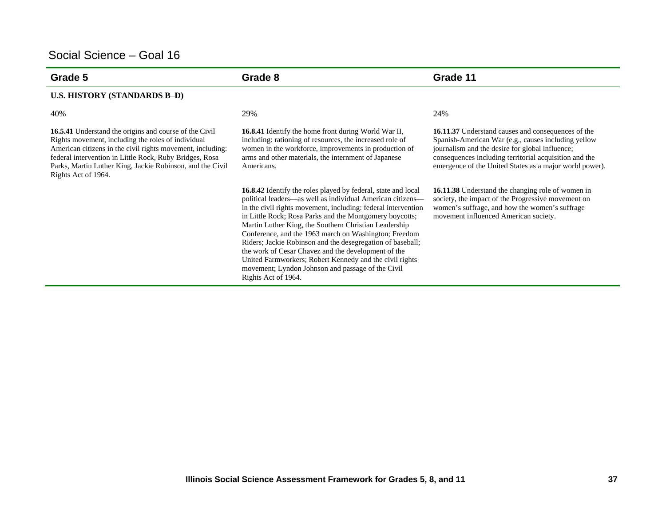| Grade 5                                                                                                                                                                                                                                                                                                                   | Grade 8                                                                                                                                                                                                                                                                                                                                                                                                                                                                                                                                                                                                                                      | Grade 11                                                                                                                                                                                                                                                                          |
|---------------------------------------------------------------------------------------------------------------------------------------------------------------------------------------------------------------------------------------------------------------------------------------------------------------------------|----------------------------------------------------------------------------------------------------------------------------------------------------------------------------------------------------------------------------------------------------------------------------------------------------------------------------------------------------------------------------------------------------------------------------------------------------------------------------------------------------------------------------------------------------------------------------------------------------------------------------------------------|-----------------------------------------------------------------------------------------------------------------------------------------------------------------------------------------------------------------------------------------------------------------------------------|
| <b>U.S. HISTORY (STANDARDS B-D)</b>                                                                                                                                                                                                                                                                                       |                                                                                                                                                                                                                                                                                                                                                                                                                                                                                                                                                                                                                                              |                                                                                                                                                                                                                                                                                   |
| 40%                                                                                                                                                                                                                                                                                                                       | 29%                                                                                                                                                                                                                                                                                                                                                                                                                                                                                                                                                                                                                                          | 24%                                                                                                                                                                                                                                                                               |
| 16.5.41 Understand the origins and course of the Civil<br>Rights movement, including the roles of individual<br>American citizens in the civil rights movement, including:<br>federal intervention in Little Rock, Ruby Bridges, Rosa<br>Parks, Martin Luther King, Jackie Robinson, and the Civil<br>Rights Act of 1964. | <b>16.8.41</b> Identify the home front during World War II,<br>including: rationing of resources, the increased role of<br>women in the workforce, improvements in production of<br>arms and other materials, the internment of Japanese<br>Americans.                                                                                                                                                                                                                                                                                                                                                                                       | 16.11.37 Understand causes and consequences of the<br>Spanish-American War (e.g., causes including yellow<br>journalism and the desire for global influence;<br>consequences including territorial acquisition and the<br>emergence of the United States as a major world power). |
|                                                                                                                                                                                                                                                                                                                           | <b>16.8.42</b> Identify the roles played by federal, state and local<br>political leaders—as well as individual American citizens—<br>in the civil rights movement, including: federal intervention<br>in Little Rock; Rosa Parks and the Montgomery boycotts;<br>Martin Luther King, the Southern Christian Leadership<br>Conference, and the 1963 march on Washington; Freedom<br>Riders; Jackie Robinson and the desegregation of baseball;<br>the work of Cesar Chavez and the development of the<br>United Farmworkers; Robert Kennedy and the civil rights<br>movement; Lyndon Johnson and passage of the Civil<br>Rights Act of 1964. | 16.11.38 Understand the changing role of women in<br>society, the impact of the Progressive movement on<br>women's suffrage, and how the women's suffrage<br>movement influenced American society.                                                                                |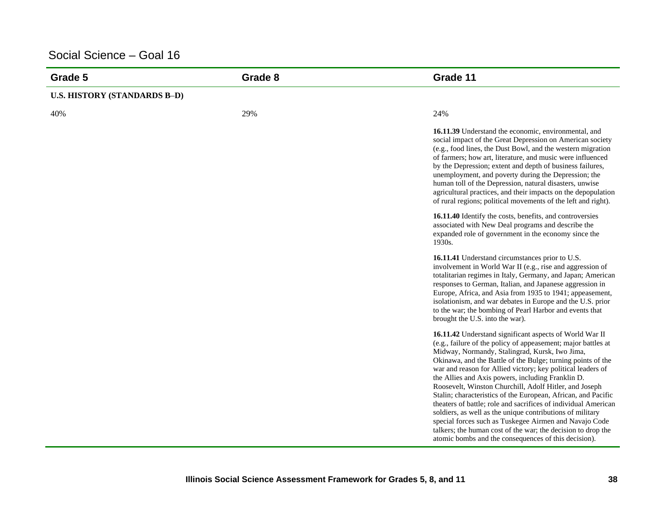| Grade 5                             | Grade 8 | Grade 11                                                                                                                                                                                                                                                                                                                                                                                                                                                                                                                                                                                                                                                                                                                                                                                                  |
|-------------------------------------|---------|-----------------------------------------------------------------------------------------------------------------------------------------------------------------------------------------------------------------------------------------------------------------------------------------------------------------------------------------------------------------------------------------------------------------------------------------------------------------------------------------------------------------------------------------------------------------------------------------------------------------------------------------------------------------------------------------------------------------------------------------------------------------------------------------------------------|
| <b>U.S. HISTORY (STANDARDS B-D)</b> |         |                                                                                                                                                                                                                                                                                                                                                                                                                                                                                                                                                                                                                                                                                                                                                                                                           |
| 40%                                 | 29%     | 24%                                                                                                                                                                                                                                                                                                                                                                                                                                                                                                                                                                                                                                                                                                                                                                                                       |
|                                     |         | 16.11.39 Understand the economic, environmental, and<br>social impact of the Great Depression on American society<br>(e.g., food lines, the Dust Bowl, and the western migration<br>of farmers; how art, literature, and music were influenced<br>by the Depression; extent and depth of business failures,<br>unemployment, and poverty during the Depression; the<br>human toll of the Depression, natural disasters, unwise<br>agricultural practices, and their impacts on the depopulation<br>of rural regions; political movements of the left and right).                                                                                                                                                                                                                                          |
|                                     |         | 16.11.40 Identify the costs, benefits, and controversies<br>associated with New Deal programs and describe the<br>expanded role of government in the economy since the<br>1930s.                                                                                                                                                                                                                                                                                                                                                                                                                                                                                                                                                                                                                          |
|                                     |         | 16.11.41 Understand circumstances prior to U.S.<br>involvement in World War II (e.g., rise and aggression of<br>totalitarian regimes in Italy, Germany, and Japan; American<br>responses to German, Italian, and Japanese aggression in<br>Europe, Africa, and Asia from 1935 to 1941; appeasement,<br>isolationism, and war debates in Europe and the U.S. prior<br>to the war; the bombing of Pearl Harbor and events that<br>brought the U.S. into the war).                                                                                                                                                                                                                                                                                                                                           |
|                                     |         | 16.11.42 Understand significant aspects of World War II<br>(e.g., failure of the policy of appeasement; major battles at<br>Midway, Normandy, Stalingrad, Kursk, Iwo Jima,<br>Okinawa, and the Battle of the Bulge; turning points of the<br>war and reason for Allied victory; key political leaders of<br>the Allies and Axis powers, including Franklin D.<br>Roosevelt, Winston Churchill, Adolf Hitler, and Joseph<br>Stalin; characteristics of the European, African, and Pacific<br>theaters of battle; role and sacrifices of individual American<br>soldiers, as well as the unique contributions of military<br>special forces such as Tuskegee Airmen and Navajo Code<br>talkers; the human cost of the war; the decision to drop the<br>atomic bombs and the consequences of this decision). |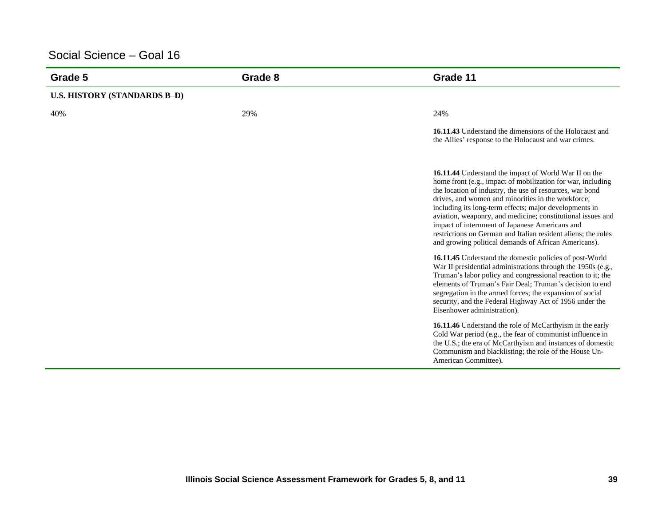| Grade 5                             | Grade 8 | Grade 11                                                                                                                                                                                                                                                                                                                                                                                                                                                                                                                                   |
|-------------------------------------|---------|--------------------------------------------------------------------------------------------------------------------------------------------------------------------------------------------------------------------------------------------------------------------------------------------------------------------------------------------------------------------------------------------------------------------------------------------------------------------------------------------------------------------------------------------|
| <b>U.S. HISTORY (STANDARDS B-D)</b> |         |                                                                                                                                                                                                                                                                                                                                                                                                                                                                                                                                            |
| 40%                                 | 29%     | 24%                                                                                                                                                                                                                                                                                                                                                                                                                                                                                                                                        |
|                                     |         | 16.11.43 Understand the dimensions of the Holocaust and<br>the Allies' response to the Holocaust and war crimes.                                                                                                                                                                                                                                                                                                                                                                                                                           |
|                                     |         | 16.11.44 Understand the impact of World War II on the<br>home front (e.g., impact of mobilization for war, including<br>the location of industry, the use of resources, war bond<br>drives, and women and minorities in the workforce,<br>including its long-term effects; major developments in<br>aviation, weaponry, and medicine; constitutional issues and<br>impact of internment of Japanese Americans and<br>restrictions on German and Italian resident aliens; the roles<br>and growing political demands of African Americans). |
|                                     |         | 16.11.45 Understand the domestic policies of post-World<br>War II presidential administrations through the 1950s (e.g.,<br>Truman's labor policy and congressional reaction to it; the<br>elements of Truman's Fair Deal; Truman's decision to end<br>segregation in the armed forces; the expansion of social<br>security, and the Federal Highway Act of 1956 under the<br>Eisenhower administration).                                                                                                                                   |
|                                     |         | 16.11.46 Understand the role of McCarthyism in the early<br>Cold War period (e.g., the fear of communist influence in<br>the U.S.; the era of McCarthyism and instances of domestic<br>Communism and blacklisting; the role of the House Un-<br>American Committee).                                                                                                                                                                                                                                                                       |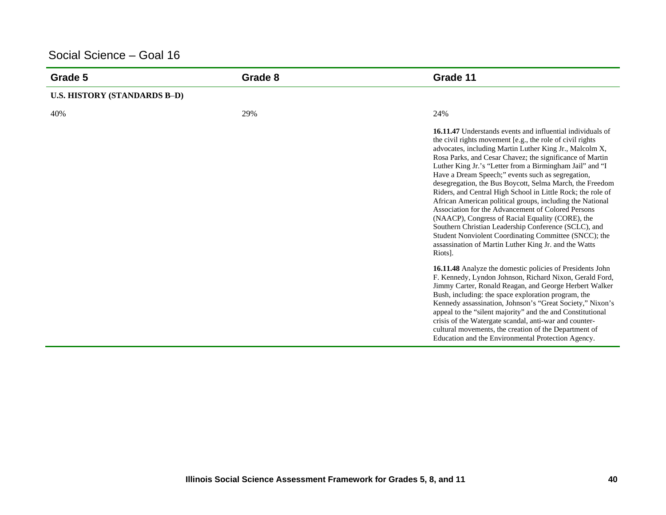| Grade 5                             | Grade 8 | Grade 11                                                                                                                                                                                                                                                                                                                                                                                                                                                                                                                                                                                                                                                                                                                                                                                                                                                                                                                                                                                                                                                                                                                                                                                                                                                                                                                                                                                                   |
|-------------------------------------|---------|------------------------------------------------------------------------------------------------------------------------------------------------------------------------------------------------------------------------------------------------------------------------------------------------------------------------------------------------------------------------------------------------------------------------------------------------------------------------------------------------------------------------------------------------------------------------------------------------------------------------------------------------------------------------------------------------------------------------------------------------------------------------------------------------------------------------------------------------------------------------------------------------------------------------------------------------------------------------------------------------------------------------------------------------------------------------------------------------------------------------------------------------------------------------------------------------------------------------------------------------------------------------------------------------------------------------------------------------------------------------------------------------------------|
| <b>U.S. HISTORY (STANDARDS B-D)</b> |         |                                                                                                                                                                                                                                                                                                                                                                                                                                                                                                                                                                                                                                                                                                                                                                                                                                                                                                                                                                                                                                                                                                                                                                                                                                                                                                                                                                                                            |
| 40%                                 | 29%     | 24%                                                                                                                                                                                                                                                                                                                                                                                                                                                                                                                                                                                                                                                                                                                                                                                                                                                                                                                                                                                                                                                                                                                                                                                                                                                                                                                                                                                                        |
|                                     |         | <b>16.11.47</b> Understands events and influential individuals of<br>the civil rights movement [e.g., the role of civil rights<br>advocates, including Martin Luther King Jr., Malcolm X,<br>Rosa Parks, and Cesar Chavez; the significance of Martin<br>Luther King Jr.'s "Letter from a Birmingham Jail" and "I<br>Have a Dream Speech;" events such as segregation,<br>desegregation, the Bus Boycott, Selma March, the Freedom<br>Riders, and Central High School in Little Rock; the role of<br>African American political groups, including the National<br>Association for the Advancement of Colored Persons<br>(NAACP), Congress of Racial Equality (CORE), the<br>Southern Christian Leadership Conference (SCLC), and<br>Student Nonviolent Coordinating Committee (SNCC); the<br>assassination of Martin Luther King Jr. and the Watts<br>Riots].<br>16.11.48 Analyze the domestic policies of Presidents John<br>F. Kennedy, Lyndon Johnson, Richard Nixon, Gerald Ford,<br>Jimmy Carter, Ronald Reagan, and George Herbert Walker<br>Bush, including: the space exploration program, the<br>Kennedy assassination, Johnson's "Great Society," Nixon's<br>appeal to the "silent majority" and the and Constitutional<br>crisis of the Watergate scandal, anti-war and counter-<br>cultural movements, the creation of the Department of<br>Education and the Environmental Protection Agency. |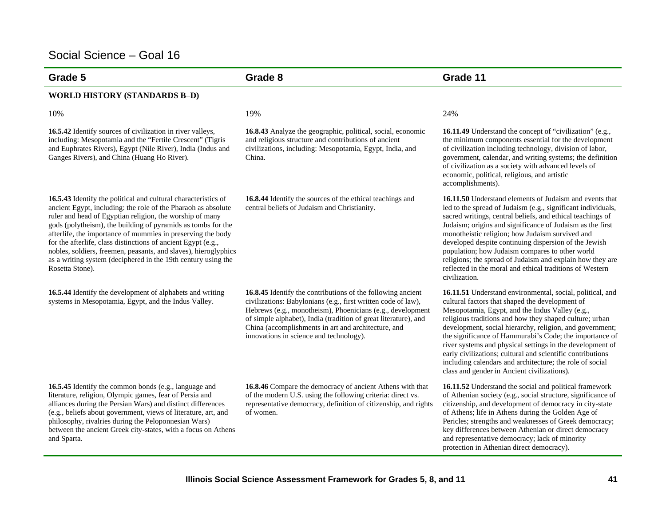| Grade 5                                                                                                                                                                                                                                                                                                                                                                                                                                                                                                                                            | Grade 8                                                                                                                                                                                                                                                                                                                                                         | Grade 11                                                                                                                                                                                                                                                                                                                                                                                                                                                                                                                                                                                |
|----------------------------------------------------------------------------------------------------------------------------------------------------------------------------------------------------------------------------------------------------------------------------------------------------------------------------------------------------------------------------------------------------------------------------------------------------------------------------------------------------------------------------------------------------|-----------------------------------------------------------------------------------------------------------------------------------------------------------------------------------------------------------------------------------------------------------------------------------------------------------------------------------------------------------------|-----------------------------------------------------------------------------------------------------------------------------------------------------------------------------------------------------------------------------------------------------------------------------------------------------------------------------------------------------------------------------------------------------------------------------------------------------------------------------------------------------------------------------------------------------------------------------------------|
| <b>WORLD HISTORY (STANDARDS B-D)</b>                                                                                                                                                                                                                                                                                                                                                                                                                                                                                                               |                                                                                                                                                                                                                                                                                                                                                                 |                                                                                                                                                                                                                                                                                                                                                                                                                                                                                                                                                                                         |
| 10%                                                                                                                                                                                                                                                                                                                                                                                                                                                                                                                                                | 19%                                                                                                                                                                                                                                                                                                                                                             | 24%                                                                                                                                                                                                                                                                                                                                                                                                                                                                                                                                                                                     |
| 16.5.42 Identify sources of civilization in river valleys,<br>including: Mesopotamia and the "Fertile Crescent" (Tigris<br>and Euphrates Rivers), Egypt (Nile River), India (Indus and<br>Ganges Rivers), and China (Huang Ho River).                                                                                                                                                                                                                                                                                                              | 16.8.43 Analyze the geographic, political, social, economic<br>and religious structure and contributions of ancient<br>civilizations, including: Mesopotamia, Egypt, India, and<br>China.                                                                                                                                                                       | <b>16.11.49</b> Understand the concept of "civilization" (e.g.,<br>the minimum components essential for the development<br>of civilization including technology, division of labor,<br>government, calendar, and writing systems; the definition<br>of civilization as a society with advanced levels of<br>economic, political, religious, and artistic<br>accomplishments).                                                                                                                                                                                                           |
| 16.5.43 Identify the political and cultural characteristics of<br>ancient Egypt, including: the role of the Pharaoh as absolute<br>ruler and head of Egyptian religion, the worship of many<br>gods (polytheism), the building of pyramids as tombs for the<br>afterlife, the importance of mummies in preserving the body<br>for the afterlife, class distinctions of ancient Egypt (e.g.,<br>nobles, soldiers, freemen, peasants, and slaves), hieroglyphics<br>as a writing system (deciphered in the 19th century using the<br>Rosetta Stone). | 16.8.44 Identify the sources of the ethical teachings and<br>central beliefs of Judaism and Christianity.                                                                                                                                                                                                                                                       | <b>16.11.50</b> Understand elements of Judaism and events that<br>led to the spread of Judaism (e.g., significant individuals,<br>sacred writings, central beliefs, and ethical teachings of<br>Judaism; origins and significance of Judaism as the first<br>monotheistic religion; how Judaism survived and<br>developed despite continuing dispersion of the Jewish<br>population; how Judaism compares to other world<br>religions; the spread of Judaism and explain how they are<br>reflected in the moral and ethical traditions of Western<br>civilization.                      |
| 16.5.44 Identify the development of alphabets and writing<br>systems in Mesopotamia, Egypt, and the Indus Valley.                                                                                                                                                                                                                                                                                                                                                                                                                                  | 16.8.45 Identify the contributions of the following ancient<br>civilizations: Babylonians (e.g., first written code of law),<br>Hebrews (e.g., monotheism), Phoenicians (e.g., development<br>of simple alphabet), India (tradition of great literature), and<br>China (accomplishments in art and architecture, and<br>innovations in science and technology). | 16.11.51 Understand environmental, social, political, and<br>cultural factors that shaped the development of<br>Mesopotamia, Egypt, and the Indus Valley (e.g.,<br>religious traditions and how they shaped culture; urban<br>development, social hierarchy, religion, and government;<br>the significance of Hammurabi's Code; the importance of<br>river systems and physical settings in the development of<br>early civilizations; cultural and scientific contributions<br>including calendars and architecture; the role of social<br>class and gender in Ancient civilizations). |
| 16.5.45 Identify the common bonds (e.g., language and<br>literature, religion, Olympic games, fear of Persia and<br>alliances during the Persian Wars) and distinct differences<br>(e.g., beliefs about government, views of literature, art, and<br>philosophy, rivalries during the Peloponnesian Wars)<br>between the ancient Greek city-states, with a focus on Athens<br>and Sparta.                                                                                                                                                          | 16.8.46 Compare the democracy of ancient Athens with that<br>of the modern U.S. using the following criteria: direct vs.<br>representative democracy, definition of citizenship, and rights<br>of women.                                                                                                                                                        | 16.11.52 Understand the social and political framework<br>of Athenian society (e.g., social structure, significance of<br>citizenship, and development of democracy in city-state<br>of Athens; life in Athens during the Golden Age of<br>Pericles; strengths and weaknesses of Greek democracy;<br>key differences between Athenian or direct democracy<br>and representative democracy; lack of minority<br>protection in Athenian direct democracy).                                                                                                                                |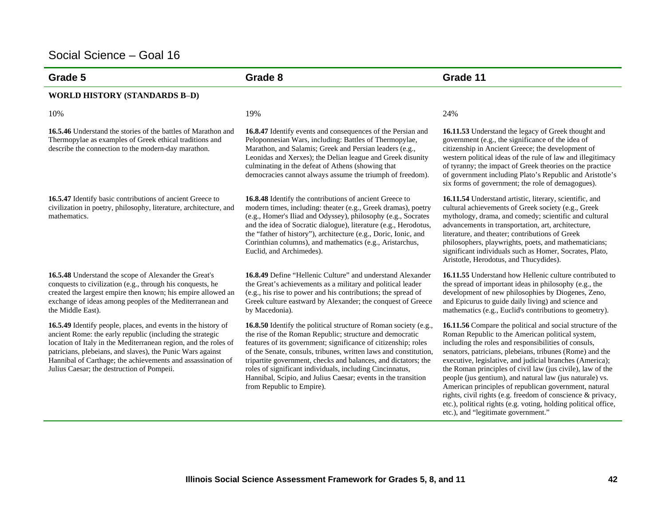| Grade 5                                                                                                                                                                                                                                                                                                                                                                  | Grade 8                                                                                                                                                                                                                                                                                                                                                                                                                                                                                        | Grade 11                                                                                                                                                                                                                                                                                                                                                                                                                                                                                                                                                                                                                                                   |
|--------------------------------------------------------------------------------------------------------------------------------------------------------------------------------------------------------------------------------------------------------------------------------------------------------------------------------------------------------------------------|------------------------------------------------------------------------------------------------------------------------------------------------------------------------------------------------------------------------------------------------------------------------------------------------------------------------------------------------------------------------------------------------------------------------------------------------------------------------------------------------|------------------------------------------------------------------------------------------------------------------------------------------------------------------------------------------------------------------------------------------------------------------------------------------------------------------------------------------------------------------------------------------------------------------------------------------------------------------------------------------------------------------------------------------------------------------------------------------------------------------------------------------------------------|
| <b>WORLD HISTORY (STANDARDS B-D)</b>                                                                                                                                                                                                                                                                                                                                     |                                                                                                                                                                                                                                                                                                                                                                                                                                                                                                |                                                                                                                                                                                                                                                                                                                                                                                                                                                                                                                                                                                                                                                            |
| 10%                                                                                                                                                                                                                                                                                                                                                                      | 19%                                                                                                                                                                                                                                                                                                                                                                                                                                                                                            | 24%                                                                                                                                                                                                                                                                                                                                                                                                                                                                                                                                                                                                                                                        |
| 16.5.46 Understand the stories of the battles of Marathon and<br>Thermopylae as examples of Greek ethical traditions and<br>describe the connection to the modern-day marathon.                                                                                                                                                                                          | 16.8.47 Identify events and consequences of the Persian and<br>Peloponnesian Wars, including: Battles of Thermopylae,<br>Marathon, and Salamis; Greek and Persian leaders (e.g.,<br>Leonidas and Xerxes); the Delian league and Greek disunity<br>culminating in the defeat of Athens (showing that<br>democracies cannot always assume the triumph of freedom).                                                                                                                               | 16.11.53 Understand the legacy of Greek thought and<br>government (e.g., the significance of the idea of<br>citizenship in Ancient Greece; the development of<br>western political ideas of the rule of law and illegitimacy<br>of tyranny; the impact of Greek theories on the practice<br>of government including Plato's Republic and Aristotle's<br>six forms of government; the role of demagogues).                                                                                                                                                                                                                                                  |
| 16.5.47 Identify basic contributions of ancient Greece to<br>civilization in poetry, philosophy, literature, architecture, and<br>mathematics.                                                                                                                                                                                                                           | <b>16.8.48</b> Identify the contributions of ancient Greece to<br>modern times, including: theater (e.g., Greek dramas), poetry<br>(e.g., Homer's Iliad and Odyssey), philosophy (e.g., Socrates<br>and the idea of Socratic dialogue), literature (e.g., Herodotus,<br>the "father of history"), architecture (e.g., Doric, Ionic, and<br>Corinthian columns), and mathematics (e.g., Aristarchus,<br>Euclid, and Archimedes).                                                                | 16.11.54 Understand artistic, literary, scientific, and<br>cultural achievements of Greek society (e.g., Greek<br>mythology, drama, and comedy; scientific and cultural<br>advancements in transportation, art, architecture,<br>literature, and theater; contributions of Greek<br>philosophers, playwrights, poets, and mathematicians;<br>significant individuals such as Homer, Socrates, Plato,<br>Aristotle, Herodotus, and Thucydides).                                                                                                                                                                                                             |
| 16.5.48 Understand the scope of Alexander the Great's<br>conquests to civilization (e.g., through his conquests, he<br>created the largest empire then known; his empire allowed an<br>exchange of ideas among peoples of the Mediterranean and<br>the Middle East).                                                                                                     | 16.8.49 Define "Hellenic Culture" and understand Alexander<br>the Great's achievements as a military and political leader<br>(e.g., his rise to power and his contributions; the spread of<br>Greek culture eastward by Alexander; the conquest of Greece<br>by Macedonia).                                                                                                                                                                                                                    | 16.11.55 Understand how Hellenic culture contributed to<br>the spread of important ideas in philosophy (e.g., the<br>development of new philosophies by Diogenes, Zeno,<br>and Epicurus to guide daily living) and science and<br>mathematics (e.g., Euclid's contributions to geometry).                                                                                                                                                                                                                                                                                                                                                                  |
| 16.5.49 Identify people, places, and events in the history of<br>ancient Rome: the early republic (including the strategic<br>location of Italy in the Mediterranean region, and the roles of<br>patricians, plebeians, and slaves), the Punic Wars against<br>Hannibal of Carthage; the achievements and assassination of<br>Julius Caesar; the destruction of Pompeii. | 16.8.50 Identify the political structure of Roman society (e.g.,<br>the rise of the Roman Republic; structure and democratic<br>features of its government; significance of citizenship; roles<br>of the Senate, consuls, tribunes, written laws and constitution,<br>tripartite government, checks and balances, and dictators; the<br>roles of significant individuals, including Cincinnatus,<br>Hannibal, Scipio, and Julius Caesar; events in the transition<br>from Republic to Empire). | 16.11.56 Compare the political and social structure of the<br>Roman Republic to the American political system,<br>including the roles and responsibilities of consuls,<br>senators, patricians, plebeians, tribunes (Rome) and the<br>executive, legislative, and judicial branches (America);<br>the Roman principles of civil law (jus civile), law of the<br>people (jus gentium), and natural law (jus naturale) vs.<br>American principles of republican government, natural<br>rights, civil rights (e.g. freedom of conscience & privacy,<br>etc.), political rights (e.g. voting, holding political office,<br>etc.), and "legitimate government." |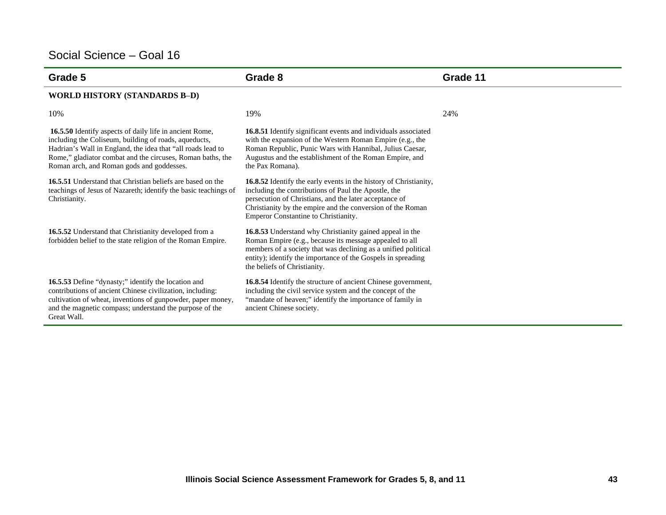| Grade 5                                                                                                                                                                                                                                                                                    | Grade 8                                                                                                                                                                                                                                                                                   | Grade 11 |
|--------------------------------------------------------------------------------------------------------------------------------------------------------------------------------------------------------------------------------------------------------------------------------------------|-------------------------------------------------------------------------------------------------------------------------------------------------------------------------------------------------------------------------------------------------------------------------------------------|----------|
| <b>WORLD HISTORY (STANDARDS B-D)</b>                                                                                                                                                                                                                                                       |                                                                                                                                                                                                                                                                                           |          |
| 10%                                                                                                                                                                                                                                                                                        | 19%                                                                                                                                                                                                                                                                                       | 24%      |
| 16.5.50 Identify aspects of daily life in ancient Rome,<br>including the Coliseum, building of roads, aqueducts,<br>Hadrian's Wall in England, the idea that "all roads lead to<br>Rome," gladiator combat and the circuses, Roman baths, the<br>Roman arch, and Roman gods and goddesses. | 16.8.51 Identify significant events and individuals associated<br>with the expansion of the Western Roman Empire (e.g., the<br>Roman Republic, Punic Wars with Hannibal, Julius Caesar,<br>Augustus and the establishment of the Roman Empire, and<br>the Pax Romana).                    |          |
| <b>16.5.51</b> Understand that Christian beliefs are based on the<br>teachings of Jesus of Nazareth; identify the basic teachings of<br>Christianity.                                                                                                                                      | 16.8.52 Identify the early events in the history of Christianity,<br>including the contributions of Paul the Apostle, the<br>persecution of Christians, and the later acceptance of<br>Christianity by the empire and the conversion of the Roman<br>Emperor Constantine to Christianity. |          |
| 16.5.52 Understand that Christianity developed from a<br>forbidden belief to the state religion of the Roman Empire.                                                                                                                                                                       | 16.8.53 Understand why Christianity gained appeal in the<br>Roman Empire (e.g., because its message appealed to all<br>members of a society that was declining as a unified political<br>entity); identify the importance of the Gospels in spreading<br>the beliefs of Christianity.     |          |
| 16.5.53 Define "dynasty;" identify the location and<br>contributions of ancient Chinese civilization, including:<br>cultivation of wheat, inventions of gunpowder, paper money,<br>and the magnetic compass; understand the purpose of the<br>Great Wall.                                  | 16.8.54 Identify the structure of ancient Chinese government,<br>including the civil service system and the concept of the<br>"mandate of heaven;" identify the importance of family in<br>ancient Chinese society.                                                                       |          |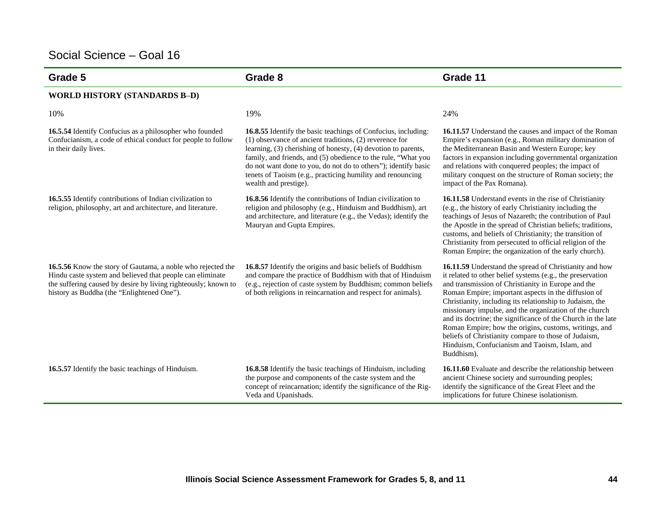| Grade 5                                                                                                                                                                                                                                  | Grade 8                                                                                                                                                                                                                                                                                                                                                                                                                 | Grade 11                                                                                                                                                                                                                                                                                                                                                                                                                                                                                                                                                                                                |
|------------------------------------------------------------------------------------------------------------------------------------------------------------------------------------------------------------------------------------------|-------------------------------------------------------------------------------------------------------------------------------------------------------------------------------------------------------------------------------------------------------------------------------------------------------------------------------------------------------------------------------------------------------------------------|---------------------------------------------------------------------------------------------------------------------------------------------------------------------------------------------------------------------------------------------------------------------------------------------------------------------------------------------------------------------------------------------------------------------------------------------------------------------------------------------------------------------------------------------------------------------------------------------------------|
| <b>WORLD HISTORY (STANDARDS B-D)</b>                                                                                                                                                                                                     |                                                                                                                                                                                                                                                                                                                                                                                                                         |                                                                                                                                                                                                                                                                                                                                                                                                                                                                                                                                                                                                         |
| 10%                                                                                                                                                                                                                                      | 19%                                                                                                                                                                                                                                                                                                                                                                                                                     | 24%                                                                                                                                                                                                                                                                                                                                                                                                                                                                                                                                                                                                     |
| 16.5.54 Identify Confucius as a philosopher who founded<br>Confucianism, a code of ethical conduct for people to follow<br>in their daily lives.                                                                                         | 16.8.55 Identify the basic teachings of Confucius, including:<br>$(1)$ observance of ancient traditions, $(2)$ reverence for<br>learning, (3) cherishing of honesty, (4) devotion to parents,<br>family, and friends, and (5) obedience to the rule, "What you<br>do not want done to you, do not do to others"); identify basic<br>tenets of Taoism (e.g., practicing humility and renouncing<br>wealth and prestige). | 16.11.57 Understand the causes and impact of the Roman<br>Empire's expansion (e.g., Roman military domination of<br>the Mediterranean Basin and Western Europe; key<br>factors in expansion including governmental organization<br>and relations with conquered peoples; the impact of<br>military conquest on the structure of Roman society; the<br>impact of the Pax Romana).                                                                                                                                                                                                                        |
| 16.5.55 Identify contributions of Indian civilization to<br>religion, philosophy, art and architecture, and literature.                                                                                                                  | 16.8.56 Identify the contributions of Indian civilization to<br>religion and philosophy (e.g., Hinduism and Buddhism), art<br>and architecture, and literature (e.g., the Vedas); identify the<br>Mauryan and Gupta Empires.                                                                                                                                                                                            | 16.11.58 Understand events in the rise of Christianity<br>(e.g., the history of early Christianity including the<br>teachings of Jesus of Nazareth; the contribution of Paul<br>the Apostle in the spread of Christian beliefs; traditions,<br>customs, and beliefs of Christianity; the transition of<br>Christianity from persecuted to official religion of the<br>Roman Empire; the organization of the early church).                                                                                                                                                                              |
| 16.5.56 Know the story of Gautama, a noble who rejected the<br>Hindu caste system and believed that people can eliminate<br>the suffering caused by desire by living righteously; known to<br>history as Buddha (the "Enlightened One"). | 16.8.57 Identify the origins and basic beliefs of Buddhism<br>and compare the practice of Buddhism with that of Hinduism<br>(e.g., rejection of caste system by Buddhism; common beliefs<br>of both religions in reincarnation and respect for animals).                                                                                                                                                                | 16.11.59 Understand the spread of Christianity and how<br>it related to other belief systems (e.g., the preservation<br>and transmission of Christianity in Europe and the<br>Roman Empire; important aspects in the diffusion of<br>Christianity, including its relationship to Judaism, the<br>missionary impulse, and the organization of the church<br>and its doctrine; the significance of the Church in the late<br>Roman Empire; how the origins, customs, writings, and<br>beliefs of Christianity compare to those of Judaism,<br>Hinduism, Confucianism and Taoism, Islam, and<br>Buddhism). |
| 16.5.57 Identify the basic teachings of Hinduism.                                                                                                                                                                                        | 16.8.58 Identify the basic teachings of Hinduism, including<br>the purpose and components of the caste system and the<br>concept of reincarnation; identify the significance of the Rig-<br>Veda and Upanishads.                                                                                                                                                                                                        | 16.11.60 Evaluate and describe the relationship between<br>ancient Chinese society and surrounding peoples;<br>identify the significance of the Great Fleet and the<br>implications for future Chinese isolationism.                                                                                                                                                                                                                                                                                                                                                                                    |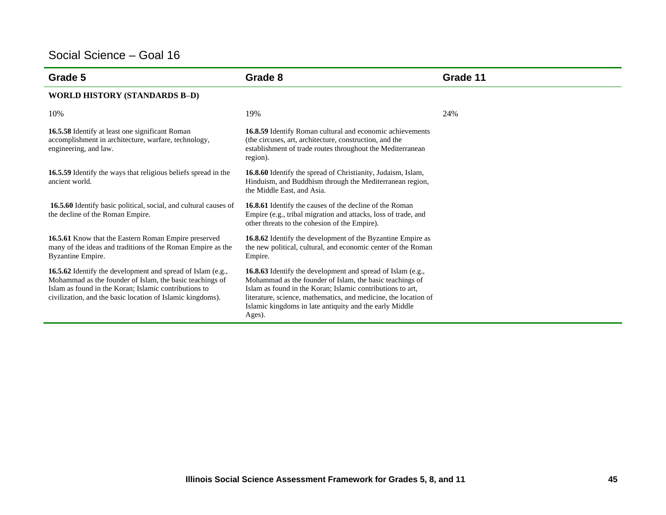| Grade 5                                                                                                                                                                                                                                        | Grade 8                                                                                                                                                                                                                                                                                                                              | Grade 11 |
|------------------------------------------------------------------------------------------------------------------------------------------------------------------------------------------------------------------------------------------------|--------------------------------------------------------------------------------------------------------------------------------------------------------------------------------------------------------------------------------------------------------------------------------------------------------------------------------------|----------|
| <b>WORLD HISTORY (STANDARDS B-D)</b>                                                                                                                                                                                                           |                                                                                                                                                                                                                                                                                                                                      |          |
| 10%                                                                                                                                                                                                                                            | 19%                                                                                                                                                                                                                                                                                                                                  | 24%      |
| 16.5.58 Identify at least one significant Roman<br>accomplishment in architecture, warfare, technology,<br>engineering, and law.                                                                                                               | 16.8.59 Identify Roman cultural and economic achievements<br>(the circuses, art, architecture, construction, and the<br>establishment of trade routes throughout the Mediterranean<br>region).                                                                                                                                       |          |
| <b>16.5.59</b> Identify the ways that religious beliefs spread in the<br>ancient world.                                                                                                                                                        | 16.8.60 Identify the spread of Christianity, Judaism, Islam,<br>Hinduism, and Buddhism through the Mediterranean region,<br>the Middle East, and Asia.                                                                                                                                                                               |          |
| 16.5.60 Identify basic political, social, and cultural causes of<br>the decline of the Roman Empire.                                                                                                                                           | 16.8.61 Identify the causes of the decline of the Roman<br>Empire (e.g., tribal migration and attacks, loss of trade, and<br>other threats to the cohesion of the Empire).                                                                                                                                                           |          |
| 16.5.61 Know that the Eastern Roman Empire preserved<br>many of the ideas and traditions of the Roman Empire as the<br>Byzantine Empire.                                                                                                       | 16.8.62 Identify the development of the Byzantine Empire as<br>the new political, cultural, and economic center of the Roman<br>Empire.                                                                                                                                                                                              |          |
| 16.5.62 Identify the development and spread of Islam (e.g.,<br>Mohammad as the founder of Islam, the basic teachings of<br>Islam as found in the Koran; Islamic contributions to<br>civilization, and the basic location of Islamic kingdoms). | <b>16.8.63</b> Identify the development and spread of Islam (e.g.,<br>Mohammad as the founder of Islam, the basic teachings of<br>Islam as found in the Koran; Islamic contributions to art,<br>literature, science, mathematics, and medicine, the location of<br>Islamic kingdoms in late antiquity and the early Middle<br>Ages). |          |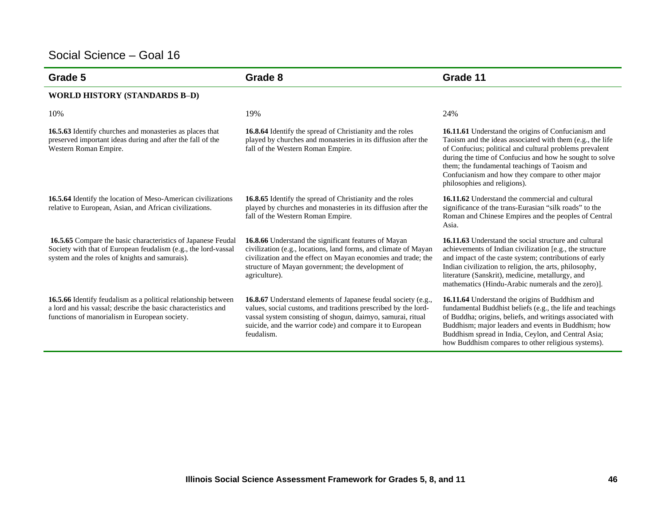| Grade 5                                                                                                                                                                          | Grade 8                                                                                                                                                                                                                                                                          | Grade 11                                                                                                                                                                                                                                                                                                                                                                    |
|----------------------------------------------------------------------------------------------------------------------------------------------------------------------------------|----------------------------------------------------------------------------------------------------------------------------------------------------------------------------------------------------------------------------------------------------------------------------------|-----------------------------------------------------------------------------------------------------------------------------------------------------------------------------------------------------------------------------------------------------------------------------------------------------------------------------------------------------------------------------|
| <b>WORLD HISTORY (STANDARDS B-D)</b>                                                                                                                                             |                                                                                                                                                                                                                                                                                  |                                                                                                                                                                                                                                                                                                                                                                             |
| 10%                                                                                                                                                                              | 19%                                                                                                                                                                                                                                                                              | 24%                                                                                                                                                                                                                                                                                                                                                                         |
| 16.5.63 Identify churches and monasteries as places that<br>preserved important ideas during and after the fall of the<br>Western Roman Empire.                                  | 16.8.64 Identify the spread of Christianity and the roles<br>played by churches and monasteries in its diffusion after the<br>fall of the Western Roman Empire.                                                                                                                  | 16.11.61 Understand the origins of Confucianism and<br>Taoism and the ideas associated with them (e.g., the life<br>of Confucius; political and cultural problems prevalent<br>during the time of Confucius and how he sought to solve<br>them; the fundamental teachings of Taoism and<br>Confucianism and how they compare to other major<br>philosophies and religions). |
| 16.5.64 Identify the location of Meso-American civilizations<br>relative to European, Asian, and African civilizations.                                                          | 16.8.65 Identify the spread of Christianity and the roles<br>played by churches and monasteries in its diffusion after the<br>fall of the Western Roman Empire.                                                                                                                  | 16.11.62 Understand the commercial and cultural<br>significance of the trans-Eurasian "silk roads" to the<br>Roman and Chinese Empires and the peoples of Central<br>Asia.                                                                                                                                                                                                  |
| 16.5.65 Compare the basic characteristics of Japanese Feudal<br>Society with that of European feudalism (e.g., the lord-vassal<br>system and the roles of knights and samurais). | 16.8.66 Understand the significant features of Mayan<br>civilization (e.g., locations, land forms, and climate of Mayan<br>civilization and the effect on Mayan economies and trade; the<br>structure of Mayan government; the development of<br>agriculture).                   | <b>16.11.63</b> Understand the social structure and cultural<br>achievements of Indian civilization [e.g., the structure<br>and impact of the caste system; contributions of early<br>Indian civilization to religion, the arts, philosophy,<br>literature (Sanskrit), medicine, metallurgy, and<br>mathematics (Hindu-Arabic numerals and the zero)].                      |
| 16.5.66 Identify feudalism as a political relationship between<br>a lord and his vassal; describe the basic characteristics and<br>functions of manorialism in European society. | <b>16.8.67</b> Understand elements of Japanese feudal society (e.g.,<br>values, social customs, and traditions prescribed by the lord-<br>vassal system consisting of shogun, daimyo, samurai, ritual<br>suicide, and the warrior code) and compare it to European<br>feudalism. | 16.11.64 Understand the origins of Buddhism and<br>fundamental Buddhist beliefs (e.g., the life and teachings<br>of Buddha; origins, beliefs, and writings associated with<br>Buddhism; major leaders and events in Buddhism; how<br>Buddhism spread in India, Ceylon, and Central Asia;<br>how Buddhism compares to other religious systems).                              |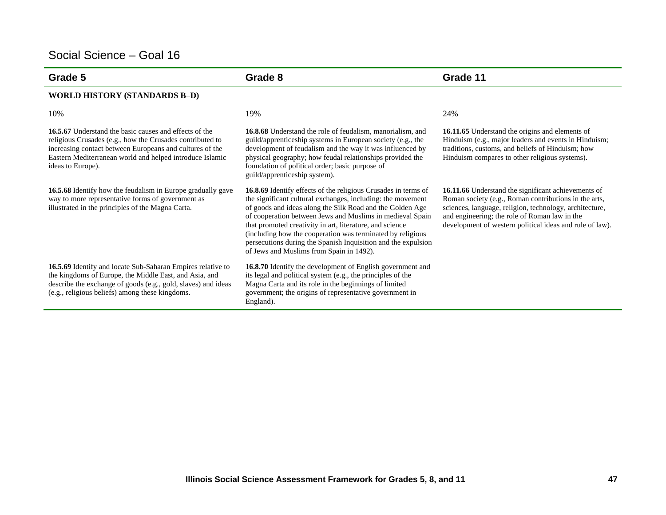| Grade 5                                                                                                                                                                                                                                                                 | Grade 8                                                                                                                                                                                                                                                                                                                                                                                                                                                                                        | Grade 11                                                                                                                                                                                                                                                                             |
|-------------------------------------------------------------------------------------------------------------------------------------------------------------------------------------------------------------------------------------------------------------------------|------------------------------------------------------------------------------------------------------------------------------------------------------------------------------------------------------------------------------------------------------------------------------------------------------------------------------------------------------------------------------------------------------------------------------------------------------------------------------------------------|--------------------------------------------------------------------------------------------------------------------------------------------------------------------------------------------------------------------------------------------------------------------------------------|
| <b>WORLD HISTORY (STANDARDS B-D)</b>                                                                                                                                                                                                                                    |                                                                                                                                                                                                                                                                                                                                                                                                                                                                                                |                                                                                                                                                                                                                                                                                      |
| 10%                                                                                                                                                                                                                                                                     | 19%                                                                                                                                                                                                                                                                                                                                                                                                                                                                                            | 24%                                                                                                                                                                                                                                                                                  |
| <b>16.5.67</b> Understand the basic causes and effects of the<br>religious Crusades (e.g., how the Crusades contributed to<br>increasing contact between Europeans and cultures of the<br>Eastern Mediterranean world and helped introduce Islamic<br>ideas to Europe). | <b>16.8.68</b> Understand the role of feudalism, manorialism, and<br>guild/apprenticeship systems in European society (e.g., the<br>development of feudalism and the way it was influenced by<br>physical geography; how feudal relationships provided the<br>foundation of political order; basic purpose of<br>guild/apprenticeship system).                                                                                                                                                 | 16.11.65 Understand the origins and elements of<br>Hinduism (e.g., major leaders and events in Hinduism;<br>traditions, customs, and beliefs of Hinduism; how<br>Hinduism compares to other religious systems).                                                                      |
| 16.5.68 Identify how the feudalism in Europe gradually gave<br>way to more representative forms of government as<br>illustrated in the principles of the Magna Carta.                                                                                                   | 16.8.69 Identify effects of the religious Crusades in terms of<br>the significant cultural exchanges, including: the movement<br>of goods and ideas along the Silk Road and the Golden Age<br>of cooperation between Jews and Muslims in medieval Spain<br>that promoted creativity in art, literature, and science<br>(including how the cooperation was terminated by religious<br>persecutions during the Spanish Inquisition and the expulsion<br>of Jews and Muslims from Spain in 1492). | 16.11.66 Understand the significant achievements of<br>Roman society (e.g., Roman contributions in the arts,<br>sciences, language, religion, technology, architecture,<br>and engineering; the role of Roman law in the<br>development of western political ideas and rule of law). |
| 16.5.69 Identify and locate Sub-Saharan Empires relative to<br>the kingdoms of Europe, the Middle East, and Asia, and<br>describe the exchange of goods (e.g., gold, slaves) and ideas<br>(e.g., religious beliefs) among these kingdoms.                               | 16.8.70 Identify the development of English government and<br>its legal and political system (e.g., the principles of the<br>Magna Carta and its role in the beginnings of limited<br>government; the origins of representative government in<br>England).                                                                                                                                                                                                                                     |                                                                                                                                                                                                                                                                                      |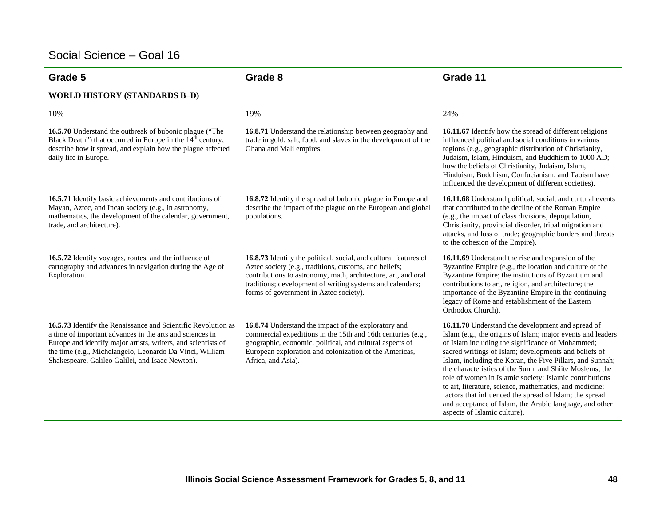| Grade 5                                                                                                                                                                                                                                                                                                    | Grade 8                                                                                                                                                                                                                                                                                            | Grade 11                                                                                                                                                                                                                                                                                                                                                                                                                                                                                                                                                                                                                           |
|------------------------------------------------------------------------------------------------------------------------------------------------------------------------------------------------------------------------------------------------------------------------------------------------------------|----------------------------------------------------------------------------------------------------------------------------------------------------------------------------------------------------------------------------------------------------------------------------------------------------|------------------------------------------------------------------------------------------------------------------------------------------------------------------------------------------------------------------------------------------------------------------------------------------------------------------------------------------------------------------------------------------------------------------------------------------------------------------------------------------------------------------------------------------------------------------------------------------------------------------------------------|
| <b>WORLD HISTORY (STANDARDS B-D)</b>                                                                                                                                                                                                                                                                       |                                                                                                                                                                                                                                                                                                    |                                                                                                                                                                                                                                                                                                                                                                                                                                                                                                                                                                                                                                    |
| 10%                                                                                                                                                                                                                                                                                                        | 19%                                                                                                                                                                                                                                                                                                | 24%                                                                                                                                                                                                                                                                                                                                                                                                                                                                                                                                                                                                                                |
| 16.5.70 Understand the outbreak of bubonic plague ("The<br>Black Death") that occurred in Europe in the 14 <sup>th</sup> century,<br>describe how it spread, and explain how the plague affected<br>daily life in Europe.                                                                                  | 16.8.71 Understand the relationship between geography and<br>trade in gold, salt, food, and slaves in the development of the<br>Ghana and Mali empires.                                                                                                                                            | 16.11.67 Identify how the spread of different religions<br>influenced political and social conditions in various<br>regions (e.g., geographic distribution of Christianity,<br>Judaism, Islam, Hinduism, and Buddhism to 1000 AD;<br>how the beliefs of Christianity, Judaism, Islam,<br>Hinduism, Buddhism, Confucianism, and Taoism have<br>influenced the development of different societies).                                                                                                                                                                                                                                  |
| 16.5.71 Identify basic achievements and contributions of<br>Mayan, Aztec, and Incan society (e.g., in astronomy,<br>mathematics, the development of the calendar, government,<br>trade, and architecture).                                                                                                 | 16.8.72 Identify the spread of bubonic plague in Europe and<br>describe the impact of the plague on the European and global<br>populations.                                                                                                                                                        | 16.11.68 Understand political, social, and cultural events<br>that contributed to the decline of the Roman Empire<br>(e.g., the impact of class divisions, depopulation,<br>Christianity, provincial disorder, tribal migration and<br>attacks, and loss of trade; geographic borders and threats<br>to the cohesion of the Empire).                                                                                                                                                                                                                                                                                               |
| 16.5.72 Identify voyages, routes, and the influence of<br>cartography and advances in navigation during the Age of<br>Exploration.                                                                                                                                                                         | 16.8.73 Identify the political, social, and cultural features of<br>Aztec society (e.g., traditions, customs, and beliefs;<br>contributions to astronomy, math, architecture, art, and oral<br>traditions; development of writing systems and calendars;<br>forms of government in Aztec society). | 16.11.69 Understand the rise and expansion of the<br>Byzantine Empire (e.g., the location and culture of the<br>Byzantine Empire; the institutions of Byzantium and<br>contributions to art, religion, and architecture; the<br>importance of the Byzantine Empire in the continuing<br>legacy of Rome and establishment of the Eastern<br>Orthodox Church).                                                                                                                                                                                                                                                                       |
| 16.5.73 Identify the Renaissance and Scientific Revolution as<br>a time of important advances in the arts and sciences in<br>Europe and identify major artists, writers, and scientists of<br>the time (e.g., Michelangelo, Leonardo Da Vinci, William<br>Shakespeare, Galileo Galilei, and Isaac Newton). | 16.8.74 Understand the impact of the exploratory and<br>commercial expeditions in the 15th and 16th centuries (e.g.,<br>geographic, economic, political, and cultural aspects of<br>European exploration and colonization of the Americas,<br>Africa, and Asia).                                   | 16.11.70 Understand the development and spread of<br>Islam (e.g., the origins of Islam; major events and leaders<br>of Islam including the significance of Mohammed;<br>sacred writings of Islam; developments and beliefs of<br>Islam, including the Koran, the Five Pillars, and Sunnah;<br>the characteristics of the Sunni and Shiite Moslems; the<br>role of women in Islamic society; Islamic contributions<br>to art, literature, science, mathematics, and medicine;<br>factors that influenced the spread of Islam; the spread<br>and acceptance of Islam, the Arabic language, and other<br>aspects of Islamic culture). |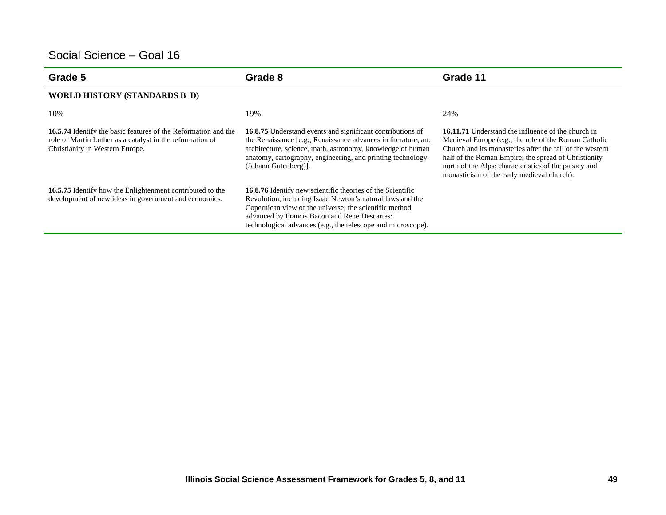| Grade 5                                                                                                                                                        | Grade 8                                                                                                                                                                                                                                                                                            | Grade 11                                                                                                                                                                                                                                                                                                                                     |
|----------------------------------------------------------------------------------------------------------------------------------------------------------------|----------------------------------------------------------------------------------------------------------------------------------------------------------------------------------------------------------------------------------------------------------------------------------------------------|----------------------------------------------------------------------------------------------------------------------------------------------------------------------------------------------------------------------------------------------------------------------------------------------------------------------------------------------|
| <b>WORLD HISTORY (STANDARDS B-D)</b>                                                                                                                           |                                                                                                                                                                                                                                                                                                    |                                                                                                                                                                                                                                                                                                                                              |
| 10%                                                                                                                                                            | 19%                                                                                                                                                                                                                                                                                                | 24%                                                                                                                                                                                                                                                                                                                                          |
| 16.5.74 Identify the basic features of the Reformation and the<br>role of Martin Luther as a catalyst in the reformation of<br>Christianity in Western Europe. | <b>16.8.75</b> Understand events and significant contributions of<br>the Renaissance [e.g., Renaissance advances in literature, art,<br>architecture, science, math, astronomy, knowledge of human<br>anatomy, cartography, engineering, and printing technology<br>(Johann Gutenberg)].           | <b>16.11.71</b> Understand the influence of the church in<br>Medieval Europe (e.g., the role of the Roman Catholic<br>Church and its monasteries after the fall of the western<br>half of the Roman Empire; the spread of Christianity<br>north of the Alps; characteristics of the papacy and<br>monasticism of the early medieval church). |
| 16.5.75 Identify how the Enlightenment contributed to the<br>development of new ideas in government and economics.                                             | 16.8.76 Identify new scientific theories of the Scientific<br>Revolution, including Isaac Newton's natural laws and the<br>Copernican view of the universe; the scientific method<br>advanced by Francis Bacon and Rene Descartes;<br>technological advances (e.g., the telescope and microscope). |                                                                                                                                                                                                                                                                                                                                              |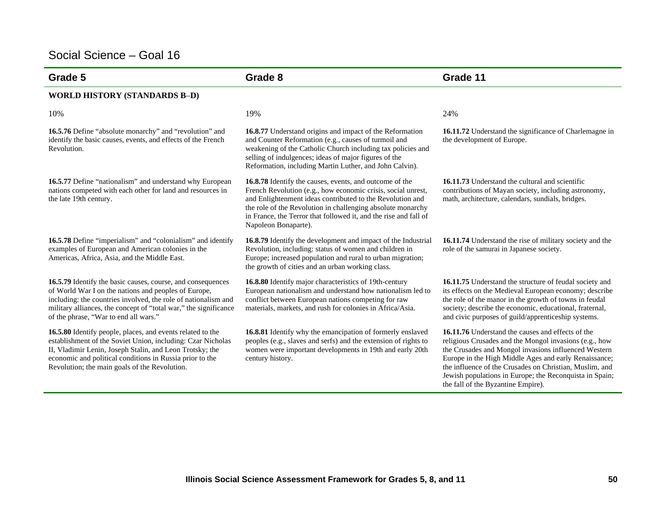| Grade 5                                                                                                                                                                                                                                                                                            | Grade 8                                                                                                                                                                                                                                                                                                                                         | Grade 11                                                                                                                                                                                                                                                                                                                                                                                 |
|----------------------------------------------------------------------------------------------------------------------------------------------------------------------------------------------------------------------------------------------------------------------------------------------------|-------------------------------------------------------------------------------------------------------------------------------------------------------------------------------------------------------------------------------------------------------------------------------------------------------------------------------------------------|------------------------------------------------------------------------------------------------------------------------------------------------------------------------------------------------------------------------------------------------------------------------------------------------------------------------------------------------------------------------------------------|
| <b>WORLD HISTORY (STANDARDS B-D)</b>                                                                                                                                                                                                                                                               |                                                                                                                                                                                                                                                                                                                                                 |                                                                                                                                                                                                                                                                                                                                                                                          |
| 10%                                                                                                                                                                                                                                                                                                | 19%                                                                                                                                                                                                                                                                                                                                             | 24%                                                                                                                                                                                                                                                                                                                                                                                      |
| 16.5.76 Define "absolute monarchy" and "revolution" and<br>identify the basic causes, events, and effects of the French<br>Revolution.                                                                                                                                                             | 16.8.77 Understand origins and impact of the Reformation<br>and Counter Reformation (e.g., causes of turmoil and<br>weakening of the Catholic Church including tax policies and<br>selling of indulgences; ideas of major figures of the<br>Reformation, including Martin Luther, and John Calvin).                                             | 16.11.72 Understand the significance of Charlemagne in<br>the development of Europe.                                                                                                                                                                                                                                                                                                     |
| 16.5.77 Define "nationalism" and understand why European<br>nations competed with each other for land and resources in<br>the late 19th century.                                                                                                                                                   | 16.8.78 Identify the causes, events, and outcome of the<br>French Revolution (e.g., how economic crisis, social unrest,<br>and Enlightenment ideas contributed to the Revolution and<br>the role of the Revolution in challenging absolute monarchy<br>in France, the Terror that followed it, and the rise and fall of<br>Napoleon Bonaparte). | 16.11.73 Understand the cultural and scientific<br>contributions of Mayan society, including astronomy,<br>math, architecture, calendars, sundials, bridges.                                                                                                                                                                                                                             |
| <b>16.5.78</b> Define "imperialism" and "colonialism" and identify<br>examples of European and American colonies in the<br>Americas, Africa, Asia, and the Middle East.                                                                                                                            | <b>16.8.79</b> Identify the development and impact of the Industrial<br>Revolution, including: status of women and children in<br>Europe; increased population and rural to urban migration;<br>the growth of cities and an urban working class.                                                                                                | 16.11.74 Understand the rise of military society and the<br>role of the samurai in Japanese society.                                                                                                                                                                                                                                                                                     |
| 16.5.79 Identify the basic causes, course, and consequences<br>of World War I on the nations and peoples of Europe,<br>including: the countries involved, the role of nationalism and<br>military alliances, the concept of "total war," the significance<br>of the phrase, "War to end all wars." | 16.8.80 Identify major characteristics of 19th-century<br>European nationalism and understand how nationalism led to<br>conflict between European nations competing for raw<br>materials, markets, and rush for colonies in Africa/Asia.                                                                                                        | 16.11.75 Understand the structure of feudal society and<br>its effects on the Medieval European economy; describe<br>the role of the manor in the growth of towns in feudal<br>society; describe the economic, educational, fraternal,<br>and civic purposes of guild/apprenticeship systems.                                                                                            |
| 16.5.80 Identify people, places, and events related to the<br>establishment of the Soviet Union, including: Czar Nicholas<br>II, Vladimir Lenin, Joseph Stalin, and Leon Trotsky; the<br>economic and political conditions in Russia prior to the<br>Revolution; the main goals of the Revolution. | 16.8.81 Identify why the emancipation of formerly enslaved<br>peoples (e.g., slaves and serfs) and the extension of rights to<br>women were important developments in 19th and early 20th<br>century history.                                                                                                                                   | 16.11.76 Understand the causes and effects of the<br>religious Crusades and the Mongol invasions (e.g., how<br>the Crusades and Mongol invasions influenced Western<br>Europe in the High Middle Ages and early Renaissance;<br>the influence of the Crusades on Christian, Muslim, and<br>Jewish populations in Europe; the Reconquista in Spain;<br>the fall of the Byzantine Empire). |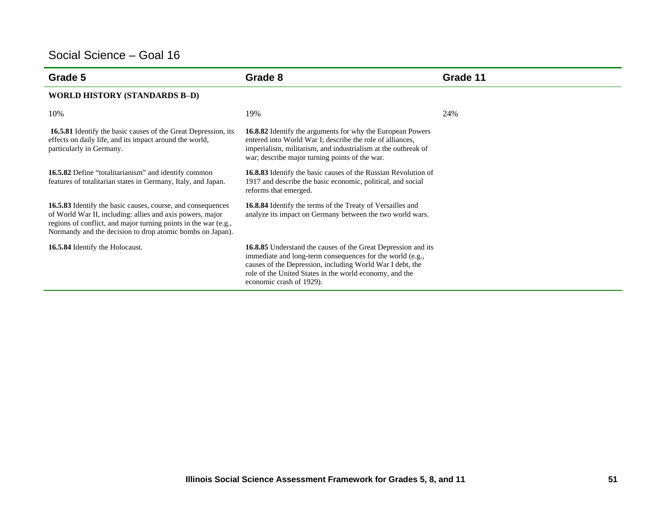| Grade 5                                                                                                                                                                                                                                                  | Grade 8                                                                                                                                                                                                                                                                               | Grade 11 |
|----------------------------------------------------------------------------------------------------------------------------------------------------------------------------------------------------------------------------------------------------------|---------------------------------------------------------------------------------------------------------------------------------------------------------------------------------------------------------------------------------------------------------------------------------------|----------|
| <b>WORLD HISTORY (STANDARDS B-D)</b>                                                                                                                                                                                                                     |                                                                                                                                                                                                                                                                                       |          |
| 10%                                                                                                                                                                                                                                                      | 19%                                                                                                                                                                                                                                                                                   | 24%      |
| <b>16.5.81</b> Identify the basic causes of the Great Depression, its<br>effects on daily life, and its impact around the world,<br>particularly in Germany.                                                                                             | <b>16.8.82</b> Identify the arguments for why the European Powers<br>entered into World War I; describe the role of alliances,<br>imperialism, militarism, and industrialism at the outbreak of<br>war; describe major turning points of the war.                                     |          |
| <b>16.5.82</b> Define "totalitarianism" and identify common<br>features of totalitarian states in Germany, Italy, and Japan.                                                                                                                             | <b>16.8.83</b> Identify the basic causes of the Russian Revolution of<br>1917 and describe the basic economic, political, and social<br>reforms that emerged.                                                                                                                         |          |
| 16.5.83 Identify the basic causes, course, and consequences<br>of World War II, including: allies and axis powers, major<br>regions of conflict, and major turning points in the war (e.g.,<br>Normandy and the decision to drop atomic bombs on Japan). | 16.8.84 Identify the terms of the Treaty of Versailles and<br>analyze its impact on Germany between the two world wars.                                                                                                                                                               |          |
| 16.5.84 Identify the Holocaust.                                                                                                                                                                                                                          | <b>16.8.85</b> Understand the causes of the Great Depression and its<br>immediate and long-term consequences for the world (e.g.,<br>causes of the Depression, including World War I debt, the<br>role of the United States in the world economy, and the<br>economic crash of 1929). |          |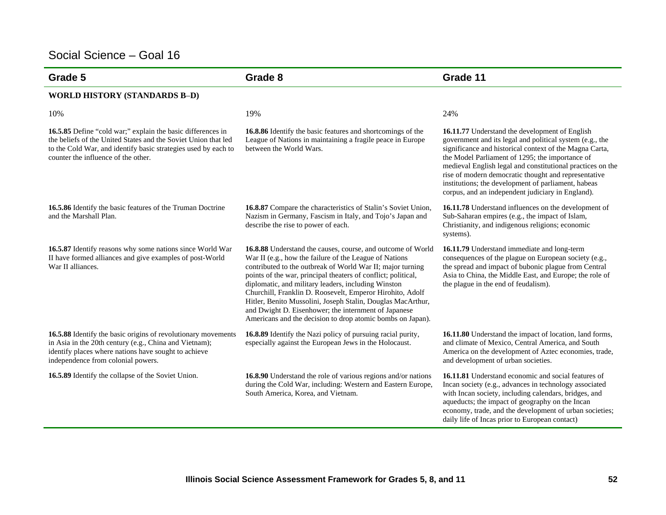| Grade 5                                                                                                                                                                                                                                | Grade 8                                                                                                                                                                                                                                                                                                                                                                                                                                                                                                                                                       | Grade 11                                                                                                                                                                                                                                                                                                                                                                                                                                                   |
|----------------------------------------------------------------------------------------------------------------------------------------------------------------------------------------------------------------------------------------|---------------------------------------------------------------------------------------------------------------------------------------------------------------------------------------------------------------------------------------------------------------------------------------------------------------------------------------------------------------------------------------------------------------------------------------------------------------------------------------------------------------------------------------------------------------|------------------------------------------------------------------------------------------------------------------------------------------------------------------------------------------------------------------------------------------------------------------------------------------------------------------------------------------------------------------------------------------------------------------------------------------------------------|
| <b>WORLD HISTORY (STANDARDS B-D)</b>                                                                                                                                                                                                   |                                                                                                                                                                                                                                                                                                                                                                                                                                                                                                                                                               |                                                                                                                                                                                                                                                                                                                                                                                                                                                            |
| 10%                                                                                                                                                                                                                                    | 19%                                                                                                                                                                                                                                                                                                                                                                                                                                                                                                                                                           | 24%                                                                                                                                                                                                                                                                                                                                                                                                                                                        |
| 16.5.85 Define "cold war;" explain the basic differences in<br>the beliefs of the United States and the Soviet Union that led<br>to the Cold War, and identify basic strategies used by each to<br>counter the influence of the other. | 16.8.86 Identify the basic features and shortcomings of the<br>League of Nations in maintaining a fragile peace in Europe<br>between the World Wars.                                                                                                                                                                                                                                                                                                                                                                                                          | 16.11.77 Understand the development of English<br>government and its legal and political system (e.g., the<br>significance and historical context of the Magna Carta,<br>the Model Parliament of 1295; the importance of<br>medieval English legal and constitutional practices on the<br>rise of modern democratic thought and representative<br>institutions; the development of parliament, habeas<br>corpus, and an independent judiciary in England). |
| 16.5.86 Identify the basic features of the Truman Doctrine<br>and the Marshall Plan.                                                                                                                                                   | 16.8.87 Compare the characteristics of Stalin's Soviet Union,<br>Nazism in Germany, Fascism in Italy, and Tojo's Japan and<br>describe the rise to power of each.                                                                                                                                                                                                                                                                                                                                                                                             | 16.11.78 Understand influences on the development of<br>Sub-Saharan empires (e.g., the impact of Islam,<br>Christianity, and indigenous religions; economic<br>systems).                                                                                                                                                                                                                                                                                   |
| 16.5.87 Identify reasons why some nations since World War<br>II have formed alliances and give examples of post-World<br>War II alliances.                                                                                             | 16.8.88 Understand the causes, course, and outcome of World<br>War II (e.g., how the failure of the League of Nations<br>contributed to the outbreak of World War II; major turning<br>points of the war, principal theaters of conflict; political,<br>diplomatic, and military leaders, including Winston<br>Churchill, Franklin D. Roosevelt, Emperor Hirohito, Adolf<br>Hitler, Benito Mussolini, Joseph Stalin, Douglas MacArthur,<br>and Dwight D. Eisenhower; the internment of Japanese<br>Americans and the decision to drop atomic bombs on Japan). | 16.11.79 Understand immediate and long-term<br>consequences of the plague on European society (e.g.,<br>the spread and impact of bubonic plague from Central<br>Asia to China, the Middle East, and Europe; the role of<br>the plague in the end of feudalism).                                                                                                                                                                                            |
| 16.5.88 Identify the basic origins of revolutionary movements<br>in Asia in the 20th century (e.g., China and Vietnam);<br>identify places where nations have sought to achieve<br>independence from colonial powers.                  | 16.8.89 Identify the Nazi policy of pursuing racial purity,<br>especially against the European Jews in the Holocaust.                                                                                                                                                                                                                                                                                                                                                                                                                                         | 16.11.80 Understand the impact of location, land forms,<br>and climate of Mexico, Central America, and South<br>America on the development of Aztec economies, trade,<br>and development of urban societies.                                                                                                                                                                                                                                               |
| 16.5.89 Identify the collapse of the Soviet Union.                                                                                                                                                                                     | 16.8.90 Understand the role of various regions and/or nations<br>during the Cold War, including: Western and Eastern Europe,<br>South America, Korea, and Vietnam.                                                                                                                                                                                                                                                                                                                                                                                            | 16.11.81 Understand economic and social features of<br>Incan society (e.g., advances in technology associated<br>with Incan society, including calendars, bridges, and<br>aqueducts; the impact of geography on the Incan<br>economy, trade, and the development of urban societies;<br>daily life of Incas prior to European contact)                                                                                                                     |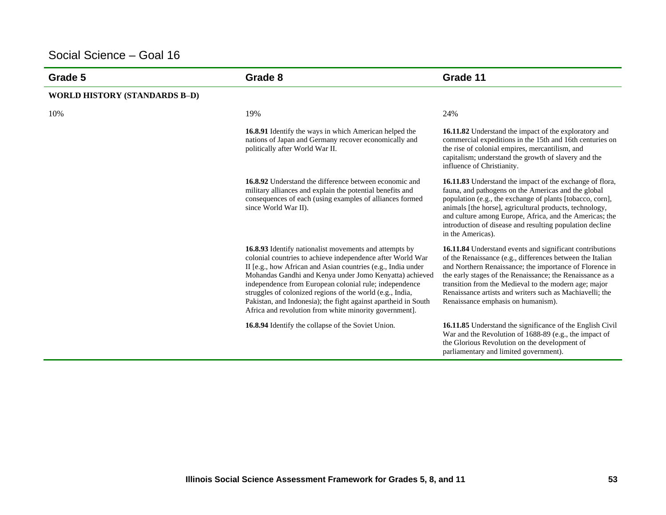| Grade 5                              | Grade 8                                                                                                                                                                                                                                                                                                                                                                                                                                                                                            | Grade 11                                                                                                                                                                                                                                                                                                                                                                                                 |
|--------------------------------------|----------------------------------------------------------------------------------------------------------------------------------------------------------------------------------------------------------------------------------------------------------------------------------------------------------------------------------------------------------------------------------------------------------------------------------------------------------------------------------------------------|----------------------------------------------------------------------------------------------------------------------------------------------------------------------------------------------------------------------------------------------------------------------------------------------------------------------------------------------------------------------------------------------------------|
| <b>WORLD HISTORY (STANDARDS B-D)</b> |                                                                                                                                                                                                                                                                                                                                                                                                                                                                                                    |                                                                                                                                                                                                                                                                                                                                                                                                          |
| 10%                                  | 19%                                                                                                                                                                                                                                                                                                                                                                                                                                                                                                | 24%                                                                                                                                                                                                                                                                                                                                                                                                      |
|                                      | 16.8.91 Identify the ways in which American helped the<br>nations of Japan and Germany recover economically and<br>politically after World War II.                                                                                                                                                                                                                                                                                                                                                 | 16.11.82 Understand the impact of the exploratory and<br>commercial expeditions in the 15th and 16th centuries on<br>the rise of colonial empires, mercantilism, and<br>capitalism; understand the growth of slavery and the<br>influence of Christianity.                                                                                                                                               |
|                                      | <b>16.8.92</b> Understand the difference between economic and<br>military alliances and explain the potential benefits and<br>consequences of each (using examples of alliances formed<br>since World War II).                                                                                                                                                                                                                                                                                     | 16.11.83 Understand the impact of the exchange of flora,<br>fauna, and pathogens on the Americas and the global<br>population (e.g., the exchange of plants [tobacco, corn],<br>animals [the horse], agricultural products, technology,<br>and culture among Europe, Africa, and the Americas; the<br>introduction of disease and resulting population decline<br>in the Americas).                      |
|                                      | 16.8.93 Identify nationalist movements and attempts by<br>colonial countries to achieve independence after World War<br>II [e.g., how African and Asian countries (e.g., India under<br>Mohandas Gandhi and Kenya under Jomo Kenyatta) achieved<br>independence from European colonial rule; independence<br>struggles of colonized regions of the world (e.g., India,<br>Pakistan, and Indonesia); the fight against apartheid in South<br>Africa and revolution from white minority government]. | 16.11.84 Understand events and significant contributions<br>of the Renaissance (e.g., differences between the Italian<br>and Northern Renaissance; the importance of Florence in<br>the early stages of the Renaissance; the Renaissance as a<br>transition from the Medieval to the modern age; major<br>Renaissance artists and writers such as Machiavelli; the<br>Renaissance emphasis on humanism). |
|                                      | <b>16.8.94</b> Identify the collapse of the Soviet Union.                                                                                                                                                                                                                                                                                                                                                                                                                                          | 16.11.85 Understand the significance of the English Civil<br>War and the Revolution of 1688-89 (e.g., the impact of<br>the Glorious Revolution on the development of<br>parliamentary and limited government).                                                                                                                                                                                           |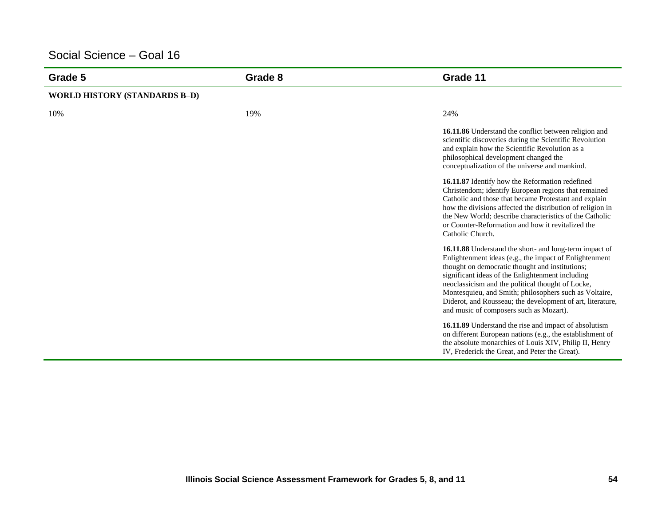| Grade 5                              | Grade 8 | Grade 11                                                                                                                                                                                                                                                                                                                                                                                                                                               |
|--------------------------------------|---------|--------------------------------------------------------------------------------------------------------------------------------------------------------------------------------------------------------------------------------------------------------------------------------------------------------------------------------------------------------------------------------------------------------------------------------------------------------|
| <b>WORLD HISTORY (STANDARDS B-D)</b> |         |                                                                                                                                                                                                                                                                                                                                                                                                                                                        |
| 10%                                  | 19%     | 24%                                                                                                                                                                                                                                                                                                                                                                                                                                                    |
|                                      |         | 16.11.86 Understand the conflict between religion and<br>scientific discoveries during the Scientific Revolution<br>and explain how the Scientific Revolution as a<br>philosophical development changed the<br>conceptualization of the universe and mankind.                                                                                                                                                                                          |
|                                      |         | 16.11.87 Identify how the Reformation redefined<br>Christendom; identify European regions that remained<br>Catholic and those that became Protestant and explain<br>how the divisions affected the distribution of religion in<br>the New World: describe characteristics of the Catholic<br>or Counter-Reformation and how it revitalized the<br>Catholic Church.                                                                                     |
|                                      |         | <b>16.11.88</b> Understand the short- and long-term impact of<br>Enlightenment ideas (e.g., the impact of Enlightenment<br>thought on democratic thought and institutions;<br>significant ideas of the Enlightenment including<br>neoclassicism and the political thought of Locke,<br>Montesquieu, and Smith; philosophers such as Voltaire,<br>Diderot, and Rousseau; the development of art, literature,<br>and music of composers such as Mozart). |
|                                      |         | 16.11.89 Understand the rise and impact of absolutism<br>on different European nations (e.g., the establishment of<br>the absolute monarchies of Louis XIV, Philip II, Henry<br>IV, Frederick the Great, and Peter the Great).                                                                                                                                                                                                                         |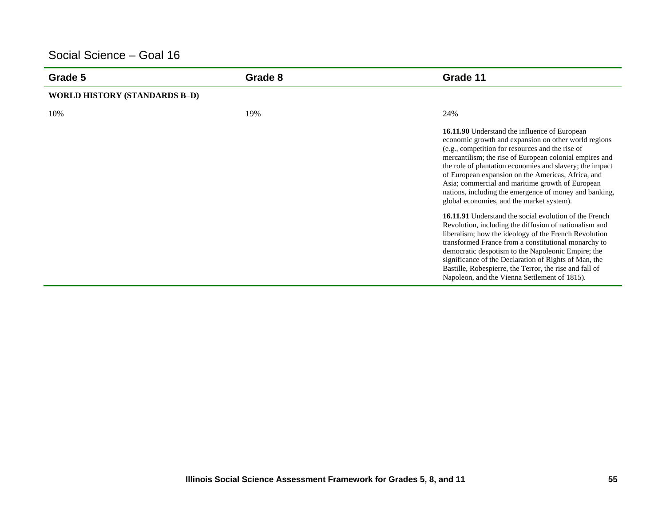| Grade 5                              | Grade 8 | Grade 11                                                                                                                                                                                                                                                                                                                                                                                                                                                                                                                                                                                                                                                                                                                                                                                                                                                                                                                                                                 |
|--------------------------------------|---------|--------------------------------------------------------------------------------------------------------------------------------------------------------------------------------------------------------------------------------------------------------------------------------------------------------------------------------------------------------------------------------------------------------------------------------------------------------------------------------------------------------------------------------------------------------------------------------------------------------------------------------------------------------------------------------------------------------------------------------------------------------------------------------------------------------------------------------------------------------------------------------------------------------------------------------------------------------------------------|
| <b>WORLD HISTORY (STANDARDS B-D)</b> |         |                                                                                                                                                                                                                                                                                                                                                                                                                                                                                                                                                                                                                                                                                                                                                                                                                                                                                                                                                                          |
| 10%                                  | 19%     | 24%                                                                                                                                                                                                                                                                                                                                                                                                                                                                                                                                                                                                                                                                                                                                                                                                                                                                                                                                                                      |
|                                      |         | 16.11.90 Understand the influence of European<br>economic growth and expansion on other world regions<br>(e.g., competition for resources and the rise of<br>mercantilism; the rise of European colonial empires and<br>the role of plantation economies and slavery; the impact<br>of European expansion on the Americas, Africa, and<br>Asia; commercial and maritime growth of European<br>nations, including the emergence of money and banking,<br>global economies, and the market system).<br><b>16.11.91</b> Understand the social evolution of the French<br>Revolution, including the diffusion of nationalism and<br>liberalism; how the ideology of the French Revolution<br>transformed France from a constitutional monarchy to<br>democratic despotism to the Napoleonic Empire; the<br>significance of the Declaration of Rights of Man, the<br>Bastille, Robespierre, the Terror, the rise and fall of<br>Napoleon, and the Vienna Settlement of 1815). |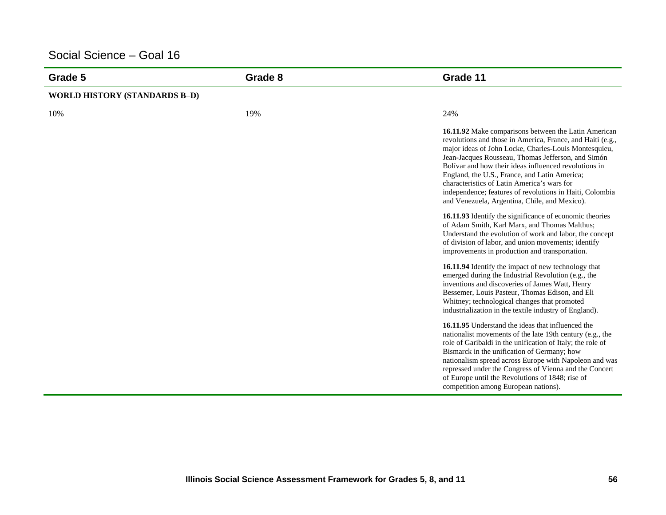| Grade 5                              | Grade 8 | Grade 11                                                                                                                                                                                                                                                                                                                                                                                                                                                                                                |
|--------------------------------------|---------|---------------------------------------------------------------------------------------------------------------------------------------------------------------------------------------------------------------------------------------------------------------------------------------------------------------------------------------------------------------------------------------------------------------------------------------------------------------------------------------------------------|
| <b>WORLD HISTORY (STANDARDS B-D)</b> |         |                                                                                                                                                                                                                                                                                                                                                                                                                                                                                                         |
| 10%                                  | 19%     | 24%                                                                                                                                                                                                                                                                                                                                                                                                                                                                                                     |
|                                      |         | 16.11.92 Make comparisons between the Latin American<br>revolutions and those in America, France, and Haiti (e.g.,<br>major ideas of John Locke, Charles-Louis Montesquieu,<br>Jean-Jacques Rousseau, Thomas Jefferson, and Simón<br>Bolívar and how their ideas influenced revolutions in<br>England, the U.S., France, and Latin America;<br>characteristics of Latin America's wars for<br>independence; features of revolutions in Haiti, Colombia<br>and Venezuela, Argentina, Chile, and Mexico). |
|                                      |         | 16.11.93 Identify the significance of economic theories<br>of Adam Smith, Karl Marx, and Thomas Malthus;<br>Understand the evolution of work and labor, the concept<br>of division of labor, and union movements; identify<br>improvements in production and transportation.                                                                                                                                                                                                                            |
|                                      |         | 16.11.94 Identify the impact of new technology that<br>emerged during the Industrial Revolution (e.g., the<br>inventions and discoveries of James Watt, Henry<br>Bessemer, Louis Pasteur, Thomas Edison, and Eli<br>Whitney; technological changes that promoted<br>industrialization in the textile industry of England).                                                                                                                                                                              |
|                                      |         | 16.11.95 Understand the ideas that influenced the<br>nationalist movements of the late 19th century (e.g., the<br>role of Garibaldi in the unification of Italy; the role of<br>Bismarck in the unification of Germany; how<br>nationalism spread across Europe with Napoleon and was<br>repressed under the Congress of Vienna and the Concert<br>of Europe until the Revolutions of 1848; rise of<br>competition among European nations).                                                             |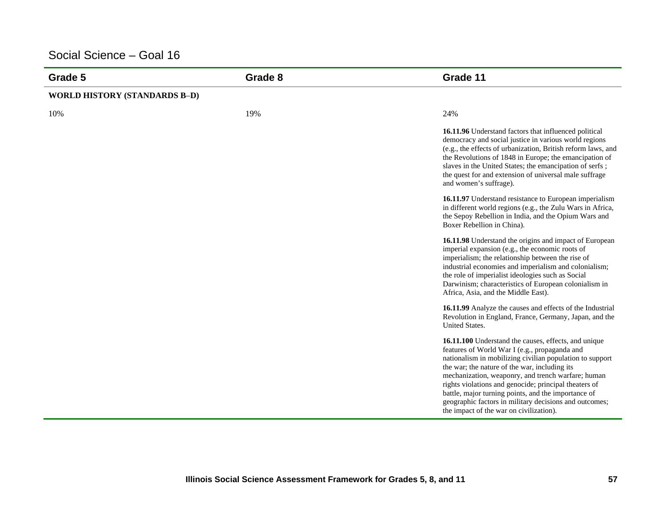| Grade 5                              | Grade 8 | Grade 11                                                                                                                                                                                                                                                                                                                                                                                                                                                                                      |
|--------------------------------------|---------|-----------------------------------------------------------------------------------------------------------------------------------------------------------------------------------------------------------------------------------------------------------------------------------------------------------------------------------------------------------------------------------------------------------------------------------------------------------------------------------------------|
| <b>WORLD HISTORY (STANDARDS B-D)</b> |         |                                                                                                                                                                                                                                                                                                                                                                                                                                                                                               |
| 10%                                  | 19%     | 24%                                                                                                                                                                                                                                                                                                                                                                                                                                                                                           |
|                                      |         | 16.11.96 Understand factors that influenced political<br>democracy and social justice in various world regions<br>(e.g., the effects of urbanization, British reform laws, and<br>the Revolutions of 1848 in Europe; the emancipation of<br>slaves in the United States; the emancipation of serfs;<br>the quest for and extension of universal male suffrage<br>and women's suffrage).                                                                                                       |
|                                      |         | 16.11.97 Understand resistance to European imperialism<br>in different world regions (e.g., the Zulu Wars in Africa,<br>the Sepoy Rebellion in India, and the Opium Wars and<br>Boxer Rebellion in China).                                                                                                                                                                                                                                                                                    |
|                                      |         | 16.11.98 Understand the origins and impact of European<br>imperial expansion (e.g., the economic roots of<br>imperialism; the relationship between the rise of<br>industrial economies and imperialism and colonialism;<br>the role of imperialist ideologies such as Social<br>Darwinism; characteristics of European colonialism in<br>Africa, Asia, and the Middle East).                                                                                                                  |
|                                      |         | 16.11.99 Analyze the causes and effects of the Industrial<br>Revolution in England, France, Germany, Japan, and the<br>United States.                                                                                                                                                                                                                                                                                                                                                         |
|                                      |         | 16.11.100 Understand the causes, effects, and unique<br>features of World War I (e.g., propaganda and<br>nationalism in mobilizing civilian population to support<br>the war; the nature of the war, including its<br>mechanization, weaponry, and trench warfare; human<br>rights violations and genocide; principal theaters of<br>battle, major turning points, and the importance of<br>geographic factors in military decisions and outcomes;<br>the impact of the war on civilization). |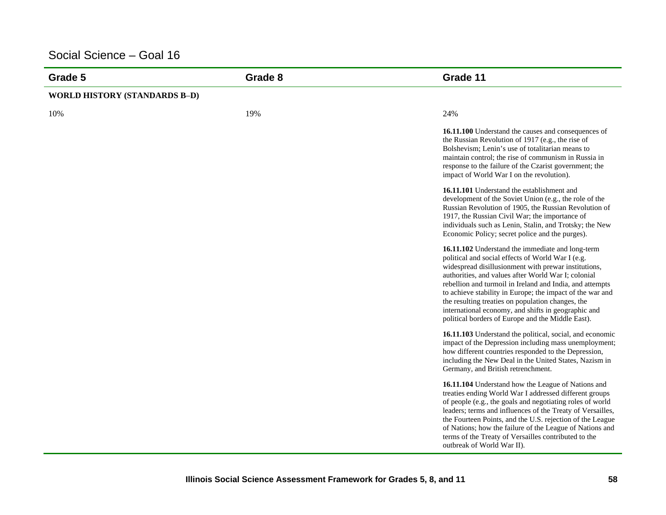| Grade 5                              | Grade 8 | Grade 11                                                                                                                                                                                                                                                                                                                                                                                                                                                                                                       |
|--------------------------------------|---------|----------------------------------------------------------------------------------------------------------------------------------------------------------------------------------------------------------------------------------------------------------------------------------------------------------------------------------------------------------------------------------------------------------------------------------------------------------------------------------------------------------------|
| <b>WORLD HISTORY (STANDARDS B-D)</b> |         |                                                                                                                                                                                                                                                                                                                                                                                                                                                                                                                |
| 10%                                  | 19%     | 24%                                                                                                                                                                                                                                                                                                                                                                                                                                                                                                            |
|                                      |         | 16.11.100 Understand the causes and consequences of<br>the Russian Revolution of 1917 (e.g., the rise of<br>Bolshevism; Lenin's use of totalitarian means to<br>maintain control: the rise of communism in Russia in<br>response to the failure of the Czarist government; the<br>impact of World War I on the revolution).                                                                                                                                                                                    |
|                                      |         | 16.11.101 Understand the establishment and<br>development of the Soviet Union (e.g., the role of the<br>Russian Revolution of 1905, the Russian Revolution of<br>1917, the Russian Civil War; the importance of<br>individuals such as Lenin, Stalin, and Trotsky; the New<br>Economic Policy; secret police and the purges).                                                                                                                                                                                  |
|                                      |         | 16.11.102 Understand the immediate and long-term<br>political and social effects of World War I (e.g.<br>widespread disillusionment with prewar institutions,<br>authorities, and values after World War I; colonial<br>rebellion and turmoil in Ireland and India, and attempts<br>to achieve stability in Europe; the impact of the war and<br>the resulting treaties on population changes, the<br>international economy, and shifts in geographic and<br>political borders of Europe and the Middle East). |
|                                      |         | 16.11.103 Understand the political, social, and economic<br>impact of the Depression including mass unemployment;<br>how different countries responded to the Depression,<br>including the New Deal in the United States, Nazism in<br>Germany, and British retrenchment.                                                                                                                                                                                                                                      |
|                                      |         | 16.11.104 Understand how the League of Nations and<br>treaties ending World War I addressed different groups<br>of people (e.g., the goals and negotiating roles of world<br>leaders; terms and influences of the Treaty of Versailles,<br>the Fourteen Points, and the U.S. rejection of the League<br>of Nations; how the failure of the League of Nations and<br>terms of the Treaty of Versailles contributed to the<br>outbreak of World War II).                                                         |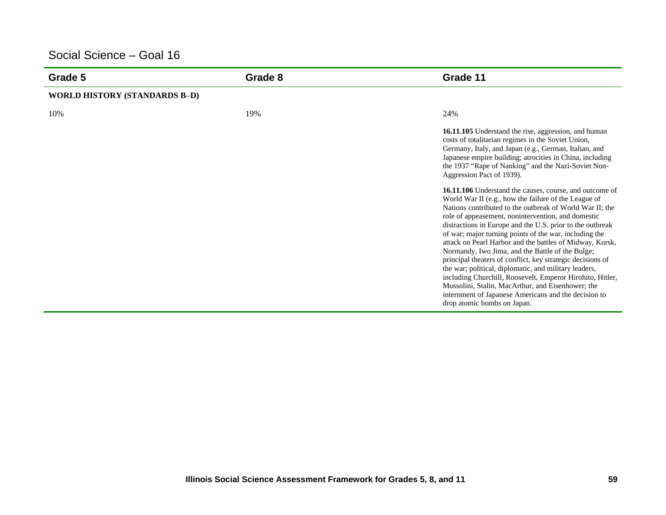| Grade 5                              | Grade 8 | Grade 11                                                                                                                                                                                                                                                                                                                                                                                                                                                                                                                                                                                                                                                                                                                                                                                                        |
|--------------------------------------|---------|-----------------------------------------------------------------------------------------------------------------------------------------------------------------------------------------------------------------------------------------------------------------------------------------------------------------------------------------------------------------------------------------------------------------------------------------------------------------------------------------------------------------------------------------------------------------------------------------------------------------------------------------------------------------------------------------------------------------------------------------------------------------------------------------------------------------|
| <b>WORLD HISTORY (STANDARDS B-D)</b> |         |                                                                                                                                                                                                                                                                                                                                                                                                                                                                                                                                                                                                                                                                                                                                                                                                                 |
| 10%                                  | 19%     | 24%                                                                                                                                                                                                                                                                                                                                                                                                                                                                                                                                                                                                                                                                                                                                                                                                             |
|                                      |         | 16.11.105 Understand the rise, aggression, and human<br>costs of totalitarian regimes in the Soviet Union,<br>Germany, Italy, and Japan (e.g., German, Italian, and<br>Japanese empire building; atrocities in China, including<br>the 1937 "Rape of Nanking" and the Nazi-Soviet Non-<br>Aggression Pact of 1939).                                                                                                                                                                                                                                                                                                                                                                                                                                                                                             |
|                                      |         | <b>16.11.106</b> Understand the causes, course, and outcome of<br>World War II (e.g., how the failure of the League of<br>Nations contributed to the outbreak of World War II; the<br>role of appeasement, nonintervention, and domestic<br>distractions in Europe and the U.S. prior to the outbreak<br>of war; major turning points of the war, including the<br>attack on Pearl Harbor and the battles of Midway, Kursk,<br>Normandy, Iwo Jima, and the Battle of the Bulge;<br>principal theaters of conflict, key strategic decisions of<br>the war; political, diplomatic, and military leaders,<br>including Churchill, Roosevelt, Emperor Hirohito, Hitler,<br>Mussolini, Stalin, MacArthur, and Eisenhower; the<br>internment of Japanese Americans and the decision to<br>drop atomic bombs on Japan. |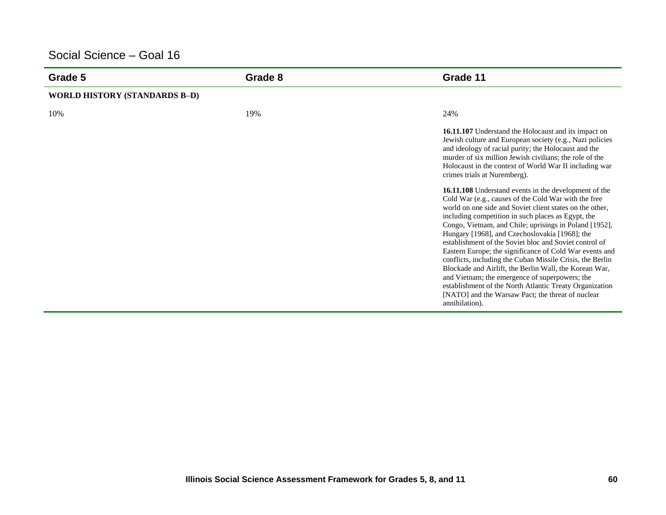| Grade 5                              | Grade 8 | Grade 11                                                                                                                                                                                                                                                                                                                                                                                                                                                                                                                                                                                                                                                                                                                                                                    |
|--------------------------------------|---------|-----------------------------------------------------------------------------------------------------------------------------------------------------------------------------------------------------------------------------------------------------------------------------------------------------------------------------------------------------------------------------------------------------------------------------------------------------------------------------------------------------------------------------------------------------------------------------------------------------------------------------------------------------------------------------------------------------------------------------------------------------------------------------|
| <b>WORLD HISTORY (STANDARDS B-D)</b> |         |                                                                                                                                                                                                                                                                                                                                                                                                                                                                                                                                                                                                                                                                                                                                                                             |
| 10%                                  | 19%     | 24%                                                                                                                                                                                                                                                                                                                                                                                                                                                                                                                                                                                                                                                                                                                                                                         |
|                                      |         | 16.11.107 Understand the Holocaust and its impact on<br>Jewish culture and European society (e.g., Nazi policies<br>and ideology of racial purity; the Holocaust and the<br>murder of six million Jewish civilians; the role of the<br>Holocaust in the context of World War II including war<br>crimes trials at Nuremberg).                                                                                                                                                                                                                                                                                                                                                                                                                                               |
|                                      |         | 16.11.108 Understand events in the development of the<br>Cold War (e.g., causes of the Cold War with the free<br>world on one side and Soviet client states on the other,<br>including competition in such places as Egypt, the<br>Congo, Vietnam, and Chile; uprisings in Poland [1952],<br>Hungary [1968], and Czechoslovakia [1968]; the<br>establishment of the Soviet bloc and Soviet control of<br>Eastern Europe; the significance of Cold War events and<br>conflicts, including the Cuban Missile Crisis, the Berlin<br>Blockade and Airlift, the Berlin Wall, the Korean War,<br>and Vietnam; the emergence of superpowers; the<br>establishment of the North Atlantic Treaty Organization<br>[NATO] and the Warsaw Pact; the threat of nuclear<br>annihilation). |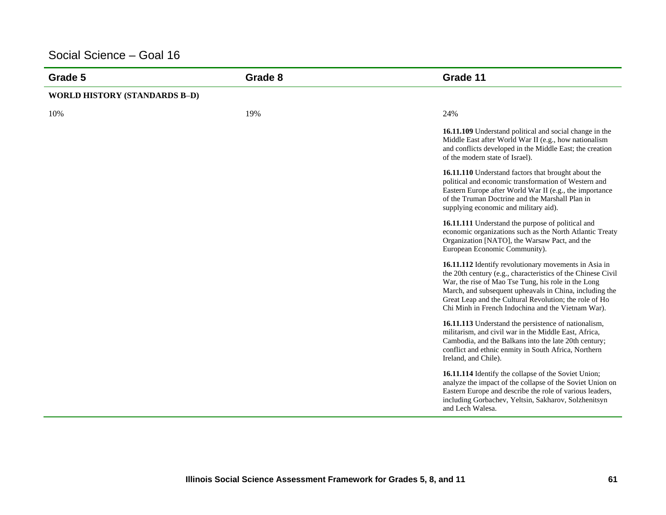| Grade 5                              | Grade 8 | Grade 11                                                                                                                                                                                                                                                                                                                                                |
|--------------------------------------|---------|---------------------------------------------------------------------------------------------------------------------------------------------------------------------------------------------------------------------------------------------------------------------------------------------------------------------------------------------------------|
| <b>WORLD HISTORY (STANDARDS B-D)</b> |         |                                                                                                                                                                                                                                                                                                                                                         |
| 10%                                  | 19%     | 24%                                                                                                                                                                                                                                                                                                                                                     |
|                                      |         | 16.11.109 Understand political and social change in the<br>Middle East after World War II (e.g., how nationalism<br>and conflicts developed in the Middle East; the creation<br>of the modern state of Israel).                                                                                                                                         |
|                                      |         | 16.11.110 Understand factors that brought about the<br>political and economic transformation of Western and<br>Eastern Europe after World War II (e.g., the importance<br>of the Truman Doctrine and the Marshall Plan in<br>supplying economic and military aid).                                                                                      |
|                                      |         | 16.11.111 Understand the purpose of political and<br>economic organizations such as the North Atlantic Treaty<br>Organization [NATO], the Warsaw Pact, and the<br>European Economic Community).                                                                                                                                                         |
|                                      |         | 16.11.112 Identify revolutionary movements in Asia in<br>the 20th century (e.g., characteristics of the Chinese Civil<br>War, the rise of Mao Tse Tung, his role in the Long<br>March, and subsequent upheavals in China, including the<br>Great Leap and the Cultural Revolution; the role of Ho<br>Chi Minh in French Indochina and the Vietnam War). |
|                                      |         | 16.11.113 Understand the persistence of nationalism,<br>militarism, and civil war in the Middle East, Africa,<br>Cambodia, and the Balkans into the late 20th century;<br>conflict and ethnic enmity in South Africa, Northern<br>Ireland, and Chile).                                                                                                  |
|                                      |         | 16.11.114 Identify the collapse of the Soviet Union;<br>analyze the impact of the collapse of the Soviet Union on<br>Eastern Europe and describe the role of various leaders,<br>including Gorbachev, Yeltsin, Sakharov, Solzhenitsyn<br>and Lech Walesa.                                                                                               |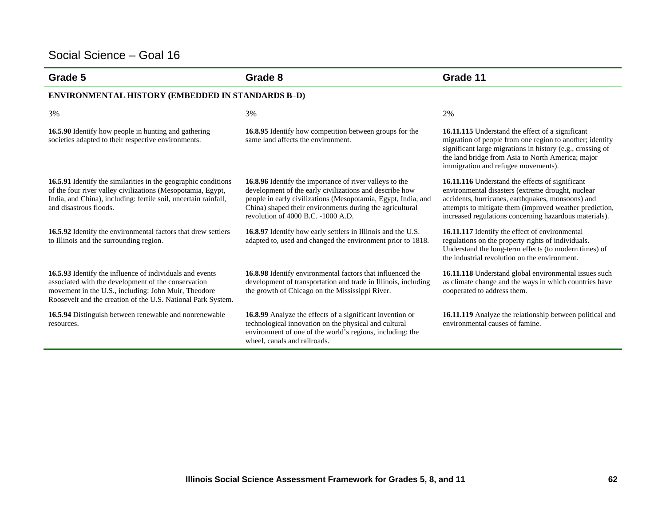| Grade 5                                                                                                                                                                                                                                 | Grade 8                                                                                                                                                                                                                                                                               | Grade 11                                                                                                                                                                                                                                                                       |  |
|-----------------------------------------------------------------------------------------------------------------------------------------------------------------------------------------------------------------------------------------|---------------------------------------------------------------------------------------------------------------------------------------------------------------------------------------------------------------------------------------------------------------------------------------|--------------------------------------------------------------------------------------------------------------------------------------------------------------------------------------------------------------------------------------------------------------------------------|--|
| <b>ENVIRONMENTAL HISTORY (EMBEDDED IN STANDARDS B-D)</b>                                                                                                                                                                                |                                                                                                                                                                                                                                                                                       |                                                                                                                                                                                                                                                                                |  |
| 3%                                                                                                                                                                                                                                      | 3%                                                                                                                                                                                                                                                                                    | 2%                                                                                                                                                                                                                                                                             |  |
| 16.5.90 Identify how people in hunting and gathering<br>societies adapted to their respective environments.                                                                                                                             | 16.8.95 Identify how competition between groups for the<br>same land affects the environment.                                                                                                                                                                                         | <b>16.11.115</b> Understand the effect of a significant<br>migration of people from one region to another; identify<br>significant large migrations in history (e.g., crossing of<br>the land bridge from Asia to North America; major<br>immigration and refugee movements).  |  |
| 16.5.91 Identify the similarities in the geographic conditions<br>of the four river valley civilizations (Mesopotamia, Egypt,<br>India, and China), including: fertile soil, uncertain rainfall,<br>and disastrous floods.              | 16.8.96 Identify the importance of river valleys to the<br>development of the early civilizations and describe how<br>people in early civilizations (Mesopotamia, Egypt, India, and<br>China) shaped their environments during the agricultural<br>revolution of 4000 B.C. -1000 A.D. | 16.11.116 Understand the effects of significant<br>environmental disasters (extreme drought, nuclear<br>accidents, hurricanes, earthquakes, monsoons) and<br>attempts to mitigate them (improved weather prediction,<br>increased regulations concerning hazardous materials). |  |
| 16.5.92 Identify the environmental factors that drew settlers<br>to Illinois and the surrounding region.                                                                                                                                | <b>16.8.97</b> Identify how early settlers in Illinois and the U.S.<br>adapted to, used and changed the environment prior to 1818.                                                                                                                                                    | 16.11.117 Identify the effect of environmental<br>regulations on the property rights of individuals.<br>Understand the long-term effects (to modern times) of<br>the industrial revolution on the environment.                                                                 |  |
| 16.5.93 Identify the influence of individuals and events<br>associated with the development of the conservation<br>movement in the U.S., including: John Muir, Theodore<br>Roosevelt and the creation of the U.S. National Park System. | 16.8.98 Identify environmental factors that influenced the<br>development of transportation and trade in Illinois, including<br>the growth of Chicago on the Mississippi River.                                                                                                       | 16.11.118 Understand global environmental issues such<br>as climate change and the ways in which countries have<br>cooperated to address them.                                                                                                                                 |  |
| 16.5.94 Distinguish between renewable and nonrenewable<br>resources.                                                                                                                                                                    | 16.8.99 Analyze the effects of a significant invention or<br>technological innovation on the physical and cultural<br>environment of one of the world's regions, including: the<br>wheel, canals and railroads.                                                                       | 16.11.119 Analyze the relationship between political and<br>environmental causes of famine.                                                                                                                                                                                    |  |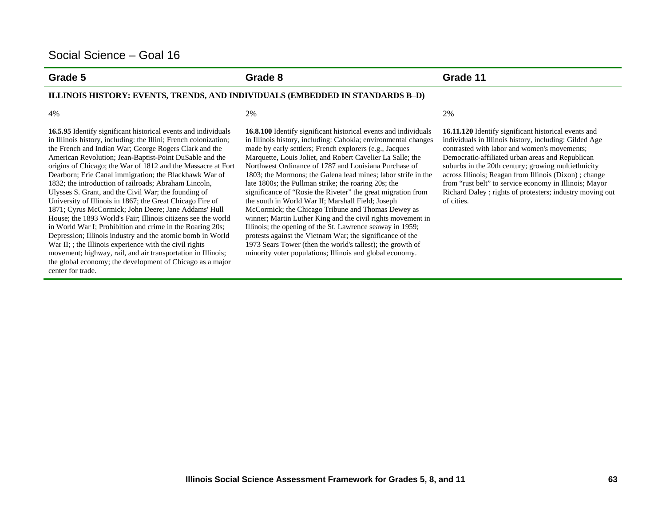the French and Indian War; George Rogers Clark and the

1832; the introduction of railroads; Abraham Lincoln, Ulysses S. Grant, and the Civil War; the founding of University of Illinois in 1867; the Great Chicago Fire of 1871; Cyrus McCormick; John Deere; Jane Addams' Hull

War II; ; the Illinois experience with the civil rights

center for trade.

**Grade 5 Grade 8 Grade 11** 

#### **ILLINOIS HISTORY: EVENTS, TRENDS, AND INDIVIDUALS (EMBEDDED IN STANDARDS B** –**D)**

 $4\%$  2%

**16.5.95** Identify significant historical events and individuals in Illinois history, including: the Illini; French colonization; American Revolution; Jean-Baptist-Point DuSable and the origins of Chicago; the War of 1812 and the Massacre at Fort Dearborn; Erie Canal immigration; the Blackhawk War of House; the 1893 World's Fair; Illinois citizens see the world in World War I; Prohibition and crime in the Roaring 20s; Depression; Illinois industry and the atomic bomb in World movement; highway, rail, and air transportation in Illinois; the global economy; the development of Chicago as a major **16.8.100** Identify significant historical events and individuals in Illinois history, including: Cahokia; environmental changes made by early settlers; French explorers (e.g., Jacques Marquette, Louis Joliet, and Robert Cavelier La Salle; the Northwest Ordinance of 1787 and Louisiana Purchase of 1803; the Mormons; the Galena lead mines; labor strife in the late 1800s; the Pullman strike; the roaring 20s; the significance of "Rosie the Riveter" the great migration from the south in World War II; Marshall Field; Joseph McCormick; the Chicago Tribune and Thomas Dewey as winner; Martin Luther King and the civil rights movement in Illinois; the opening of the St. Lawrence seaway in 1959; protests against the Vietnam War; the significance of the 1973 Sears Tower (then the world's tallest); the growth of minority voter populations; Illinois and global economy.

**16.11.120** Identify significant historical events and individuals in Illinois history, including: Gilded Age contrasted with labor and women's movements; Democratic-affiliated urban areas and Republican suburbs in the 20th century; growing multiethnicity across Illinois; Reagan from Illinois (Dixon) ; change from "rust belt" to service economy in Illinois; Mayor Richard Daley ; rights of protesters; industry moving out of cities.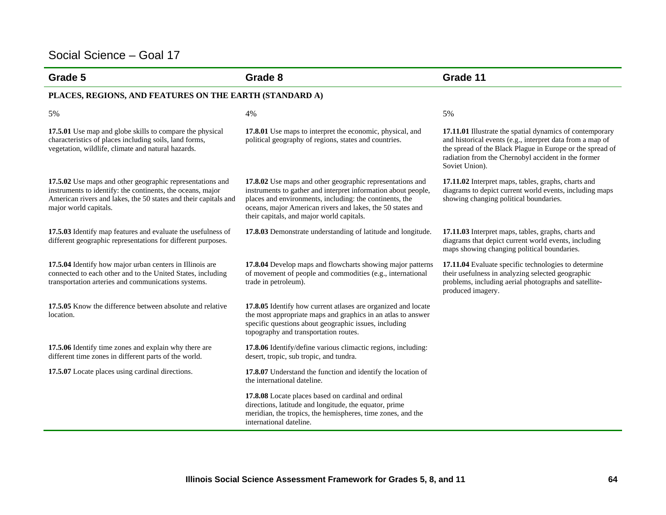| Grade 5                                                                                                                                                                                                             | Grade 8                                                                                                                                                                                                                                                                                          | Grade 11                                                                                                                                                                                                                                                    |
|---------------------------------------------------------------------------------------------------------------------------------------------------------------------------------------------------------------------|--------------------------------------------------------------------------------------------------------------------------------------------------------------------------------------------------------------------------------------------------------------------------------------------------|-------------------------------------------------------------------------------------------------------------------------------------------------------------------------------------------------------------------------------------------------------------|
| PLACES, REGIONS, AND FEATURES ON THE EARTH (STANDARD A)                                                                                                                                                             |                                                                                                                                                                                                                                                                                                  |                                                                                                                                                                                                                                                             |
| 5%                                                                                                                                                                                                                  | 4%                                                                                                                                                                                                                                                                                               | 5%                                                                                                                                                                                                                                                          |
| 17.5.01 Use map and globe skills to compare the physical<br>characteristics of places including soils, land forms,<br>vegetation, wildlife, climate and natural hazards.                                            | 17.8.01 Use maps to interpret the economic, physical, and<br>political geography of regions, states and countries.                                                                                                                                                                               | 17.11.01 Illustrate the spatial dynamics of contemporary<br>and historical events (e.g., interpret data from a map of<br>the spread of the Black Plague in Europe or the spread of<br>radiation from the Chernobyl accident in the former<br>Soviet Union). |
| 17.5.02 Use maps and other geographic representations and<br>instruments to identify: the continents, the oceans, major<br>American rivers and lakes, the 50 states and their capitals and<br>major world capitals. | 17.8.02 Use maps and other geographic representations and<br>instruments to gather and interpret information about people,<br>places and environments, including: the continents, the<br>oceans, major American rivers and lakes, the 50 states and<br>their capitals, and major world capitals. | 17.11.02 Interpret maps, tables, graphs, charts and<br>diagrams to depict current world events, including maps<br>showing changing political boundaries.                                                                                                    |
| 17.5.03 Identify map features and evaluate the usefulness of<br>different geographic representations for different purposes.                                                                                        | 17.8.03 Demonstrate understanding of latitude and longitude.                                                                                                                                                                                                                                     | 17.11.03 Interpret maps, tables, graphs, charts and<br>diagrams that depict current world events, including<br>maps showing changing political boundaries.                                                                                                  |
| 17.5.04 Identify how major urban centers in Illinois are<br>connected to each other and to the United States, including<br>transportation arteries and communications systems.                                      | 17.8.04 Develop maps and flowcharts showing major patterns<br>of movement of people and commodities (e.g., international<br>trade in petroleum).                                                                                                                                                 | 17.11.04 Evaluate specific technologies to determine<br>their usefulness in analyzing selected geographic<br>problems, including aerial photographs and satellite-<br>produced imagery.                                                                     |
| 17.5.05 Know the difference between absolute and relative<br>location.                                                                                                                                              | 17.8.05 Identify how current atlases are organized and locate<br>the most appropriate maps and graphics in an atlas to answer<br>specific questions about geographic issues, including<br>topography and transportation routes.                                                                  |                                                                                                                                                                                                                                                             |
| 17.5.06 Identify time zones and explain why there are<br>different time zones in different parts of the world.                                                                                                      | 17.8.06 Identify/define various climactic regions, including:<br>desert, tropic, sub tropic, and tundra.                                                                                                                                                                                         |                                                                                                                                                                                                                                                             |
| 17.5.07 Locate places using cardinal directions.                                                                                                                                                                    | 17.8.07 Understand the function and identify the location of<br>the international dateline.                                                                                                                                                                                                      |                                                                                                                                                                                                                                                             |
|                                                                                                                                                                                                                     | 17.8.08 Locate places based on cardinal and ordinal<br>directions, latitude and longitude, the equator, prime<br>meridian, the tropics, the hemispheres, time zones, and the<br>international dateline.                                                                                          |                                                                                                                                                                                                                                                             |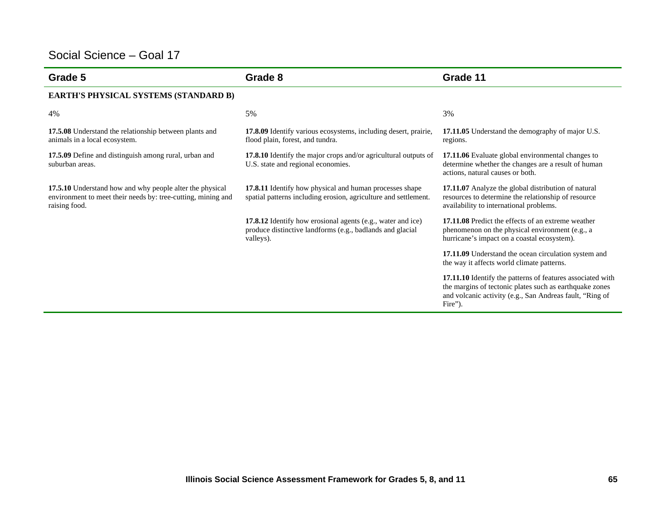| Grade 5                                                                                                                                   | Grade 8                                                                                                                               | Grade 11                                                                                                                                                                                     |
|-------------------------------------------------------------------------------------------------------------------------------------------|---------------------------------------------------------------------------------------------------------------------------------------|----------------------------------------------------------------------------------------------------------------------------------------------------------------------------------------------|
| EARTH'S PHYSICAL SYSTEMS (STANDARD B)                                                                                                     |                                                                                                                                       |                                                                                                                                                                                              |
| 4%                                                                                                                                        | 5%                                                                                                                                    | 3%                                                                                                                                                                                           |
| 17.5.08 Understand the relationship between plants and<br>animals in a local ecosystem.                                                   | <b>17.8.09</b> Identify various ecosystems, including desert, prairie,<br>flood plain, forest, and tundra.                            | 17.11.05 Understand the demography of major U.S.<br>regions.                                                                                                                                 |
| 17.5.09 Define and distinguish among rural, urban and<br>suburban areas.                                                                  | 17.8.10 Identify the major crops and/or agricultural outputs of<br>U.S. state and regional economies.                                 | 17.11.06 Evaluate global environmental changes to<br>determine whether the changes are a result of human<br>actions, natural causes or both.                                                 |
| 17.5.10 Understand how and why people alter the physical<br>environment to meet their needs by: tree-cutting, mining and<br>raising food. | 17.8.11 Identify how physical and human processes shape<br>spatial patterns including erosion, agriculture and settlement.            | 17.11.07 Analyze the global distribution of natural<br>resources to determine the relationship of resource<br>availability to international problems.                                        |
|                                                                                                                                           | 17.8.12 Identify how erosional agents (e.g., water and ice)<br>produce distinctive landforms (e.g., badlands and glacial<br>valleys). | 17.11.08 Predict the effects of an extreme weather<br>phenomenon on the physical environment (e.g., a<br>hurricane's impact on a coastal ecosystem).                                         |
|                                                                                                                                           |                                                                                                                                       | 17.11.09 Understand the ocean circulation system and<br>the way it affects world climate patterns.                                                                                           |
|                                                                                                                                           |                                                                                                                                       | 17.11.10 Identify the patterns of features associated with<br>the margins of tectonic plates such as earthquake zones<br>and volcanic activity (e.g., San Andreas fault, "Ring of<br>Fire"). |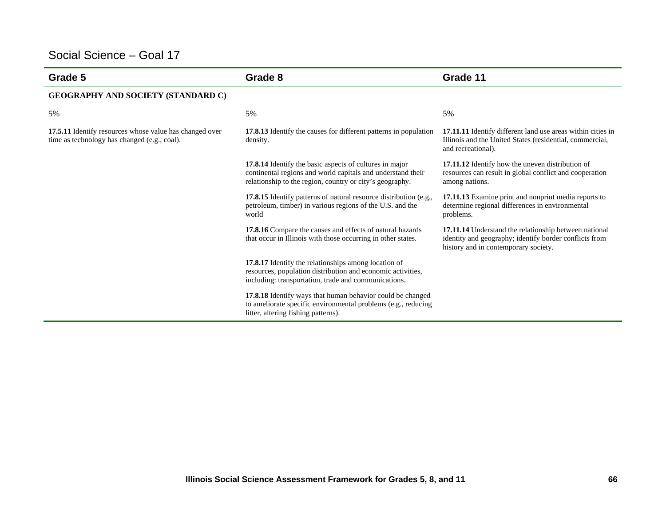| Grade 5                                                                                                 | Grade 8                                                                                                                                                                            | Grade 11                                                                                                                                                |
|---------------------------------------------------------------------------------------------------------|------------------------------------------------------------------------------------------------------------------------------------------------------------------------------------|---------------------------------------------------------------------------------------------------------------------------------------------------------|
| <b>GEOGRAPHY AND SOCIETY (STANDARD C)</b>                                                               |                                                                                                                                                                                    |                                                                                                                                                         |
| 5%                                                                                                      | 5%                                                                                                                                                                                 | 5%                                                                                                                                                      |
| 17.5.11 Identify resources whose value has changed over<br>time as technology has changed (e.g., coal). | 17.8.13 Identify the causes for different patterns in population<br>density.                                                                                                       | 17.11.11 Identify different land use areas within cities in<br>Illinois and the United States (residential, commercial,<br>and recreational).           |
|                                                                                                         | 17.8.14 Identify the basic aspects of cultures in major<br>continental regions and world capitals and understand their<br>relationship to the region, country or city's geography. | 17.11.12 Identify how the uneven distribution of<br>resources can result in global conflict and cooperation<br>among nations.                           |
|                                                                                                         | 17.8.15 Identify patterns of natural resource distribution (e.g.,<br>petroleum, timber) in various regions of the U.S. and the<br>world                                            | 17.11.13 Examine print and nonprint media reports to<br>determine regional differences in environmental<br>problems.                                    |
|                                                                                                         | 17.8.16 Compare the causes and effects of natural hazards<br>that occur in Illinois with those occurring in other states.                                                          | 17.11.14 Understand the relationship between national<br>identity and geography; identify border conflicts from<br>history and in contemporary society. |
|                                                                                                         | 17.8.17 Identify the relationships among location of<br>resources, population distribution and economic activities,<br>including: transportation, trade and communications.        |                                                                                                                                                         |
|                                                                                                         | 17.8.18 Identify ways that human behavior could be changed<br>to ameliorate specific environmental problems (e.g., reducing<br>litter, altering fishing patterns).                 |                                                                                                                                                         |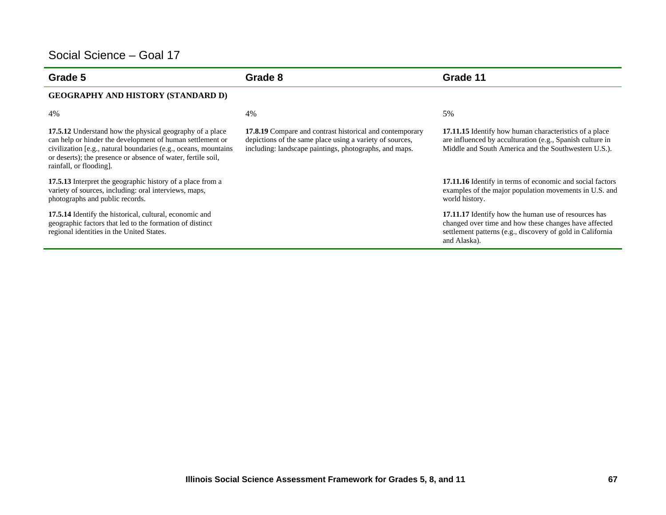| Grade 5                                                                                                                                                                                                                                                                             | Grade 8                                                                                                                                                                               | Grade 11                                                                                                                                                                                    |
|-------------------------------------------------------------------------------------------------------------------------------------------------------------------------------------------------------------------------------------------------------------------------------------|---------------------------------------------------------------------------------------------------------------------------------------------------------------------------------------|---------------------------------------------------------------------------------------------------------------------------------------------------------------------------------------------|
| <b>GEOGRAPHY AND HISTORY (STANDARD D)</b>                                                                                                                                                                                                                                           |                                                                                                                                                                                       |                                                                                                                                                                                             |
| 4%                                                                                                                                                                                                                                                                                  | 4%                                                                                                                                                                                    | 5%                                                                                                                                                                                          |
| 17.5.12 Understand how the physical geography of a place<br>can help or hinder the development of human settlement or<br>civilization [e.g., natural boundaries (e.g., oceans, mountains<br>or deserts); the presence or absence of water, fertile soil,<br>rainfall, or flooding]. | <b>17.8.19</b> Compare and contrast historical and contemporary<br>depictions of the same place using a variety of sources,<br>including: landscape paintings, photographs, and maps. | <b>17.11.15</b> Identify how human characteristics of a place<br>are influenced by acculturation (e.g., Spanish culture in<br>Middle and South America and the Southwestern U.S.).          |
| 17.5.13 Interpret the geographic history of a place from a<br>variety of sources, including: oral interviews, maps,<br>photographs and public records.                                                                                                                              |                                                                                                                                                                                       | <b>17.11.16</b> Identify in terms of economic and social factors<br>examples of the major population movements in U.S. and<br>world history.                                                |
| 17.5.14 Identify the historical, cultural, economic and<br>geographic factors that led to the formation of distinct<br>regional identities in the United States.                                                                                                                    |                                                                                                                                                                                       | 17.11.17 Identify how the human use of resources has<br>changed over time and how these changes have affected<br>settlement patterns (e.g., discovery of gold in California<br>and Alaska). |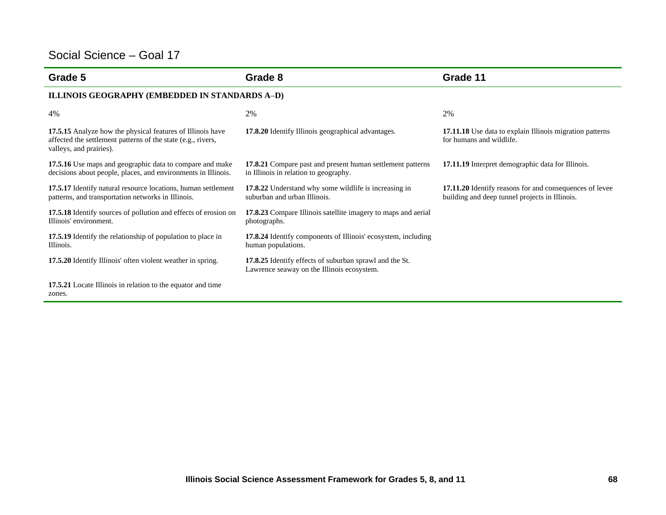| Grade 5                                                                                                                                               | Grade 8                                                                                               | Grade 11                                                                                                  |
|-------------------------------------------------------------------------------------------------------------------------------------------------------|-------------------------------------------------------------------------------------------------------|-----------------------------------------------------------------------------------------------------------|
| ILLINOIS GEOGRAPHY (EMBEDDED IN STANDARDS A-D)                                                                                                        |                                                                                                       |                                                                                                           |
| 4%                                                                                                                                                    | 2%                                                                                                    | 2%                                                                                                        |
| 17.5.15 Analyze how the physical features of Illinois have<br>affected the settlement patterns of the state (e.g., rivers,<br>valleys, and prairies). | 17.8.20 Identify Illinois geographical advantages.                                                    | 17.11.18 Use data to explain Illinois migration patterns<br>for humans and wildlife.                      |
| 17.5.16 Use maps and geographic data to compare and make<br>decisions about people, places, and environments in Illinois.                             | 17.8.21 Compare past and present human settlement patterns<br>in Illinois in relation to geography.   | 17.11.19 Interpret demographic data for Illinois.                                                         |
| 17.5.17 Identify natural resource locations, human settlement<br>patterns, and transportation networks in Illinois.                                   | 17.8.22 Understand why some wildlife is increasing in<br>suburban and urban Illinois.                 | 17.11.20 Identify reasons for and consequences of levee<br>building and deep tunnel projects in Illinois. |
| 17.5.18 Identify sources of pollution and effects of erosion on<br>Illinois' environment.                                                             | 17.8.23 Compare Illinois satellite imagery to maps and aerial<br>photographs.                         |                                                                                                           |
| 17.5.19 Identify the relationship of population to place in<br>Illinois.                                                                              | 17.8.24 Identify components of Illinois' ecosystem, including<br>human populations.                   |                                                                                                           |
| 17.5.20 Identify Illinois' often violent weather in spring.                                                                                           | 17.8.25 Identify effects of suburban sprawl and the St.<br>Lawrence seaway on the Illinois ecosystem. |                                                                                                           |
| 17.5.21 Locate Illinois in relation to the equator and time<br>zones.                                                                                 |                                                                                                       |                                                                                                           |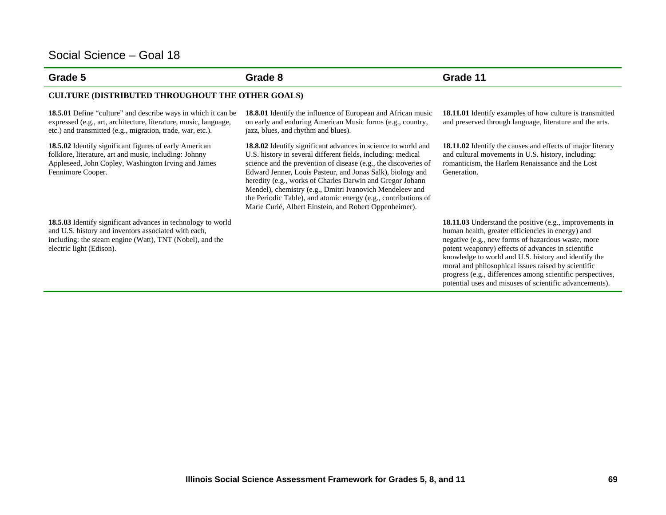electric light (Edison).

#### **Grade 5 Grade 8 Grade 11**

#### **CULTURE (DISTRIBUTED THROUGHOUT THE OTHER GOALS)**

**18.5.01** Define "culture" and describe ways in which it can be expressed (e.g., art, architecture, literature, music, language, etc.) and transmitted (e.g., migration, trade, war, etc.).

**18.5.02** Identify significant figures of early American folklore, literature, art and music, including: Johnny Appleseed, John Copley, Washington Irving and James Fennimore Cooper.

**18.5.03** Identify significant advances in technology to world and U.S. history and inventors associated with each, including: the steam engine (Watt), TNT (Nobel), and the

**18.8.02** Identify significant advances in science to world and U.S. history in several different fields, including: medical science and the prevention of disease (e.g., the discoveries of Edward Jenner, Louis Pasteur, and Jonas Salk), biology and heredity (e.g., works of Charles Darwin and Gregor Johann Mendel), chemistry (e.g., Dmitri Ivanovich Mendeleev and the Periodic Table), and atomic energy (e.g., contributions of

Marie Curié, Albert Einstein, and Robert Oppenheimer).

**18.8.01** Identify the influence of European and African music on early and enduring American Music forms (e.g., country,

jazz, blues, and rhythm and blues).

**18.11.01** Identify examples of how culture is transmitted and preserved through language, literature and the arts.

**18.11.02** Identify the causes and effects of major literary and cultural movements in U.S. history, including: romanticism, the Harlem Renaissance and the Lost Generation.

**18.11.03** Understand the positive (e.g., improvements in human health, greater efficiencies in energy) and negative (e.g., new forms of hazardous waste, more potent weaponry) effects of advances in scientific knowledge to world and U.S. history and identify the moral and philosophical issues raised by scientific progress (e.g., differences among scientific perspectives, potential uses and misuses of scientific advancements).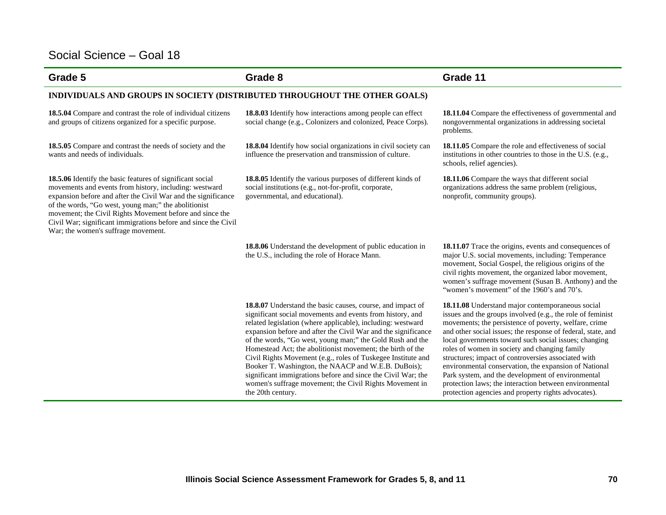| Grade 5                                                                                                                                                                                                                                                                                                                                                                                                           | Grade 8                                                                                                                                                                                                                                                                                                                                                                                                                                                                                                                                                                                                                                                   | Grade 11                                                                                                                                                                                                                                                                                                                                                                                                                                                                                                                                                                                                                                |
|-------------------------------------------------------------------------------------------------------------------------------------------------------------------------------------------------------------------------------------------------------------------------------------------------------------------------------------------------------------------------------------------------------------------|-----------------------------------------------------------------------------------------------------------------------------------------------------------------------------------------------------------------------------------------------------------------------------------------------------------------------------------------------------------------------------------------------------------------------------------------------------------------------------------------------------------------------------------------------------------------------------------------------------------------------------------------------------------|-----------------------------------------------------------------------------------------------------------------------------------------------------------------------------------------------------------------------------------------------------------------------------------------------------------------------------------------------------------------------------------------------------------------------------------------------------------------------------------------------------------------------------------------------------------------------------------------------------------------------------------------|
| INDIVIDUALS AND GROUPS IN SOCIETY (DISTRIBUTED THROUGHOUT THE OTHER GOALS)                                                                                                                                                                                                                                                                                                                                        |                                                                                                                                                                                                                                                                                                                                                                                                                                                                                                                                                                                                                                                           |                                                                                                                                                                                                                                                                                                                                                                                                                                                                                                                                                                                                                                         |
| 18.5.04 Compare and contrast the role of individual citizens<br>and groups of citizens organized for a specific purpose.                                                                                                                                                                                                                                                                                          | 18.8.03 Identify how interactions among people can effect<br>social change (e.g., Colonizers and colonized, Peace Corps).                                                                                                                                                                                                                                                                                                                                                                                                                                                                                                                                 | 18.11.04 Compare the effectiveness of governmental and<br>nongovernmental organizations in addressing societal<br>problems.                                                                                                                                                                                                                                                                                                                                                                                                                                                                                                             |
| 18.5.05 Compare and contrast the needs of society and the<br>wants and needs of individuals.                                                                                                                                                                                                                                                                                                                      | 18.8.04 Identify how social organizations in civil society can<br>influence the preservation and transmission of culture.                                                                                                                                                                                                                                                                                                                                                                                                                                                                                                                                 | <b>18.11.05</b> Compare the role and effectiveness of social<br>institutions in other countries to those in the U.S. (e.g.,<br>schools, relief agencies).                                                                                                                                                                                                                                                                                                                                                                                                                                                                               |
| 18.5.06 Identify the basic features of significant social<br>movements and events from history, including: westward<br>expansion before and after the Civil War and the significance<br>of the words, "Go west, young man;" the abolitionist<br>movement; the Civil Rights Movement before and since the<br>Civil War; significant immigrations before and since the Civil<br>War; the women's suffrage movement. | 18.8.05 Identify the various purposes of different kinds of<br>social institutions (e.g., not-for-profit, corporate,<br>governmental, and educational).                                                                                                                                                                                                                                                                                                                                                                                                                                                                                                   | 18.11.06 Compare the ways that different social<br>organizations address the same problem (religious,<br>nonprofit, community groups).                                                                                                                                                                                                                                                                                                                                                                                                                                                                                                  |
|                                                                                                                                                                                                                                                                                                                                                                                                                   | 18.8.06 Understand the development of public education in<br>the U.S., including the role of Horace Mann.                                                                                                                                                                                                                                                                                                                                                                                                                                                                                                                                                 | 18.11.07 Trace the origins, events and consequences of<br>major U.S. social movements, including: Temperance<br>movement, Social Gospel, the religious origins of the<br>civil rights movement, the organized labor movement,<br>women's suffrage movement (Susan B. Anthony) and the<br>"women's movement" of the 1960's and 70's.                                                                                                                                                                                                                                                                                                     |
|                                                                                                                                                                                                                                                                                                                                                                                                                   | 18.8.07 Understand the basic causes, course, and impact of<br>significant social movements and events from history, and<br>related legislation (where applicable), including: westward<br>expansion before and after the Civil War and the significance<br>of the words, "Go west, young man;" the Gold Rush and the<br>Homestead Act; the abolitionist movement; the birth of the<br>Civil Rights Movement (e.g., roles of Tuskegee Institute and<br>Booker T. Washington, the NAACP and W.E.B. DuBois);<br>significant immigrations before and since the Civil War; the<br>women's suffrage movement; the Civil Rights Movement in<br>the 20th century. | 18.11.08 Understand major contemporaneous social<br>issues and the groups involved (e.g., the role of feminist<br>movements; the persistence of poverty, welfare, crime<br>and other social issues; the response of federal, state, and<br>local governments toward such social issues; changing<br>roles of women in society and changing family<br>structures; impact of controversies associated with<br>environmental conservation, the expansion of National<br>Park system, and the development of environmental<br>protection laws; the interaction between environmental<br>protection agencies and property rights advocates). |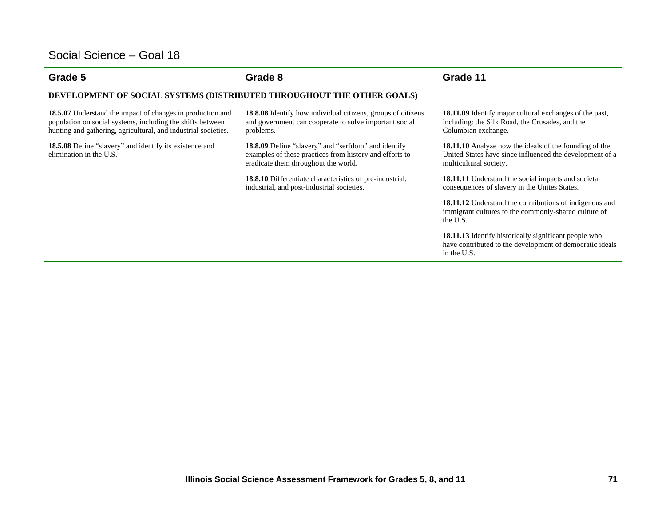| Grade 5                                                                                                                                                                                    | Grade 8                                                                                                                                                       | Grade 11                                                                                                                                            |
|--------------------------------------------------------------------------------------------------------------------------------------------------------------------------------------------|---------------------------------------------------------------------------------------------------------------------------------------------------------------|-----------------------------------------------------------------------------------------------------------------------------------------------------|
| DEVELOPMENT OF SOCIAL SYSTEMS (DISTRIBUTED THROUGHOUT THE OTHER GOALS)                                                                                                                     |                                                                                                                                                               |                                                                                                                                                     |
| 18.5.07 Understand the impact of changes in production and<br>population on social systems, including the shifts between<br>hunting and gathering, agricultural, and industrial societies. | <b>18.8.08</b> Identify how individual citizens, groups of citizens<br>and government can cooperate to solve important social<br>problems.                    | <b>18.11.09</b> Identify major cultural exchanges of the past,<br>including: the Silk Road, the Crusades, and the<br>Columbian exchange.            |
| <b>18.5.08</b> Define "slavery" and identify its existence and<br>elimination in the U.S.                                                                                                  | <b>18.8.09</b> Define "slavery" and "serfdom" and identify<br>examples of these practices from history and efforts to<br>eradicate them throughout the world. | <b>18.11.10</b> Analyze how the ideals of the founding of the<br>United States have since influenced the development of a<br>multicultural society. |
|                                                                                                                                                                                            | <b>18.8.10</b> Differentiate characteristics of pre-industrial,<br>industrial, and post-industrial societies.                                                 | <b>18.11.11</b> Understand the social impacts and societal<br>consequences of slavery in the Unites States.                                         |
|                                                                                                                                                                                            |                                                                                                                                                               | <b>18.11.12</b> Understand the contributions of indigenous and<br>immigrant cultures to the commonly-shared culture of<br>the U.S.                  |
|                                                                                                                                                                                            |                                                                                                                                                               | 18.11.13 Identify historically significant people who<br>have contributed to the development of democratic ideals<br>in the U.S.                    |